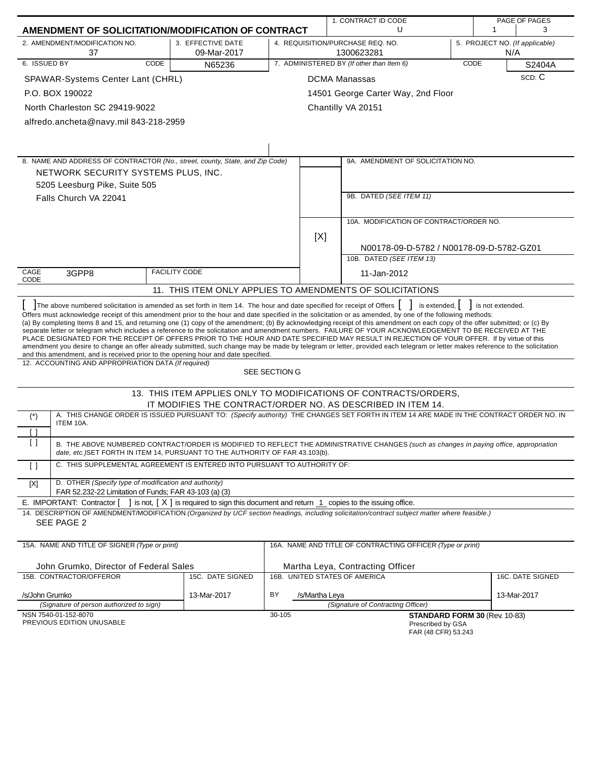|                                                                                                                                                                                                                                                                                                                                                                                                                                                                                                                                                                                                                                                                                                                                                                                                                                                                                                                                                                                    | 1. CONTRACT ID CODE                                                                                |               |                                                                                                                                         | PAGE OF PAGES |                               |                                |
|------------------------------------------------------------------------------------------------------------------------------------------------------------------------------------------------------------------------------------------------------------------------------------------------------------------------------------------------------------------------------------------------------------------------------------------------------------------------------------------------------------------------------------------------------------------------------------------------------------------------------------------------------------------------------------------------------------------------------------------------------------------------------------------------------------------------------------------------------------------------------------------------------------------------------------------------------------------------------------|----------------------------------------------------------------------------------------------------|---------------|-----------------------------------------------------------------------------------------------------------------------------------------|---------------|-------------------------------|--------------------------------|
| AMENDMENT OF SOLICITATION/MODIFICATION OF CONTRACT                                                                                                                                                                                                                                                                                                                                                                                                                                                                                                                                                                                                                                                                                                                                                                                                                                                                                                                                 |                                                                                                    | U<br>1        |                                                                                                                                         |               | 3                             |                                |
| 2. AMENDMENT/MODIFICATION NO.<br>37                                                                                                                                                                                                                                                                                                                                                                                                                                                                                                                                                                                                                                                                                                                                                                                                                                                                                                                                                | 3. EFFECTIVE DATE<br>09-Mar-2017                                                                   |               | 4. REQUISITION/PURCHASE REQ. NO.<br>1300623281                                                                                          |               | N/A                           | 5. PROJECT NO. (If applicable) |
| 6. ISSUED BY<br>CODE                                                                                                                                                                                                                                                                                                                                                                                                                                                                                                                                                                                                                                                                                                                                                                                                                                                                                                                                                               | N65236                                                                                             |               | 7. ADMINISTERED BY (If other than Item 6)                                                                                               |               | CODE                          | S2404A                         |
| SPAWAR-Systems Center Lant (CHRL)                                                                                                                                                                                                                                                                                                                                                                                                                                                                                                                                                                                                                                                                                                                                                                                                                                                                                                                                                  |                                                                                                    |               | <b>DCMA Manassas</b>                                                                                                                    |               |                               | SCD: C                         |
| P.O. BOX 190022                                                                                                                                                                                                                                                                                                                                                                                                                                                                                                                                                                                                                                                                                                                                                                                                                                                                                                                                                                    |                                                                                                    |               | 14501 George Carter Way, 2nd Floor                                                                                                      |               |                               |                                |
| North Charleston SC 29419-9022                                                                                                                                                                                                                                                                                                                                                                                                                                                                                                                                                                                                                                                                                                                                                                                                                                                                                                                                                     |                                                                                                    |               | Chantilly VA 20151                                                                                                                      |               |                               |                                |
| alfredo.ancheta@navy.mil 843-218-2959                                                                                                                                                                                                                                                                                                                                                                                                                                                                                                                                                                                                                                                                                                                                                                                                                                                                                                                                              |                                                                                                    |               |                                                                                                                                         |               |                               |                                |
|                                                                                                                                                                                                                                                                                                                                                                                                                                                                                                                                                                                                                                                                                                                                                                                                                                                                                                                                                                                    |                                                                                                    |               |                                                                                                                                         |               |                               |                                |
|                                                                                                                                                                                                                                                                                                                                                                                                                                                                                                                                                                                                                                                                                                                                                                                                                                                                                                                                                                                    |                                                                                                    |               |                                                                                                                                         |               |                               |                                |
| 8. NAME AND ADDRESS OF CONTRACTOR (No., street, county, State, and Zip Code)                                                                                                                                                                                                                                                                                                                                                                                                                                                                                                                                                                                                                                                                                                                                                                                                                                                                                                       |                                                                                                    |               | 9A. AMENDMENT OF SOLICITATION NO.                                                                                                       |               |                               |                                |
| NETWORK SECURITY SYSTEMS PLUS, INC.                                                                                                                                                                                                                                                                                                                                                                                                                                                                                                                                                                                                                                                                                                                                                                                                                                                                                                                                                |                                                                                                    |               |                                                                                                                                         |               |                               |                                |
| 5205 Leesburg Pike, Suite 505                                                                                                                                                                                                                                                                                                                                                                                                                                                                                                                                                                                                                                                                                                                                                                                                                                                                                                                                                      |                                                                                                    |               |                                                                                                                                         |               |                               |                                |
| Falls Church VA 22041                                                                                                                                                                                                                                                                                                                                                                                                                                                                                                                                                                                                                                                                                                                                                                                                                                                                                                                                                              |                                                                                                    |               | 9B. DATED (SEE ITEM 11)                                                                                                                 |               |                               |                                |
|                                                                                                                                                                                                                                                                                                                                                                                                                                                                                                                                                                                                                                                                                                                                                                                                                                                                                                                                                                                    |                                                                                                    |               |                                                                                                                                         |               |                               |                                |
|                                                                                                                                                                                                                                                                                                                                                                                                                                                                                                                                                                                                                                                                                                                                                                                                                                                                                                                                                                                    |                                                                                                    |               | 10A. MODIFICATION OF CONTRACT/ORDER NO.                                                                                                 |               |                               |                                |
|                                                                                                                                                                                                                                                                                                                                                                                                                                                                                                                                                                                                                                                                                                                                                                                                                                                                                                                                                                                    |                                                                                                    |               | [X]                                                                                                                                     |               |                               |                                |
|                                                                                                                                                                                                                                                                                                                                                                                                                                                                                                                                                                                                                                                                                                                                                                                                                                                                                                                                                                                    |                                                                                                    |               | N00178-09-D-5782 / N00178-09-D-5782-GZ01<br>10B. DATED (SEE ITEM 13)                                                                    |               |                               |                                |
| CAGE                                                                                                                                                                                                                                                                                                                                                                                                                                                                                                                                                                                                                                                                                                                                                                                                                                                                                                                                                                               | <b>FACILITY CODE</b>                                                                               |               | 11-Jan-2012                                                                                                                             |               |                               |                                |
| 3GPP8<br>CODE                                                                                                                                                                                                                                                                                                                                                                                                                                                                                                                                                                                                                                                                                                                                                                                                                                                                                                                                                                      |                                                                                                    |               |                                                                                                                                         |               |                               |                                |
|                                                                                                                                                                                                                                                                                                                                                                                                                                                                                                                                                                                                                                                                                                                                                                                                                                                                                                                                                                                    |                                                                                                    |               | 11. THIS ITEM ONLY APPLIES TO AMENDMENTS OF SOLICITATIONS                                                                               |               |                               |                                |
| Offers must acknowledge receipt of this amendment prior to the hour and date specified in the solicitation or as amended, by one of the following methods:<br>(a) By completing Items 8 and 15, and returning one (1) copy of the amendment; (b) By acknowledging receipt of this amendment on each copy of the offer submitted; or (c) By<br>separate letter or telegram which includes a reference to the solicitation and amendment numbers. FAILURE OF YOUR ACKNOWLEDGEMENT TO BE RECEIVED AT THE<br>PLACE DESIGNATED FOR THE RECEIPT OF OFFERS PRIOR TO THE HOUR AND DATE SPECIFIED MAY RESULT IN REJECTION OF YOUR OFFER. If by virtue of this<br>amendment you desire to change an offer already submitted, such change may be made by telegram or letter, provided each telegram or letter makes reference to the solicitation<br>and this amendment, and is received prior to the opening hour and date specified.<br>12. ACCOUNTING AND APPROPRIATION DATA (If required) |                                                                                                    |               |                                                                                                                                         |               |                               |                                |
|                                                                                                                                                                                                                                                                                                                                                                                                                                                                                                                                                                                                                                                                                                                                                                                                                                                                                                                                                                                    |                                                                                                    | SEE SECTION G |                                                                                                                                         |               |                               |                                |
|                                                                                                                                                                                                                                                                                                                                                                                                                                                                                                                                                                                                                                                                                                                                                                                                                                                                                                                                                                                    |                                                                                                    |               | 13. THIS ITEM APPLIES ONLY TO MODIFICATIONS OF CONTRACTS/ORDERS,<br>IT MODIFIES THE CONTRACT/ORDER NO. AS DESCRIBED IN ITEM 14.         |               |                               |                                |
| $(*)$                                                                                                                                                                                                                                                                                                                                                                                                                                                                                                                                                                                                                                                                                                                                                                                                                                                                                                                                                                              |                                                                                                    |               | A. THIS CHANGE ORDER IS ISSUED PURSUANT TO: (Specify authority) THE CHANGES SET FORTH IN ITEM 14 ARE MADE IN THE CONTRACT ORDER NO. IN  |               |                               |                                |
| ITEM 10A.<br>[ ]                                                                                                                                                                                                                                                                                                                                                                                                                                                                                                                                                                                                                                                                                                                                                                                                                                                                                                                                                                   |                                                                                                    |               |                                                                                                                                         |               |                               |                                |
| $\left[ \ \right]$<br>date, etc.)SET FORTH IN ITEM 14, PURSUANT TO THE AUTHORITY OF FAR 43.103(b).                                                                                                                                                                                                                                                                                                                                                                                                                                                                                                                                                                                                                                                                                                                                                                                                                                                                                 |                                                                                                    |               | B. THE ABOVE NUMBERED CONTRACT/ORDER IS MODIFIED TO REFLECT THE ADMINISTRATIVE CHANGES (such as changes in paying office, appropriation |               |                               |                                |
| C. THIS SUPPLEMENTAL AGREEMENT IS ENTERED INTO PURSUANT TO AUTHORITY OF:<br>$\lceil$ $\rceil$                                                                                                                                                                                                                                                                                                                                                                                                                                                                                                                                                                                                                                                                                                                                                                                                                                                                                      |                                                                                                    |               |                                                                                                                                         |               |                               |                                |
|                                                                                                                                                                                                                                                                                                                                                                                                                                                                                                                                                                                                                                                                                                                                                                                                                                                                                                                                                                                    |                                                                                                    |               |                                                                                                                                         |               |                               |                                |
| D. OTHER (Specify type of modification and authority)<br>$[{\sf X}]$<br>FAR 52.232-22 Limitation of Funds; FAR 43-103 (a) (3)                                                                                                                                                                                                                                                                                                                                                                                                                                                                                                                                                                                                                                                                                                                                                                                                                                                      |                                                                                                    |               |                                                                                                                                         |               |                               |                                |
| E. IMPORTANT: Contractor [                                                                                                                                                                                                                                                                                                                                                                                                                                                                                                                                                                                                                                                                                                                                                                                                                                                                                                                                                         | ] is not, $[X]$ is required to sign this document and return $\perp$ copies to the issuing office. |               |                                                                                                                                         |               |                               |                                |
| 14. DESCRIPTION OF AMENDMENT/MODIFICATION (Organized by UCF section headings, including solicitation/contract subject matter where feasible.)                                                                                                                                                                                                                                                                                                                                                                                                                                                                                                                                                                                                                                                                                                                                                                                                                                      |                                                                                                    |               |                                                                                                                                         |               |                               |                                |
| SEE PAGE 2                                                                                                                                                                                                                                                                                                                                                                                                                                                                                                                                                                                                                                                                                                                                                                                                                                                                                                                                                                         |                                                                                                    |               |                                                                                                                                         |               |                               |                                |
| 15A. NAME AND TITLE OF SIGNER (Type or print)                                                                                                                                                                                                                                                                                                                                                                                                                                                                                                                                                                                                                                                                                                                                                                                                                                                                                                                                      |                                                                                                    |               | 16A. NAME AND TITLE OF CONTRACTING OFFICER (Type or print)                                                                              |               |                               |                                |
|                                                                                                                                                                                                                                                                                                                                                                                                                                                                                                                                                                                                                                                                                                                                                                                                                                                                                                                                                                                    |                                                                                                    |               |                                                                                                                                         |               |                               |                                |
| John Grumko, Director of Federal Sales<br>15B. CONTRACTOR/OFFEROR                                                                                                                                                                                                                                                                                                                                                                                                                                                                                                                                                                                                                                                                                                                                                                                                                                                                                                                  | 15C. DATE SIGNED                                                                                   |               | Martha Leya, Contracting Officer<br>16B. UNITED STATES OF AMERICA                                                                       |               |                               | 16C. DATE SIGNED               |
|                                                                                                                                                                                                                                                                                                                                                                                                                                                                                                                                                                                                                                                                                                                                                                                                                                                                                                                                                                                    |                                                                                                    |               |                                                                                                                                         |               |                               |                                |
| /s/John Grumko<br>(Signature of person authorized to sign)                                                                                                                                                                                                                                                                                                                                                                                                                                                                                                                                                                                                                                                                                                                                                                                                                                                                                                                         | 13-Mar-2017                                                                                        | BY            | /s/Martha Leya<br>(Signature of Contracting Officer)                                                                                    |               |                               | 13-Mar-2017                    |
| NSN 7540-01-152-8070                                                                                                                                                                                                                                                                                                                                                                                                                                                                                                                                                                                                                                                                                                                                                                                                                                                                                                                                                               |                                                                                                    | 30-105        |                                                                                                                                         |               | STANDARD FORM 30 (Rev. 10-83) |                                |
| PREVIOUS EDITION UNUSABLE                                                                                                                                                                                                                                                                                                                                                                                                                                                                                                                                                                                                                                                                                                                                                                                                                                                                                                                                                          |                                                                                                    |               | Prescribed by GSA<br>FAR (48 CFR) 53.243                                                                                                |               |                               |                                |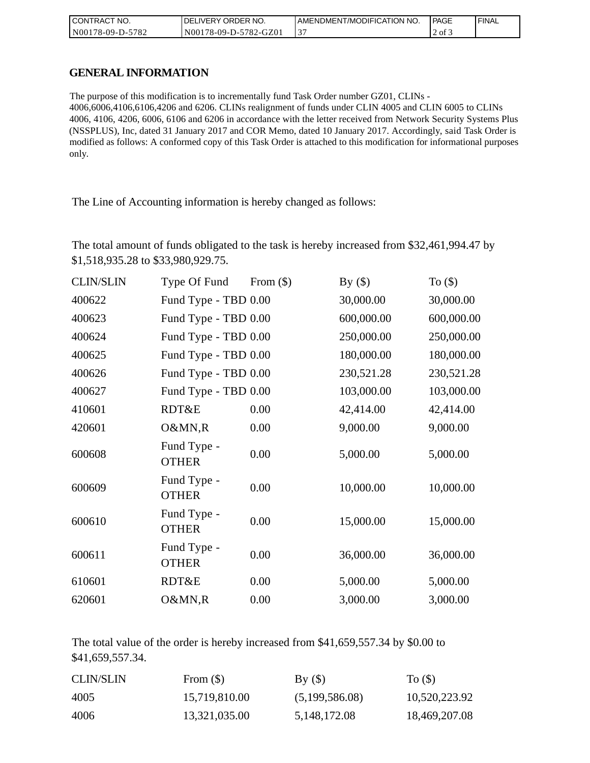| CONTRACT NO.     | <b>IDELIVERY ORDER NO.</b> | AMENDMENT/MODIFICATION NO. | l PAGE   | ' FINAL |
|------------------|----------------------------|----------------------------|----------|---------|
| N00178-09-D-5782 | N00178-09-D-5782-GZ01      |                            | $2$ of 3 |         |

## **GENERAL INFORMATION**

The purpose of this modification is to incrementally fund Task Order number GZ01, CLINs - 4006,6006,4106,6106,4206 and 6206. CLINs realignment of funds under CLIN 4005 and CLIN 6005 to CLINs 4006, 4106, 4206, 6006, 6106 and 6206 in accordance with the letter received from Network Security Systems Plus (NSSPLUS), Inc, dated 31 January 2017 and COR Memo, dated 10 January 2017. Accordingly, said Task Order is modified as follows: A conformed copy of this Task Order is attached to this modification for informational purposes only.

The Line of Accounting information is hereby changed as follows:

The total amount of funds obligated to the task is hereby increased from \$32,461,994.47 by \$1,518,935.28 to \$33,980,929.75.

| <b>CLIN/SLIN</b> | Type Of Fund                | From $(\$)$ | By $(\$)$  | To $($ math) |
|------------------|-----------------------------|-------------|------------|--------------|
| 400622           | Fund Type - TBD 0.00        |             | 30,000.00  | 30,000.00    |
| 400623           | Fund Type - TBD 0.00        |             | 600,000.00 | 600,000.00   |
| 400624           | Fund Type - TBD 0.00        |             | 250,000.00 | 250,000.00   |
| 400625           | Fund Type - TBD 0.00        |             | 180,000.00 | 180,000.00   |
| 400626           | Fund Type - TBD 0.00        |             | 230,521.28 | 230,521.28   |
| 400627           | Fund Type - TBD 0.00        |             | 103,000.00 | 103,000.00   |
| 410601           | RDT&E                       | 0.00        | 42,414.00  | 42,414.00    |
| 420601           | O&MN,R                      | 0.00        | 9,000.00   | 9,000.00     |
| 600608           | Fund Type -<br><b>OTHER</b> | 0.00        | 5,000.00   | 5,000.00     |
| 600609           | Fund Type -<br><b>OTHER</b> | 0.00        | 10,000.00  | 10,000.00    |
| 600610           | Fund Type -<br><b>OTHER</b> | 0.00        | 15,000.00  | 15,000.00    |
| 600611           | Fund Type -<br><b>OTHER</b> | 0.00        | 36,000.00  | 36,000.00    |
| 610601           | RDT&E                       | 0.00        | 5,000.00   | 5,000.00     |
| 620601           | O&MN,R                      | 0.00        | 3,000.00   | 3,000.00     |

The total value of the order is hereby increased from \$41,659,557.34 by \$0.00 to \$41,659,557.34.

| <b>CLIN/SLIN</b> | From $(\$)$   | By()           | To $($ )      |
|------------------|---------------|----------------|---------------|
| 4005             | 15,719,810.00 | (5,199,586.08) | 10,520,223.92 |
| 4006             | 13,321,035.00 | 5,148,172.08   | 18,469,207.08 |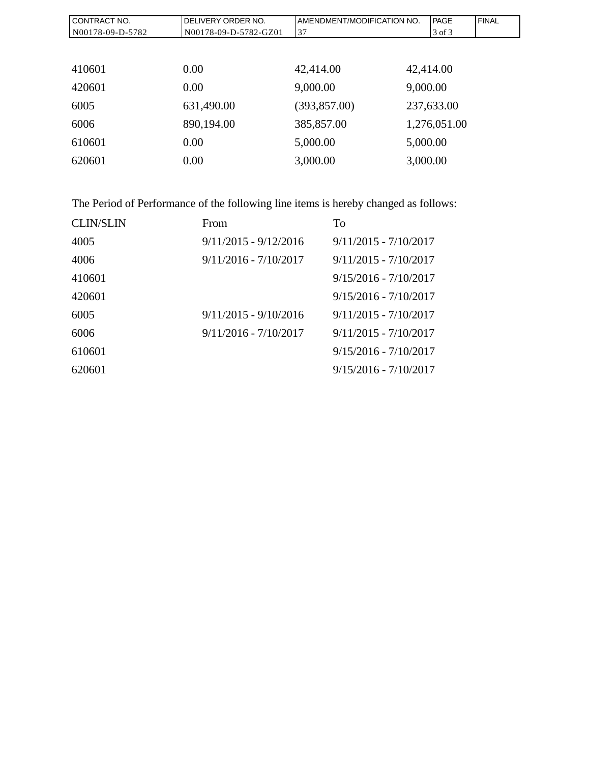| CONTRACT NO.     | DELIVERY ORDER NO.    | AMENDMENT/MODIFICATION NO. |           | <b>IPAGE</b> | <b>FINAL</b> |
|------------------|-----------------------|----------------------------|-----------|--------------|--------------|
| N00178-09-D-5782 | N00178-09-D-5782-GZ01 | 37                         |           | 3 of 3       |              |
|                  |                       |                            |           |              |              |
| 410601           | 0.00                  | 42,414.00                  | 42,414.00 |              |              |
| 420601           | 0.00                  | 9,000.00                   | 9,000.00  |              |              |
| 6005             | 631,490.00            | (393, 857.00)              |           | 237,633.00   |              |
| 6006             | 890,194.00            | 385,857.00                 |           | 1,276,051.00 |              |
| 610601           | 0.00                  | 5,000.00                   | 5,000.00  |              |              |
| 620601           | 0.00                  | 3,000.00                   | 3,000.00  |              |              |

The Period of Performance of the following line items is hereby changed as follows:

| <b>CLIN/SLIN</b> | From                    | To                      |
|------------------|-------------------------|-------------------------|
| 4005             | $9/11/2015 - 9/12/2016$ | $9/11/2015 - 7/10/2017$ |
| 4006             | $9/11/2016 - 7/10/2017$ | $9/11/2015 - 7/10/2017$ |
| 410601           |                         | $9/15/2016 - 7/10/2017$ |
| 420601           |                         | $9/15/2016 - 7/10/2017$ |
| 6005             | $9/11/2015 - 9/10/2016$ | $9/11/2015 - 7/10/2017$ |
| 6006             | $9/11/2016 - 7/10/2017$ | $9/11/2015 - 7/10/2017$ |
| 610601           |                         | $9/15/2016 - 7/10/2017$ |
| 620601           |                         | $9/15/2016 - 7/10/2017$ |
|                  |                         |                         |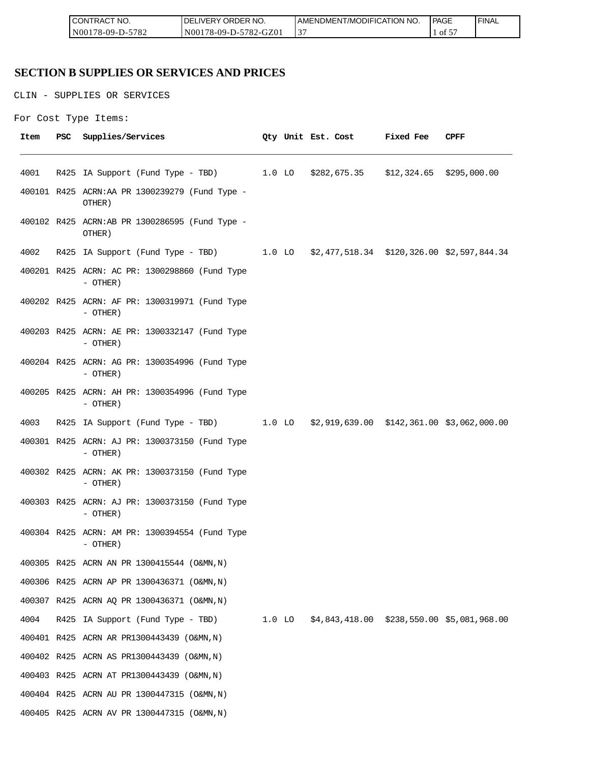| <b>CONT</b><br>'TRACT NO.        | ORDER<br>NO.<br><b>IVERY</b><br>ΩF    | AMENDMENT/MODIFICATION NO. | <b>PAGE</b> | <b>FINAL</b> |
|----------------------------------|---------------------------------------|----------------------------|-------------|--------------|
| $-5782$<br>N001<br>78-09-L<br>-ט | 5782<br>2-GZ01<br>N001<br>$78-09-D-5$ | $\sim$                     | Οİ<br>◡     |              |

# **SECTION B SUPPLIES OR SERVICES AND PRICES**

CLIN - SUPPLIES OR SERVICES

```
For Cost Type Items:
```

| Item | PSC | Supplies/Services                                                                   |  |  | Qty Unit Est. Cost Fixed Fee | CPFF |
|------|-----|-------------------------------------------------------------------------------------|--|--|------------------------------|------|
| 4001 |     | R425 IA Support (Fund Type - TBD) 1.0 LO \$282,675.35 \$12,324.65 \$295,000.00      |  |  |                              |      |
|      |     | 400101 R425 ACRN:AA PR 1300239279 (Fund Type -<br>OTHER)                            |  |  |                              |      |
|      |     | 400102 R425 ACRN:AB PR 1300286595 (Fund Type -<br>OTHER)                            |  |  |                              |      |
| 4002 |     | R425 IA Support (Fund Type - TBD) 1.0 LO \$2,477,518.34 \$120,326.00 \$2,597,844.34 |  |  |                              |      |
|      |     | 400201 R425 ACRN: AC PR: 1300298860 (Fund Type<br>- OTHER)                          |  |  |                              |      |
|      |     | 400202 R425 ACRN: AF PR: 1300319971 (Fund Type<br>$-$ OTHER)                        |  |  |                              |      |
|      |     | 400203 R425 ACRN: AE PR: 1300332147 (Fund Type<br>$-$ OTHER)                        |  |  |                              |      |
|      |     | 400204 R425 ACRN: AG PR: 1300354996 (Fund Type<br>$-$ OTHER)                        |  |  |                              |      |
|      |     | 400205 R425 ACRN: AH PR: 1300354996 (Fund Type<br>$-$ OTHER)                        |  |  |                              |      |
| 4003 |     | R425 IA Support (Fund Type - TBD) 1.0 LO \$2,919,639.00 \$142,361.00 \$3,062,000.00 |  |  |                              |      |
|      |     | 400301 R425 ACRN: AJ PR: 1300373150 (Fund Type<br>$-$ OTHER)                        |  |  |                              |      |
|      |     | 400302 R425 ACRN: AK PR: 1300373150 (Fund Type<br>$-$ OTHER)                        |  |  |                              |      |
|      |     | 400303 R425 ACRN: AJ PR: 1300373150 (Fund Type<br>- OTHER)                          |  |  |                              |      |
|      |     | 400304 R425 ACRN: AM PR: 1300394554 (Fund Type<br>- OTHER)                          |  |  |                              |      |
|      |     | 400305 R425 ACRN AN PR 1300415544 (O&MN, N)                                         |  |  |                              |      |
|      |     | 400306 R425 ACRN AP PR 1300436371 (O&MN, N)                                         |  |  |                              |      |
|      |     | 400307 R425 ACRN AQ PR 1300436371 (O&MN, N)                                         |  |  |                              |      |
| 4004 |     | R425 IA Support (Fund Type - TBD) 1.0 LO \$4,843,418.00 \$238,550.00 \$5,081,968.00 |  |  |                              |      |
|      |     | 400401 R425 ACRN AR PR1300443439 (O&MN, N)                                          |  |  |                              |      |
|      |     | 400402 R425 ACRN AS PR1300443439 (O&MN, N)                                          |  |  |                              |      |
|      |     | 400403 R425 ACRN AT PR1300443439 (O&MN, N)                                          |  |  |                              |      |
|      |     | 400404 R425 ACRN AU PR 1300447315 (O&MN, N)                                         |  |  |                              |      |
|      |     | 400405 R425 ACRN AV PR 1300447315 (O&MN, N)                                         |  |  |                              |      |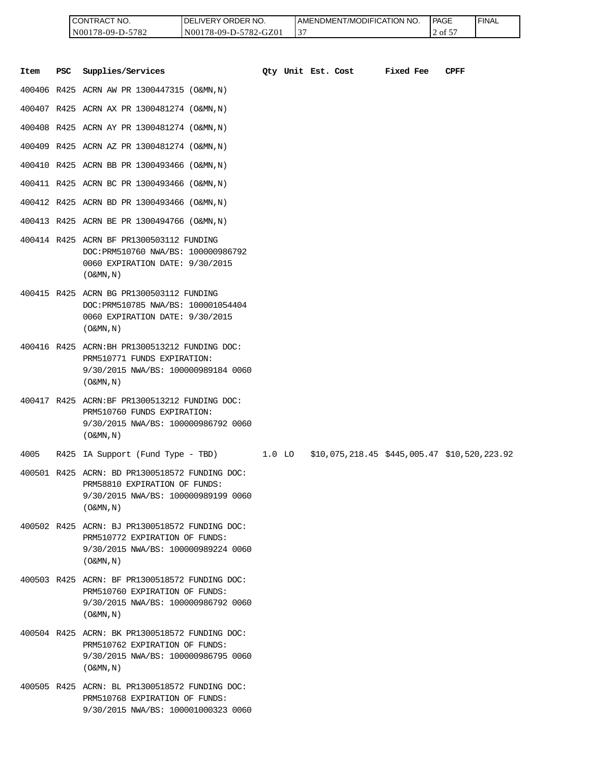| I CONTRACT NO.     | <b>IDELIVERY ORDER NO.</b> | I AMENDMENT/MODIFICATION NO. | l PAGE           | ' FINAL |
|--------------------|----------------------------|------------------------------|------------------|---------|
| $N00178-09-D-5782$ | N00178-09-D-5782-GZ01      | ◡                            | $2$ of $5^\circ$ |         |

|      |            | CONTRACT NO.<br>N00178-09-D-5782                                                                                                                      | DELIVERY ORDER NO.<br>N00178-09-D-5782-GZ01 |          | 37 |                    | AMENDMENT/MODIFICATION NO.                   |           | <b>PAGE</b><br>2 of 57 | <b>FINAL</b> |
|------|------------|-------------------------------------------------------------------------------------------------------------------------------------------------------|---------------------------------------------|----------|----|--------------------|----------------------------------------------|-----------|------------------------|--------------|
| Item | <b>PSC</b> | Supplies/Services                                                                                                                                     |                                             |          |    | Oty Unit Est. Cost |                                              | Fixed Fee | <b>CPFF</b>            |              |
|      |            | 400406 R425 ACRN AW PR 1300447315 (O&MN, N)                                                                                                           |                                             |          |    |                    |                                              |           |                        |              |
|      |            | 400407 R425 ACRN AX PR 1300481274 (O&MN, N)                                                                                                           |                                             |          |    |                    |                                              |           |                        |              |
|      |            | 400408 R425 ACRN AY PR 1300481274 (O&MN, N)                                                                                                           |                                             |          |    |                    |                                              |           |                        |              |
|      |            | 400409 R425 ACRN AZ PR 1300481274 (O&MN, N)                                                                                                           |                                             |          |    |                    |                                              |           |                        |              |
|      |            | 400410 R425 ACRN BB PR 1300493466 (O&MN, N)                                                                                                           |                                             |          |    |                    |                                              |           |                        |              |
|      |            | 400411 R425 ACRN BC PR 1300493466 (O&MN, N)                                                                                                           |                                             |          |    |                    |                                              |           |                        |              |
|      |            | 400412 R425 ACRN BD PR 1300493466 (O&MN, N)                                                                                                           |                                             |          |    |                    |                                              |           |                        |              |
|      |            | 400413 R425 ACRN BE PR 1300494766 (O&MN, N)                                                                                                           |                                             |          |    |                    |                                              |           |                        |              |
|      |            | 400414 R425 ACRN BF PR1300503112 FUNDING<br>DOC: PRM510760 NWA/BS: 100000986792<br>0060 EXPIRATION DATE: 9/30/2015<br>$($ O&MN, $N$ $)$               |                                             |          |    |                    |                                              |           |                        |              |
|      |            | 400415 R425 ACRN BG PR1300503112 FUNDING<br>DOC: PRM510785 NWA/BS: 100001054404<br>0060 EXPIRATION DATE: 9/30/2015<br>$($ O&MN, $N$ $)$               |                                             |          |    |                    |                                              |           |                        |              |
|      |            | 400416 R425 ACRN: BH PR1300513212 FUNDING DOC:<br>PRM510771 FUNDS EXPIRATION:<br>9/30/2015 NWA/BS: 100000989184 0060<br>$($ O&MN, $N$ $)$             |                                             |          |    |                    |                                              |           |                        |              |
|      |            | 400417 R425 ACRN:BF PR1300513212 FUNDING DOC:<br>PRM510760 FUNDS EXPIRATION:<br>9/30/2015 NWA/BS: 100000986792 0060<br>$($ O&MN, N)                   |                                             |          |    |                    |                                              |           |                        |              |
| 4005 |            | R425 IA Support (Fund Type - TBD)                                                                                                                     |                                             | $1.0$ LO |    |                    | \$10,075,218.45 \$445,005.47 \$10,520,223.92 |           |                        |              |
|      |            | 400501 R425 ACRN: BD PR1300518572 FUNDING DOC:<br>PRM58810 EXPIRATION OF FUNDS:<br>9/30/2015 NWA/BS: 100000989199 0060<br>$($ O&MN, N)                |                                             |          |    |                    |                                              |           |                        |              |
|      |            | 400502 R425 ACRN: BJ PR1300518572 FUNDING DOC:<br>PRM510772 EXPIRATION OF FUNDS:<br>9/30/2015 NWA/BS: 100000989224 0060<br>$($ O&MN, $\overline{N}$ ) |                                             |          |    |                    |                                              |           |                        |              |
|      |            | 400503 R425 ACRN: BF PR1300518572 FUNDING DOC:<br>PRM510760 EXPIRATION OF FUNDS:<br>9/30/2015 NWA/BS: 100000986792 0060<br>$($ O&MN, N)               |                                             |          |    |                    |                                              |           |                        |              |
|      |            | 400504 R425 ACRN: BK PR1300518572 FUNDING DOC:<br>PRM510762 EXPIRATION OF FUNDS:<br>9/30/2015 NWA/BS: 100000986795 0060<br>$($ O&MN, N)               |                                             |          |    |                    |                                              |           |                        |              |
|      |            | 400505 R425 ACRN: BL PR1300518572 FUNDING DOC:<br>PRM510768 EXPIRATION OF FUNDS:<br>9/30/2015 NWA/BS: 100001000323 0060                               |                                             |          |    |                    |                                              |           |                        |              |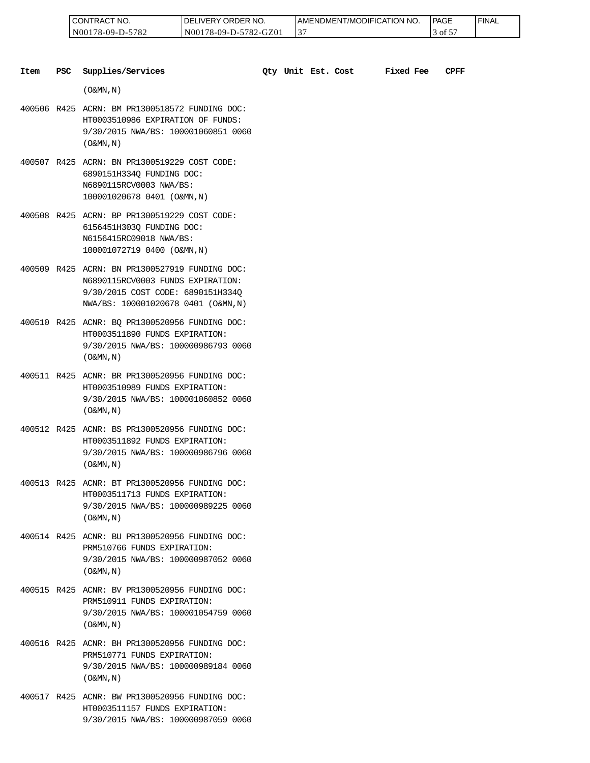| 'NO.<br>CONT<br>TRAC                               | ORDER NO.<br><b>IVERY</b><br>эF             | <b>I AMENDMENT/MODIFICATION NO.</b> | <b>PAGE</b> | <b>FINAL</b> |
|----------------------------------------------------|---------------------------------------------|-------------------------------------|-------------|--------------|
| 5700<br>N <sub>00</sub><br>$78-09-L$<br>⊿ '<br>- - | $782 - C$<br>GZ01<br>N00<br>$18 - 09 - D -$ | J.                                  | ΟĪ<br>◡     |              |

| Item | PSC | Supplies/Services                                                                                                                                              |  | Oty Unit Est. Cost | Fixed Fee | CPFF |
|------|-----|----------------------------------------------------------------------------------------------------------------------------------------------------------------|--|--------------------|-----------|------|
|      |     | $($ O&MN, N)                                                                                                                                                   |  |                    |           |      |
|      |     | 400506 R425 ACRN: BM PR1300518572 FUNDING DOC:<br>HT0003510986 EXPIRATION OF FUNDS:<br>9/30/2015 NWA/BS: 100001060851 0060<br>$($ O&MN, N)                     |  |                    |           |      |
|      |     | 400507 R425 ACRN: BN PR1300519229 COST CODE:<br>6890151H3340 FUNDING DOC:<br>N6890115RCV0003 NWA/BS:<br>100001020678 0401 (O&MN, N)                            |  |                    |           |      |
|      |     | 400508 R425 ACRN: BP PR1300519229 COST CODE:<br>6156451H303Q FUNDING DOC:<br>N6156415RC09018 NWA/BS:<br>100001072719 0400 (O&MN, N)                            |  |                    |           |      |
|      |     | 400509 R425 ACRN: BN PR1300527919 FUNDING DOC:<br>N6890115RCV0003 FUNDS EXPIRATION:<br>9/30/2015 COST CODE: 6890151H334Q<br>NWA/BS: 100001020678 0401 (O&MN,N) |  |                    |           |      |
|      |     | 400510 R425 ACNR: BQ PR1300520956 FUNDING DOC:<br>HT0003511890 FUNDS EXPIRATION:<br>9/30/2015 NWA/BS: 100000986793 0060<br>$($ O&MN, $\overline{N}$ )          |  |                    |           |      |
|      |     | 400511 R425 ACNR: BR PR1300520956 FUNDING DOC:<br>HT0003510989 FUNDS EXPIRATION:<br>9/30/2015 NWA/BS: 100001060852 0060<br>$($ O&MN, N)                        |  |                    |           |      |
|      |     | 400512 R425 ACNR: BS PR1300520956 FUNDING DOC:<br>HT0003511892 FUNDS EXPIRATION:<br>9/30/2015 NWA/BS: 100000986796 0060<br>$($ O&MN, N)                        |  |                    |           |      |
|      |     | 400513 R425 ACNR: BT PR1300520956 FUNDING DOC:<br>HT0003511713 FUNDS EXPIRATION:<br>9/30/2015 NWA/BS: 100000989225 0060<br>$($ O&MN, N)                        |  |                    |           |      |
|      |     | 400514 R425 ACNR: BU PR1300520956 FUNDING DOC:<br>PRM510766 FUNDS EXPIRATION:<br>9/30/2015 NWA/BS: 100000987052 0060<br>$($ O&MN, $\overline{N}$ )             |  |                    |           |      |
|      |     | 400515 R425 ACNR: BV PR1300520956 FUNDING DOC:<br>PRM510911 FUNDS EXPIRATION:<br>9/30/2015 NWA/BS: 100001054759 0060<br>$($ O&MN, $\overline{N}$ )             |  |                    |           |      |
|      |     | 400516 R425 ACNR: BH PR1300520956 FUNDING DOC:<br>PRM510771 FUNDS EXPIRATION:<br>9/30/2015 NWA/BS: 100000989184 0060<br>$($ O&MN, N)                           |  |                    |           |      |

400517 R425 ACNR: BW PR1300520956 FUNDING DOC: HT0003511157 FUNDS EXPIRATION: 9/30/2015 NWA/BS: 100000987059 0060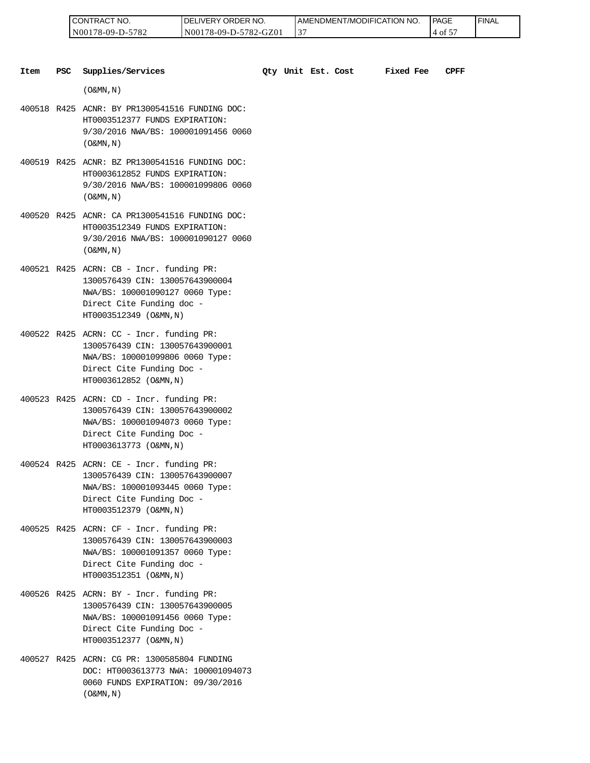| 'NO.<br>CONTRAC                    | ORDER NO.<br>ר.<br><b>IVERY</b>  | I AMENDMENT/MODIFICATION NO. | <b>PAGE</b><br>_____ | <b>FINAL</b> |
|------------------------------------|----------------------------------|------------------------------|----------------------|--------------|
| 5700<br>N00<br>78-09-I<br>⊿ '<br>. | GZ0<br>N00<br>78-09-D-:<br>782-0 | Ć                            | ΟĪ<br>◡              |              |

| Item | <b>PSC</b> | Supplies/Services                                                                                                                                                       |  | Oty Unit Est. Cost | <b>Fixed Fee</b> | CPFF |
|------|------------|-------------------------------------------------------------------------------------------------------------------------------------------------------------------------|--|--------------------|------------------|------|
|      |            | $(0\&MN, N)$                                                                                                                                                            |  |                    |                  |      |
|      |            | 400518 R425 ACNR: BY PR1300541516 FUNDING DOC:<br>HT0003512377 FUNDS EXPIRATION:<br>9/30/2016 NWA/BS: 100001091456 0060<br>$(0\&MN, N)$                                 |  |                    |                  |      |
|      |            | 400519 R425 ACNR: BZ PR1300541516 FUNDING DOC:<br>HT0003612852 FUNDS EXPIRATION:<br>9/30/2016 NWA/BS: 100001099806 0060<br>$($ O&MN, N)                                 |  |                    |                  |      |
|      |            | 400520 R425 ACNR: CA PR1300541516 FUNDING DOC:<br>HT0003512349 FUNDS EXPIRATION:<br>9/30/2016 NWA/BS: 100001090127 0060<br>$(0\&MN, N)$                                 |  |                    |                  |      |
|      |            | 400521 R425 ACRN: CB - Incr. funding PR:<br>1300576439 CIN: 130057643900004<br>NWA/BS: 100001090127 0060 Type:<br>Direct Cite Funding doc -<br>HT0003512349 (O&MN, N)   |  |                    |                  |      |
|      |            | 400522 R425 ACRN: CC - Incr. funding PR:<br>1300576439 CIN: 130057643900001<br>NWA/BS: 100001099806 0060 Type:<br>Direct Cite Funding Doc -<br>HT0003612852 (O&MN, N)   |  |                    |                  |      |
|      |            | $400523$ R425 ACRN: CD - Incr. funding PR:<br>1300576439 CIN: 130057643900002<br>NWA/BS: 100001094073 0060 Type:<br>Direct Cite Funding Doc -<br>HT0003613773 (O&MN, N) |  |                    |                  |      |
|      |            | $400524$ R425 ACRN: CE - Incr. funding PR:<br>1300576439 CIN: 130057643900007<br>NWA/BS: 100001093445 0060 Type:<br>Direct Cite Funding Doc -<br>HT0003512379 (O&MN, N) |  |                    |                  |      |
|      |            | 400525 R425 ACRN: CF - Incr. funding PR:<br>1300576439 CIN: 130057643900003<br>NWA/BS: 100001091357 0060 Type:<br>Direct Cite Funding doc -<br>HT0003512351 (O&MN, N)   |  |                    |                  |      |
|      |            | 400526 R425 ACRN: BY - Incr. funding PR:<br>1300576439 CIN: 130057643900005<br>NWA/BS: 100001091456 0060 Type:<br>Direct Cite Funding Doc -<br>HT0003512377 (O&MN, N)   |  |                    |                  |      |
|      |            | 400527 R425 ACRN: CG PR: 1300585804 FUNDING<br>DOC: HT0003613773 NWA: 100001094073<br>0060 FUNDS EXPIRATION: 09/30/2016                                                 |  |                    |                  |      |

 $($  O&MN , N  $)$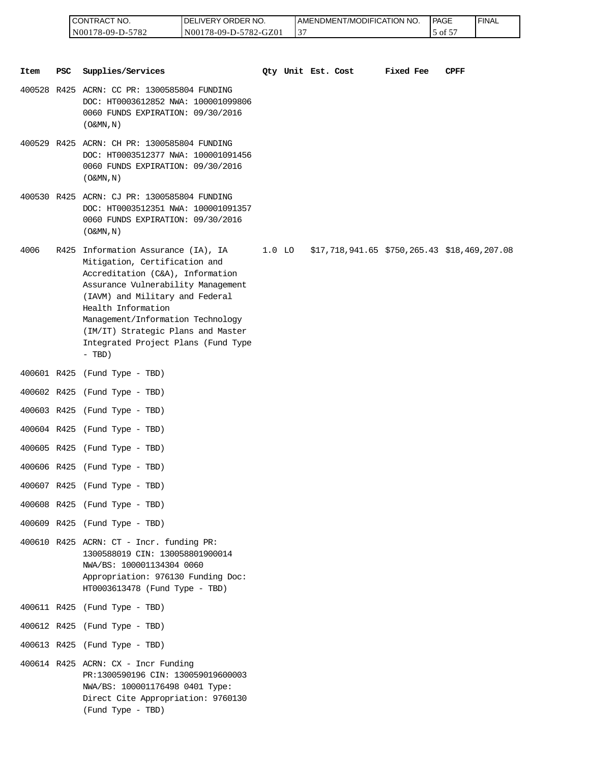| <b>CONTRACT NO.</b> | <b>IDELIVERY ORDER NO.</b> | AMENDMENT/MODIFICATION NO. | <b>PAGE</b> | ' FINAL |
|---------------------|----------------------------|----------------------------|-------------|---------|
| N00178-09-D-5782    | N00178-09-D-5782-GZ01      | ◡                          | -of         |         |

|      |            | CONTRACT NO.<br>N00178-09-D-5782                                                                                                                                                                                                                                                                                                      | DELIVERY ORDER NO.<br>N00178-09-D-5782-GZ01 |          | 37 | AMENDMENT/MODIFICATION NO.                      |           | PAGE<br>5 of 57 | <b>FINAL</b> |
|------|------------|---------------------------------------------------------------------------------------------------------------------------------------------------------------------------------------------------------------------------------------------------------------------------------------------------------------------------------------|---------------------------------------------|----------|----|-------------------------------------------------|-----------|-----------------|--------------|
|      |            |                                                                                                                                                                                                                                                                                                                                       |                                             |          |    |                                                 |           |                 |              |
| Item | <b>PSC</b> | Supplies/Services                                                                                                                                                                                                                                                                                                                     |                                             |          |    | Qty Unit Est. Cost                              | Fixed Fee | CPFF            |              |
|      |            | 400528 R425 ACRN: CC PR: 1300585804 FUNDING<br>DOC: HT0003612852 NWA: 100001099806<br>0060 FUNDS EXPIRATION: 09/30/2016<br>$($ O&MN, N)                                                                                                                                                                                               |                                             |          |    |                                                 |           |                 |              |
|      |            | 400529 R425 ACRN: CH PR: 1300585804 FUNDING<br>DOC: HT0003512377 NWA: 100001091456<br>0060 FUNDS EXPIRATION: 09/30/2016<br>$($ O&MN, N)                                                                                                                                                                                               |                                             |          |    |                                                 |           |                 |              |
|      |            | 400530 R425 ACRN: CJ PR: 1300585804 FUNDING<br>DOC: HT0003512351 NWA: 100001091357<br>0060 FUNDS EXPIRATION: 09/30/2016<br>$($ O&MN, $N$ $)$                                                                                                                                                                                          |                                             |          |    |                                                 |           |                 |              |
| 4006 |            | R425 Information Assurance (IA), IA<br>Mitigation, Certification and<br>Accreditation (C&A), Information<br>Assurance Vulnerability Management<br>(IAVM) and Military and Federal<br>Health Information<br>Management/Information Technology<br>(IM/IT) Strategic Plans and Master<br>Integrated Project Plans (Fund Type<br>$- TBD)$ |                                             | $1.0$ LO |    | $$17,718,941.65$ $$750,265.43$ $$18,469,207.08$ |           |                 |              |
|      |            | 400601 R425 (Fund Type - TBD)                                                                                                                                                                                                                                                                                                         |                                             |          |    |                                                 |           |                 |              |
|      |            | 400602 R425 (Fund Type - TBD)                                                                                                                                                                                                                                                                                                         |                                             |          |    |                                                 |           |                 |              |
|      |            | 400603 R425 (Fund Type - TBD)                                                                                                                                                                                                                                                                                                         |                                             |          |    |                                                 |           |                 |              |
|      |            | 400604 R425 (Fund Type - TBD)                                                                                                                                                                                                                                                                                                         |                                             |          |    |                                                 |           |                 |              |
|      |            | 400605 R425 (Fund Type - TBD)                                                                                                                                                                                                                                                                                                         |                                             |          |    |                                                 |           |                 |              |
|      |            | 400606 R425 (Fund Type - TBD)                                                                                                                                                                                                                                                                                                         |                                             |          |    |                                                 |           |                 |              |
|      |            | 400607 R425 (Fund Type - TBD)                                                                                                                                                                                                                                                                                                         |                                             |          |    |                                                 |           |                 |              |
|      |            | 400608 R425 (Fund Type - TBD)                                                                                                                                                                                                                                                                                                         |                                             |          |    |                                                 |           |                 |              |
|      |            | 400609 R425 (Fund Type - TBD)                                                                                                                                                                                                                                                                                                         |                                             |          |    |                                                 |           |                 |              |
|      |            | 400610 R425 ACRN: CT - Incr. funding PR:<br>1300588019 CIN: 130058801900014<br>NWA/BS: 100001134304 0060<br>Appropriation: 976130 Funding Doc:<br>HT0003613478 (Fund Type - TBD)                                                                                                                                                      |                                             |          |    |                                                 |           |                 |              |
|      |            | 400611 R425 (Fund Type - TBD)                                                                                                                                                                                                                                                                                                         |                                             |          |    |                                                 |           |                 |              |
|      |            | 400612 R425 (Fund Type - TBD)                                                                                                                                                                                                                                                                                                         |                                             |          |    |                                                 |           |                 |              |
|      |            | 400613 R425 (Fund Type - TBD)                                                                                                                                                                                                                                                                                                         |                                             |          |    |                                                 |           |                 |              |
|      |            | $400614$ R425 ACRN: CX - Incr Funding<br>PR:1300590196 CIN: 130059019600003<br>NWA/BS: 100001176498 0401 Type:<br>Direct Cite Appropriation: 9760130<br>(Fund Type - TBD)                                                                                                                                                             |                                             |          |    |                                                 |           |                 |              |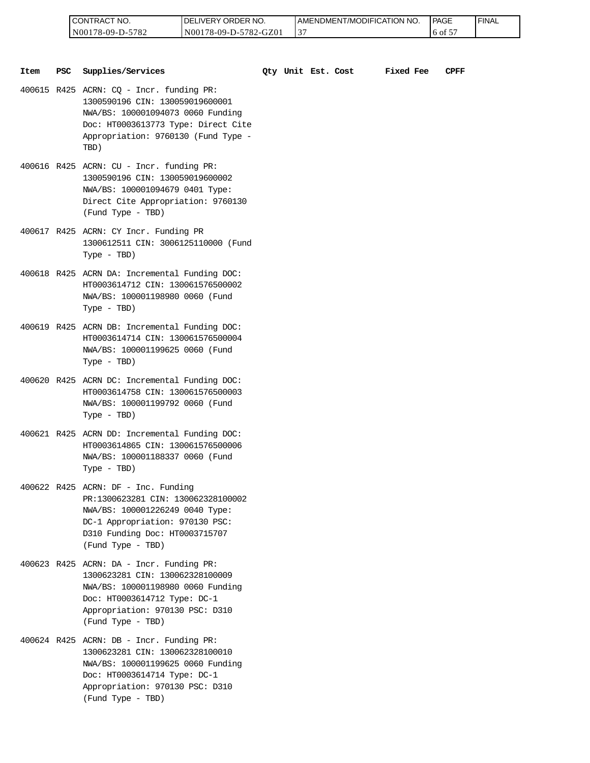| 'NO.<br><b>CONTRAC</b>                  | ORI<br>₹DER<br>NO.<br>ΩF<br>177 <b>-13</b> | LAMENDMENT/MODIFICATION NO. | <b>PAGE</b> | <b>FINAL</b> |
|-----------------------------------------|--------------------------------------------|-----------------------------|-------------|--------------|
| 5782<br>N00 <sub>1</sub><br>$78-09-D$ - | GZ0<br>N001<br>78-09-D-5782-<br>′−\        | $. \cap$<br>. 3             | --<br>ОI    |              |

| Item | PSC | Supplies/Services                                                                                                                                                                                        |  | Qty Unit Est. Cost | <b>Fixed Fee</b> | <b>CPFF</b> |
|------|-----|----------------------------------------------------------------------------------------------------------------------------------------------------------------------------------------------------------|--|--------------------|------------------|-------------|
|      |     | 400615 R425 ACRN: CQ - Incr. funding PR:<br>1300590196 CIN: 130059019600001<br>NWA/BS: 100001094073 0060 Funding<br>Doc: HT0003613773 Type: Direct Cite<br>Appropriation: 9760130 (Fund Type -<br>TBD)   |  |                    |                  |             |
|      |     | 400616 R425 ACRN: CU - Incr. funding PR:<br>1300590196 CIN: 130059019600002<br>NWA/BS: 100001094679 0401 Type:<br>Direct Cite Appropriation: 9760130<br>(Fund Type - TBD)                                |  |                    |                  |             |
|      |     | 400617 R425 ACRN: CY Incr. Funding PR<br>1300612511 CIN: 3006125110000 (Fund<br>Type - TBD)                                                                                                              |  |                    |                  |             |
|      |     | 400618 R425 ACRN DA: Incremental Funding DOC:<br>HT0003614712 CIN: 130061576500002<br>NWA/BS: 100001198980 0060 (Fund<br>Type - TBD)                                                                     |  |                    |                  |             |
|      |     | 400619 R425 ACRN DB: Incremental Funding DOC:<br>HT0003614714 CIN: 130061576500004<br>NWA/BS: 100001199625 0060 (Fund<br>Type - TBD)                                                                     |  |                    |                  |             |
|      |     | 400620 R425 ACRN DC: Incremental Funding DOC:<br>HT0003614758 CIN: 130061576500003<br>NWA/BS: 100001199792 0060 (Fund<br>Type - TBD)                                                                     |  |                    |                  |             |
|      |     | 400621 R425 ACRN DD: Incremental Funding DOC:<br>HT0003614865 CIN: 130061576500006<br>NWA/BS: 100001188337 0060 (Fund<br>$Type - TBD)$                                                                   |  |                    |                  |             |
|      |     | 400622 R425 ACRN: DF - Inc. Funding<br>PR:1300623281 CIN: 130062328100002<br>NWA/BS: 100001226249 0040 Type:<br>DC-1 Appropriation: 970130 PSC:<br>D310 Funding Doc: HT0003715707<br>(Fund Type - TBD)   |  |                    |                  |             |
|      |     | 400623 R425 ACRN: DA - Incr. Funding PR:<br>1300623281 CIN: 130062328100009<br>NWA/BS: 100001198980 0060 Funding<br>Doc: HT0003614712 Type: DC-1<br>Appropriation: 970130 PSC: D310<br>(Fund Type - TBD) |  |                    |                  |             |
|      |     | 400624 R425 ACRN: DB - Incr. Funding PR:<br>1300623281 CIN: 130062328100010<br>NWA/BS: 100001199625 0060 Funding<br>Doc: HT0003614714 Type: DC-1<br>Appropriation: 970130 PSC: D310<br>(Fund Type - TBD) |  |                    |                  |             |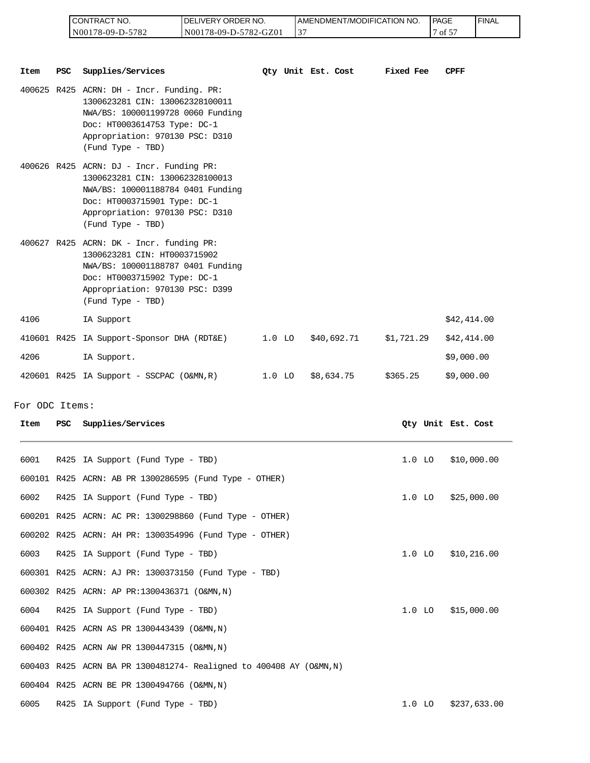| I CONTRACT NO.   | <b>IDELIVERY ORDER NO.</b> | AMENDMENT/MODIFICATION NO. | <b>PAGE</b> | ' FINAL |
|------------------|----------------------------|----------------------------|-------------|---------|
| N00178-09-D-5782 | N00178-09-D-5782-GZ01      |                            | ---<br>οt   |         |

|                |            | CONTRACT NO.<br>N00178-09-D-5782                                                                                                                                                                           | DELIVERY ORDER NO.<br>N00178-09-D-5782-GZ01 |          | 37 | AMENDMENT/MODIFICATION NO. |            | <b>PAGE</b><br>7 of 57 |                    | <b>FINAL</b> |
|----------------|------------|------------------------------------------------------------------------------------------------------------------------------------------------------------------------------------------------------------|---------------------------------------------|----------|----|----------------------------|------------|------------------------|--------------------|--------------|
| Item           | PSC        | Supplies/Services                                                                                                                                                                                          |                                             |          |    | Qty Unit Est. Cost         | Fixed Fee  |                        | CPFF               |              |
|                |            | 400625 R425 ACRN: DH - Incr. Funding. PR:<br>1300623281 CIN: 130062328100011<br>NWA/BS: 100001199728 0060 Funding<br>Doc: HT0003614753 Type: DC-1<br>Appropriation: 970130 PSC: D310<br>(Fund Type - TBD)  |                                             |          |    |                            |            |                        |                    |              |
|                |            | $400626$ R425 ACRN: DJ - Incr. Funding PR:<br>1300623281 CIN: 130062328100013<br>NWA/BS: 100001188784 0401 Funding<br>Doc: HT0003715901 Type: DC-1<br>Appropriation: 970130 PSC: D310<br>(Fund Type - TBD) |                                             |          |    |                            |            |                        |                    |              |
|                |            | 400627 R425 ACRN: DK - Incr. funding PR:<br>1300623281 CIN: HT0003715902<br>NWA/BS: 100001188787 0401 Funding<br>Doc: HT0003715902 Type: DC-1<br>Appropriation: 970130 PSC: D399<br>(Fund Type - TBD)      |                                             |          |    |                            |            |                        |                    |              |
| 4106           |            | IA Support                                                                                                                                                                                                 |                                             |          |    |                            |            |                        | \$42,414.00        |              |
|                |            | 410601 R425 IA Support-Sponsor DHA (RDT&E)                                                                                                                                                                 |                                             | $1.0$ LO |    | \$40,692.71                | \$1,721.29 |                        | \$42,414.00        |              |
| 4206           |            | IA Support.                                                                                                                                                                                                |                                             |          |    |                            |            |                        | \$9,000.00         |              |
|                |            | 420601 R425 IA Support - SSCPAC (O&MN,R)                                                                                                                                                                   |                                             | $1.0$ LO |    | \$8,634.75                 | \$365.25   |                        | \$9,000.00         |              |
| For ODC Items: |            |                                                                                                                                                                                                            |                                             |          |    |                            |            |                        |                    |              |
| Item           | <b>PSC</b> | Supplies/Services                                                                                                                                                                                          |                                             |          |    |                            |            |                        | Qty Unit Est. Cost |              |
| 6001           |            | R425 IA Support (Fund Type - TBD)                                                                                                                                                                          |                                             |          |    |                            | $1.0$ LO   |                        | \$10,000.00        |              |
|                |            | 600101 R425 ACRN: AB PR 1300286595 (Fund Type - OTHER)                                                                                                                                                     |                                             |          |    |                            |            |                        |                    |              |
| 6002           |            | R425 IA Support (Fund Type - TBD)                                                                                                                                                                          |                                             |          |    |                            | $1.0$ LO   |                        | \$25,000.00        |              |
|                |            | 600201 R425 ACRN: AC PR: 1300298860 (Fund Type - OTHER)                                                                                                                                                    |                                             |          |    |                            |            |                        |                    |              |
|                |            | 600202 R425 ACRN: AH PR: 1300354996 (Fund Type - OTHER)                                                                                                                                                    |                                             |          |    |                            |            |                        |                    |              |
| 6003           |            | R425 IA Support (Fund Type - TBD)                                                                                                                                                                          |                                             |          |    |                            | $1.0$ LO   |                        | \$10,216.00        |              |
|                |            | 600301 R425 ACRN: AJ PR: 1300373150 (Fund Type - TBD)                                                                                                                                                      |                                             |          |    |                            |            |                        |                    |              |
|                |            | 600302 R425 ACRN: AP PR:1300436371 (O&MN, N)                                                                                                                                                               |                                             |          |    |                            |            |                        |                    |              |
| 6004           |            | R425 IA Support (Fund Type - TBD)                                                                                                                                                                          |                                             |          |    |                            | $1.0$ LO   |                        | \$15,000.00        |              |
|                |            | 600401 R425 ACRN AS PR 1300443439 (O&MN, N)                                                                                                                                                                |                                             |          |    |                            |            |                        |                    |              |
|                |            | 600402 R425 ACRN AW PR 1300447315 (O&MN, N)                                                                                                                                                                |                                             |          |    |                            |            |                        |                    |              |
|                |            | 600403 R425 ACRN BA PR 1300481274- Realigned to 400408 AY (O&MN, N)                                                                                                                                        |                                             |          |    |                            |            |                        |                    |              |
|                |            | 600404 R425 ACRN BE PR 1300494766 (O&MN, N)                                                                                                                                                                |                                             |          |    |                            |            |                        |                    |              |
| 6005           |            | R425 IA Support (Fund Type - TBD)                                                                                                                                                                          |                                             |          |    |                            | $1.0$ LO   |                        | \$237,633.00       |              |

For ODC Items:

| Item | PSC | Supplies/Services                                                   |          | Oty Unit Est. Cost |
|------|-----|---------------------------------------------------------------------|----------|--------------------|
| 6001 |     | R425 IA Support (Fund Type - TBD)                                   | $1.0$ LO | \$10,000.00        |
|      |     | 600101 R425 ACRN: AB PR 1300286595 (Fund Type - OTHER)              |          |                    |
| 6002 |     | R425 IA Support (Fund Type - TBD)                                   | $1.0$ LO | \$25,000.00        |
|      |     | 600201 R425 ACRN: AC PR: 1300298860 (Fund Type - OTHER)             |          |                    |
|      |     | 600202 R425 ACRN: AH PR: 1300354996 (Fund Type - OTHER)             |          |                    |
| 6003 |     | R425 IA Support (Fund Type - TBD)                                   | $1.0$ LO | \$10, 216.00       |
|      |     | 600301 R425 ACRN: AJ PR: 1300373150 (Fund Type - TBD)               |          |                    |
|      |     | 600302 R425 ACRN: AP PR:1300436371 (O&MN, N)                        |          |                    |
| 6004 |     | R425 IA Support (Fund Type - TBD)                                   | $1.0$ LO | \$15,000.00        |
|      |     | 600401 R425 ACRN AS PR 1300443439 (O&MN, N)                         |          |                    |
|      |     | 600402 R425 ACRN AW PR 1300447315 (O&MN, N)                         |          |                    |
|      |     | 600403 R425 ACRN BA PR 1300481274- Realigned to 400408 AY (O&MN, N) |          |                    |
|      |     | 600404 R425 ACRN BE PR 1300494766 (O&MN, N)                         |          |                    |
| 6005 |     | R425 IA Support (Fund Type - TBD)                                   | $1.0$ LO | \$237,633.00       |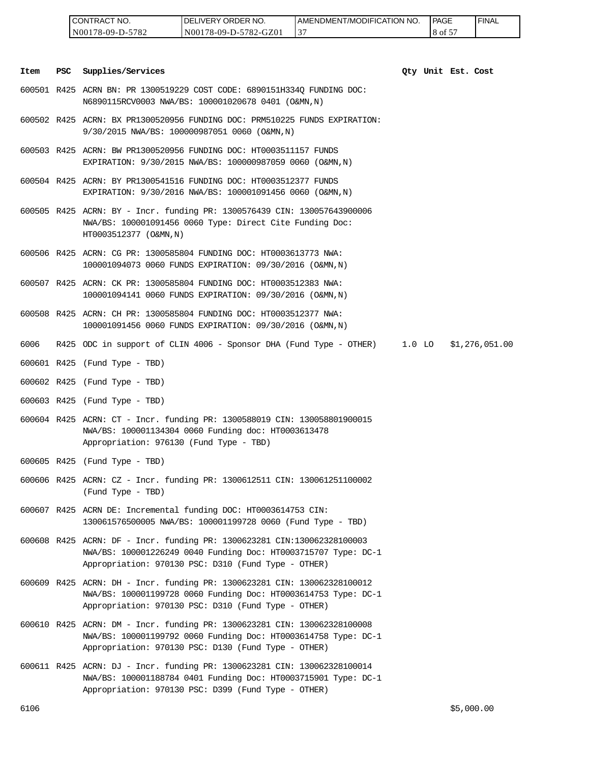| <b>CONTRACT NO.</b> | <b>IDELIVERY ORDER NO.</b> | I AMENDMENT/MODIFICATION NO. | <b>PAGE</b> | ' FINAL |
|---------------------|----------------------------|------------------------------|-------------|---------|
| N00178-09-D-5782    | N00178-09-D-5782-GZ01      | ◡                            | 8 of 5      |         |

#### **Item PSC Supplies/Services Qty Unit Est. Cost**

- 600501 R425 ACRN BN: PR 1300519229 COST CODE: 6890151H334Q FUNDING DOC: N6890115RCV0003 NWA/BS: 100001020678 0401 (O&MN,N)
- 600502 R425 ACRN: BX PR1300520956 FUNDING DOC: PRM510225 FUNDS EXPIRATION: 9/30/2015 NWA/BS: 100000987051 0060 (O&MN,N)
- 600503 R425 ACRN: BW PR1300520956 FUNDING DOC: HT0003511157 FUNDS EXPIRATION: 9/30/2015 NWA/BS: 100000987059 0060 (O&MN,N)
- 600504 R425 ACRN: BY PR1300541516 FUNDING DOC: HT0003512377 FUNDS EXPIRATION: 9/30/2016 NWA/BS: 100001091456 0060 (O&MN,N)
- 600505 R425 ACRN: BY Incr. funding PR: 1300576439 CIN: 130057643900006 NWA/BS: 100001091456 0060 Type: Direct Cite Funding Doc: HT0003512377 (O&MN,N)
- 600506 R425 ACRN: CG PR: 1300585804 FUNDING DOC: HT0003613773 NWA: 100001094073 0060 FUNDS EXPIRATION: 09/30/2016 (O&MN,N)
- 600507 R425 ACRN: CK PR: 1300585804 FUNDING DOC: HT0003512383 NWA: 100001094141 0060 FUNDS EXPIRATION: 09/30/2016 (O&MN,N)
- 600508 R425 ACRN: CH PR: 1300585804 FUNDING DOC: HT0003512377 NWA: 100001091456 0060 FUNDS EXPIRATION: 09/30/2016 (O&MN,N)
- 6006 R425 ODC in support of CLIN 4006 Sponsor DHA (Fund Type OTHER) 1.0 LO \$1,276,051.00
- 600601 R425 (Fund Type TBD)
- 600602 R425 (Fund Type TBD)
- 600603 R425 (Fund Type TBD)
- 600604 R425 ACRN: CT Incr. funding PR: 1300588019 CIN: 130058801900015 NWA/BS: 100001134304 0060 Funding doc: HT0003613478 Appropriation: 976130 (Fund Type - TBD)
- 600605 R425 (Fund Type TBD)
- 600606 R425 ACRN: CZ Incr. funding PR: 1300612511 CIN: 130061251100002 (Fund Type - TBD)
- 600607 R425 ACRN DE: Incremental funding DOC: HT0003614753 CIN: 130061576500005 NWA/BS: 100001199728 0060 (Fund Type - TBD)
- 600608 R425 ACRN: DF Incr. funding PR: 1300623281 CIN:130062328100003 NWA/BS: 100001226249 0040 Funding Doc: HT0003715707 Type: DC-1 Appropriation: 970130 PSC: D310 (Fund Type - OTHER) 6106 \$5,000.00 CONTRACT NO.
- 600609 R425 ACRN: DH Incr. funding PR: 1300623281 CIN: 130062328100012 NWA/BS: 100001199728 0060 Funding Doc: HT0003614753 Type: DC-1 Appropriation: 970130 PSC: D310 (Fund Type - OTHER)
- 600610 R425 ACRN: DM Incr. funding PR: 1300623281 CIN: 130062328100008 NWA/BS: 100001199792 0060 Funding Doc: HT0003614758 Type: DC-1 Appropriation: 970130 PSC: D130 (Fund Type - OTHER)
- 600611 R425 ACRN: DJ Incr. funding PR: 1300623281 CIN: 130062328100014 NWA/BS: 100001188784 0401 Funding Doc: HT0003715901 Type: DC-1 Appropriation: 970130 PSC: D399 (Fund Type - OTHER)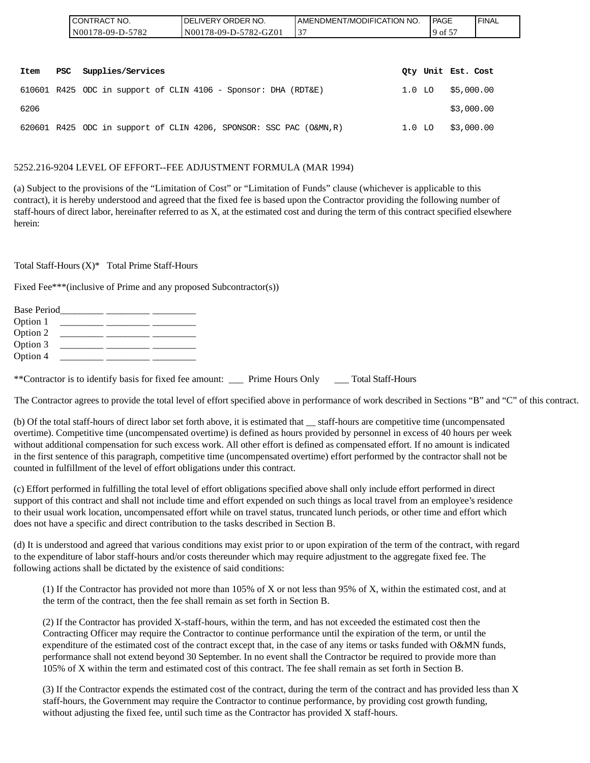| CONTRACT NO.     | ELIVERY ORDER NO.<br>DEI | AMENDMENT/MODIFICATION NO. | PAGE                                        | ' FINAL |
|------------------|--------------------------|----------------------------|---------------------------------------------|---------|
| N00178-09-D-5782 | N00178-09-D-5782-GZ01    |                            | $\overline{\phantom{a}}$<br>$19$ of $\circ$ |         |
|                  |                          |                            |                                             |         |

| Item | PSC | Supplies/Services                                                  |          | Oty Unit Est. Cost |
|------|-----|--------------------------------------------------------------------|----------|--------------------|
|      |     | $610601$ R425 ODC in support of CLIN 4106 - Sponsor: DHA (RDT&E)   |          | 1.0 LO \$5,000.00  |
| 6206 |     |                                                                    |          | \$3,000.00         |
|      |     | 620601 R425 ODC in support of CLIN 4206, SPONSOR: SSC PAC (O&MN,R) | $1.0$ LO | \$3,000.00         |

#### 5252.216-9204 LEVEL OF EFFORT--FEE ADJUSTMENT FORMULA (MAR 1994)

(a) Subject to the provisions of the "Limitation of Cost" or "Limitation of Funds" clause (whichever is applicable to this contract), it is hereby understood and agreed that the fixed fee is based upon the Contractor providing the following number of staff-hours of direct labor, hereinafter referred to as X, at the estimated cost and during the term of this contract specified elsewhere herein:

Total Staff-Hours (X)\* Total Prime Staff-Hours

Fixed Fee\*\*\*(inclusive of Prime and any proposed Subcontractor(s))

| Base Period |  |  |
|-------------|--|--|
| Option 1    |  |  |
| Option 2    |  |  |
| Option 3    |  |  |
| Option 4    |  |  |

\*\*Contractor is to identify basis for fixed fee amount: \_\_\_ Prime Hours Only \_\_\_ Total Staff-Hours

The Contractor agrees to provide the total level of effort specified above in performance of work described in Sections "B" and "C" of this contract.

(b) Of the total staff-hours of direct labor set forth above, it is estimated that \_\_ staff-hours are competitive time (uncompensated overtime). Competitive time (uncompensated overtime) is defined as hours provided by personnel in excess of 40 hours per week without additional compensation for such excess work. All other effort is defined as compensated effort. If no amount is indicated in the first sentence of this paragraph, competitive time (uncompensated overtime) effort performed by the contractor shall not be counted in fulfillment of the level of effort obligations under this contract.

(c) Effort performed in fulfilling the total level of effort obligations specified above shall only include effort performed in direct support of this contract and shall not include time and effort expended on such things as local travel from an employee's residence to their usual work location, uncompensated effort while on travel status, truncated lunch periods, or other time and effort which does not have a specific and direct contribution to the tasks described in Section B.

(d) It is understood and agreed that various conditions may exist prior to or upon expiration of the term of the contract, with regard to the expenditure of labor staff-hours and/or costs thereunder which may require adjustment to the aggregate fixed fee. The following actions shall be dictated by the existence of said conditions:

(1) If the Contractor has provided not more than 105% of X or not less than 95% of X, within the estimated cost, and at the term of the contract, then the fee shall remain as set forth in Section B.

(2) If the Contractor has provided X-staff-hours, within the term, and has not exceeded the estimated cost then the Contracting Officer may require the Contractor to continue performance until the expiration of the term, or until the expenditure of the estimated cost of the contract except that, in the case of any items or tasks funded with O&MN funds, performance shall not extend beyond 30 September. In no event shall the Contractor be required to provide more than 105% of X within the term and estimated cost of this contract. The fee shall remain as set forth in Section B.

(3) If the Contractor expends the estimated cost of the contract, during the term of the contract and has provided less than X staff-hours, the Government may require the Contractor to continue performance, by providing cost growth funding, without adjusting the fixed fee, until such time as the Contractor has provided X staff-hours.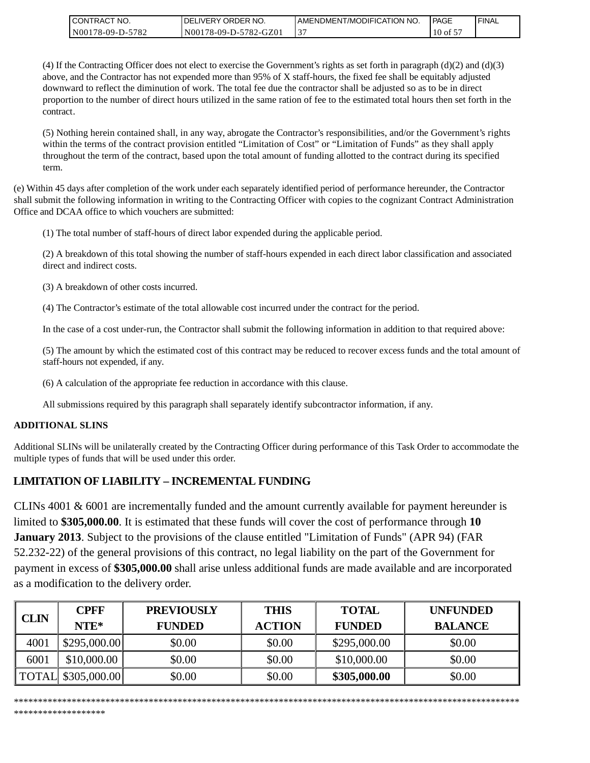| I CONTRACT NO.    | <b>IDELIVERY ORDER NO.</b> | AMENDMENT/MODIFICATION NO. | PAGE       | <b>I FINAL</b> |
|-------------------|----------------------------|----------------------------|------------|----------------|
| IN00178-09-D-5782 | N00178-09-D-5782-GZ01      | ້                          | $'10$ of 5 |                |

(4) If the Contracting Officer does not elect to exercise the Government's rights as set forth in paragraph (d)(2) and (d)(3) above, and the Contractor has not expended more than 95% of X staff-hours, the fixed fee shall be equitably adjusted downward to reflect the diminution of work. The total fee due the contractor shall be adjusted so as to be in direct proportion to the number of direct hours utilized in the same ration of fee to the estimated total hours then set forth in the contract.

(5) Nothing herein contained shall, in any way, abrogate the Contractor's responsibilities, and/or the Government's rights within the terms of the contract provision entitled "Limitation of Cost" or "Limitation of Funds" as they shall apply throughout the term of the contract, based upon the total amount of funding allotted to the contract during its specified term.

(e) Within 45 days after completion of the work under each separately identified period of performance hereunder, the Contractor shall submit the following information in writing to the Contracting Officer with copies to the cognizant Contract Administration Office and DCAA office to which vouchers are submitted:

(1) The total number of staff-hours of direct labor expended during the applicable period.

(2) A breakdown of this total showing the number of staff-hours expended in each direct labor classification and associated direct and indirect costs.

(3) A breakdown of other costs incurred.

(4) The Contractor's estimate of the total allowable cost incurred under the contract for the period.

In the case of a cost under-run, the Contractor shall submit the following information in addition to that required above:

(5) The amount by which the estimated cost of this contract may be reduced to recover excess funds and the total amount of staff-hours not expended, if any.

(6) A calculation of the appropriate fee reduction in accordance with this clause.

All submissions required by this paragraph shall separately identify subcontractor information, if any.

#### **ADDITIONAL SLINS**

Additional SLINs will be unilaterally created by the Contracting Officer during performance of this Task Order to accommodate the multiple types of funds that will be used under this order.

# **LIMITATION OF LIABILITY – INCREMENTAL FUNDING**

CLINs 4001 & 6001 are incrementally funded and the amount currently available for payment hereunder is limited to **\$305,000.00**. It is estimated that these funds will cover the cost of performance through **10 January 2013**. Subject to the provisions of the clause entitled "Limitation of Funds" (APR 94) (FAR 52.232-22) of the general provisions of this contract, no legal liability on the part of the Government for payment in excess of **\$305,000.00** shall arise unless additional funds are made available and are incorporated as a modification to the delivery order.

| <b>CLIN</b> | <b>CPFF</b><br>$NTE*$ | <b>PREVIOUSLY</b><br><b>FUNDED</b> | <b>THIS</b><br><b>ACTION</b> | <b>TOTAL</b><br><b>FUNDED</b> | <b>UNFUNDED</b><br><b>BALANCE</b> |
|-------------|-----------------------|------------------------------------|------------------------------|-------------------------------|-----------------------------------|
| 4001        | \$295,000.00]         | \$0.00                             | \$0.00                       | \$295,000.00                  | \$0.00                            |
| 6001        | \$10,000.00           | \$0.00                             | \$0.00                       | \$10,000.00                   | \$0.00                            |
|             | TOTAL \\$305,000.00   | \$0.00                             | \$0.00                       | \$305,000.00                  | \$0.00                            |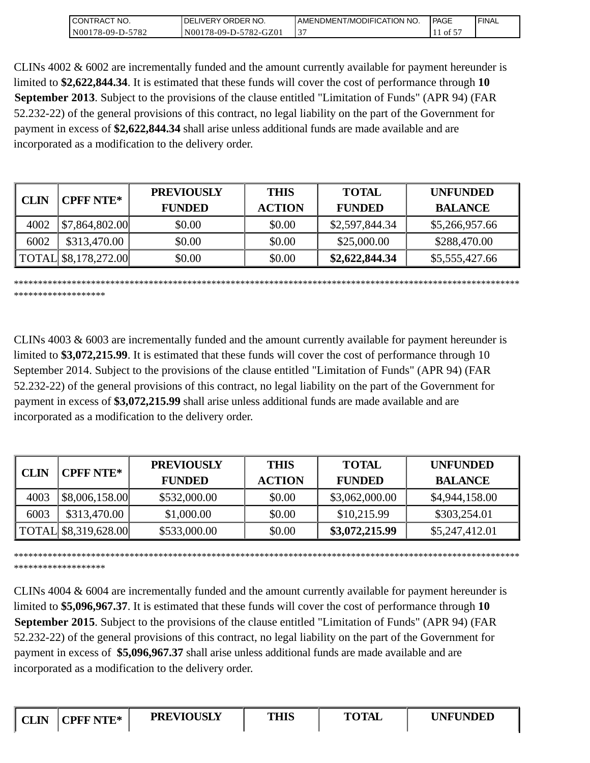| I CONTRACT NO.       | ' NO.<br>DELIVERY ORDER | I AMENDMENT/MODIFICATION NO. | PAGE | ' FINAL |
|----------------------|-------------------------|------------------------------|------|---------|
| 78-09-D-5782<br>N001 | N00178-09-D-5782-GZ01   | ້                            | ΟÌ   |         |

CLINs 4002 & 6002 are incrementally funded and the amount currently available for payment hereunder is limited to **\$2,622,844.34**. It is estimated that these funds will cover the cost of performance through **10 September 2013**. Subject to the provisions of the clause entitled "Limitation of Funds" (APR 94) (FAR 52.232-22) of the general provisions of this contract, no legal liability on the part of the Government for payment in excess of **\$2,622,844.34** shall arise unless additional funds are made available and are incorporated as a modification to the delivery order.

| CLIN | <b>CPFF NTE*</b>     | <b>PREVIOUSLY</b> | <b>THIS</b>   | <b>TOTAL</b>   | <b>UNFUNDED</b> |
|------|----------------------|-------------------|---------------|----------------|-----------------|
|      |                      | <b>FUNDED</b>     | <b>ACTION</b> | <b>FUNDED</b>  | <b>BALANCE</b>  |
| 4002 | \$7,864,802.00       | \$0.00            | \$0.00        | \$2,597,844.34 | \$5,266,957.66  |
| 6002 | \$313,470.00         | \$0.00            | \$0.00        | \$25,000.00    | \$288,470.00    |
|      | TOTAL \$8,178,272.00 | \$0.00            | \$0.00        | \$2,622,844.34 | \$5,555,427.66  |

\*\*\*\*\*\*\*\*\*\*\*\*\*\*\*\*\*\*\*\*\*\*\*\*\*\*\*\*\*\*\*\*\*\*\*\*\*\*\*\*\*\*\*\*\*\*\*\*\*\*\*\*\*\*\*\*\*\*\*\*\*\*\*\*\*\*\*\*\*\*\*\*\*\*\*\*\*\*\*\*\*\*\*\*\*\*\*\*\*\*\*\*\*\*\*\*\*\*\*\*\*\*\*\*\*

CLINs 4003 & 6003 are incrementally funded and the amount currently available for payment hereunder is limited to **\$3,072,215.99**. It is estimated that these funds will cover the cost of performance through 10 September 2014. Subject to the provisions of the clause entitled "Limitation of Funds" (APR 94) (FAR 52.232-22) of the general provisions of this contract, no legal liability on the part of the Government for payment in excess of **\$3,072,215.99** shall arise unless additional funds are made available and are incorporated as a modification to the delivery order.

| <b>CLIN</b> | <b>CPFF NTE*</b>     | <b>PREVIOUSLY</b><br><b>FUNDED</b> | <b>THIS</b><br><b>ACTION</b> | <b>TOTAL</b><br><b>FUNDED</b> | <b>UNFUNDED</b><br><b>BALANCE</b> |
|-------------|----------------------|------------------------------------|------------------------------|-------------------------------|-----------------------------------|
| 4003        | \$8,006,158.00       | \$532,000.00                       | \$0.00                       | \$3,062,000.00                | \$4,944,158.00                    |
| 6003        | \$313,470.00         | \$1,000.00                         | \$0.00                       | \$10,215.99                   | \$303,254.01                      |
|             | TOTAL \$8,319,628.00 | \$533,000.00                       | \$0.00                       | \$3,072,215.99                | \$5,247,412.01                    |

\*\*\*\*\*\*\*\*\*\*\*\*\*\*\*\*\*\*\*

\*\*\*\*\*\*\*\*\*\*\*\*\*\*\*\*\*\*\*\*\*\*\*\*\*\*\*\*\*\*\*\*\*\*\*\*\*\*\*\*\*\*\*\*\*\*\*\*\*\*\*\*\*\*\*\*\*\*\*\*\*\*\*\*\*\*\*\*\*\*\*\*\*\*\*\*\*\*\*\*\*\*\*\*\*\*\*\*\*\*\*\*\*\*\*\*\*\*\*\*\*\*\*\*\*

CLINs 4004 & 6004 are incrementally funded and the amount currently available for payment hereunder is limited to **\$5,096,967.37**. It is estimated that these funds will cover the cost of performance through **10 September 2015**. Subject to the provisions of the clause entitled "Limitation of Funds" (APR 94) (FAR 52.232-22) of the general provisions of this contract, no legal liability on the part of the Government for payment in excess of **\$5,096,967.37** shall arise unless additional funds are made available and are incorporated as a modification to the delivery order.

\*\*\*\*\*\*\*\*\*\*\*\*\*\*\*\*\*\*\*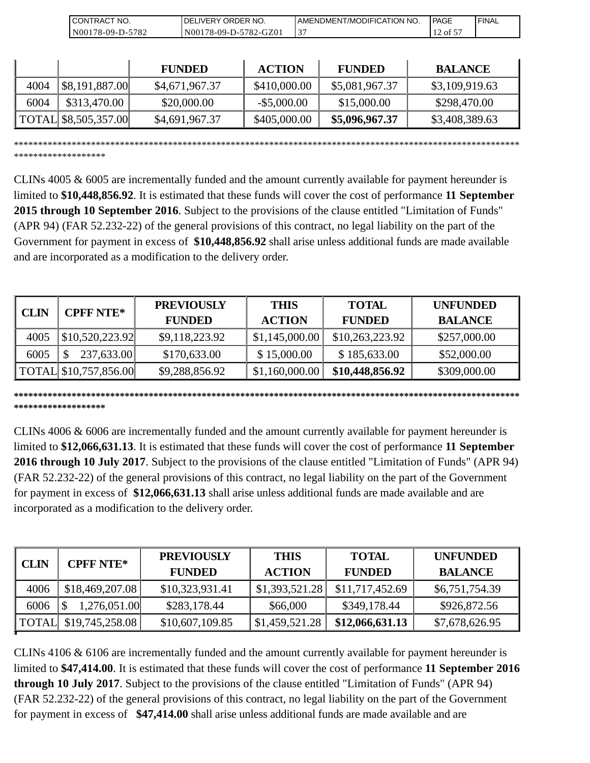| NO.<br>CON'<br>RAC                          | RDER NO.<br>7R I<br>⊣د،<br>. IVER   | 'NO.<br>  AMENDMENT/MODIFICATION_ | PAGE | ' FINAL |
|---------------------------------------------|-------------------------------------|-----------------------------------|------|---------|
| 5782<br>N <sub>001</sub><br>$.8 - 09 - D -$ | ን-GZ0.<br>782<br>'8-09-D-:<br>N(0() | $\sim$<br>◡                       | ΟĪ   |         |

|      |                                | <b>FUNDED</b>  | <b>ACTION</b>  | <b>FUNDED</b>  | <b>BALANCE</b> |
|------|--------------------------------|----------------|----------------|----------------|----------------|
| 4004 | \$8,191,887.00                 | \$4,671,967.37 | \$410,000.00   | \$5,081,967.37 | \$3,109,919.63 |
| 6004 | \$313,470.00                   | \$20,000.00    | $-$ \$5,000.00 | \$15,000.00    | \$298,470.00   |
|      | $\vert$ TOTAL \ \$8,505,357.00 | \$4,691,967.37 | \$405,000.00   | \$5,096,967.37 | \$3,408,389.63 |

\*\*\*\*\*\*\*\*\*\*\*\*\*\*\*\*\*\*\*\*\*\*\*\*\*\*\*\*\*\*\*\*\*\*\*\*\*\*\*\*\*\*\*\*\*\*\*\*\*\*\*\*\*\*\*\*\*\*\*\*\*\*\*\*\*\*\*\*\*\*\*\*\*\*\*\*\*\*\*\*\*\*\*\*\*\*\*\*\*\*\*\*\*\*\*\*\*\*\*\*\*\*\*\*\*

\*\*\*\*\*\*\*\*\*\*\*\*\*\*\*\*\*\*\*

CLINs 4005 & 6005 are incrementally funded and the amount currently available for payment hereunder is limited to **\$10,448,856.92**. It is estimated that these funds will cover the cost of performance **11 September 2015 through 10 September 2016**. Subject to the provisions of the clause entitled "Limitation of Funds" (APR 94) (FAR 52.232-22) of the general provisions of this contract, no legal liability on the part of the Government for payment in excess of **\$10,448,856.92** shall arise unless additional funds are made available and are incorporated as a modification to the delivery order.

| <b>CLIN</b> | <b>CPFF NTE*</b>      | <b>PREVIOUSLY</b> | <b>THIS</b>    | <b>TOTAL</b>    | <b>UNFUNDED</b> |
|-------------|-----------------------|-------------------|----------------|-----------------|-----------------|
|             |                       | <b>FUNDED</b>     | <b>ACTION</b>  | <b>FUNDED</b>   | <b>BALANCE</b>  |
| 4005        | \$10,520,223.92       | \$9,118,223.92    | \$1,145,000.00 | \$10,263,223.92 | \$257,000.00    |
| 6005        | 237,633.00            | \$170,633.00      | \$15,000.00    | \$185,633.00    | \$52,000.00     |
|             | TOTAL \$10,757,856.00 | \$9,288,856.92    | \$1,160,000.00 | \$10,448,856.92 | \$309,000.00    |

**\*\*\*\*\*\*\*\*\*\*\*\*\*\*\*\*\*\*\*\*\*\*\*\*\*\*\*\*\*\*\*\*\*\*\*\*\*\*\*\*\*\*\*\*\*\*\*\*\*\*\*\*\*\*\*\*\*\*\*\*\*\*\*\*\*\*\*\*\*\*\*\*\*\*\*\*\*\*\*\*\*\*\*\*\*\*\*\*\*\*\*\*\*\*\*\*\*\*\*\*\*\*\*\*\* \*\*\*\*\*\*\*\*\*\*\*\*\*\*\*\*\*\*\***

CLINs 4006 & 6006 are incrementally funded and the amount currently available for payment hereunder is limited to **\$12,066,631.13**. It is estimated that these funds will cover the cost of performance **11 September 2016 through 10 July 2017**. Subject to the provisions of the clause entitled "Limitation of Funds" (APR 94) (FAR 52.232-22) of the general provisions of this contract, no legal liability on the part of the Government for payment in excess of **\$12,066,631.13** shall arise unless additional funds are made available and are incorporated as a modification to the delivery order.

| <b>CLIN</b>  | <b>CPFF NTE*</b> | <b>PREVIOUSLY</b><br><b>FUNDED</b> | <b>THIS</b><br><b>ACTION</b> | <b>TOTAL</b><br><b>FUNDED</b> | <b>UNFUNDED</b><br><b>BALANCE</b> |
|--------------|------------------|------------------------------------|------------------------------|-------------------------------|-----------------------------------|
| 4006         | \$18,469,207.08  | \$10,323,931.41                    | \$1,393,521.28               | \$11,717,452.69               | \$6,751,754.39                    |
| 6006         | 1,276,051.00     | \$283,178.44                       | \$66,000                     | \$349,178.44                  | \$926,872.56                      |
| <b>TOTAL</b> | \$19,745,258.08  | \$10,607,109.85                    | \$1,459,521.28               | \$12,066,631.13               | \$7,678,626.95                    |

CLINs 4106 & 6106 are incrementally funded and the amount currently available for payment hereunder is limited to **\$47,414.00**. It is estimated that these funds will cover the cost of performance **11 September 2016 through 10 July 2017**. Subject to the provisions of the clause entitled "Limitation of Funds" (APR 94) (FAR 52.232-22) of the general provisions of this contract, no legal liability on the part of the Government for payment in excess of **\$47,414.00** shall arise unless additional funds are made available and are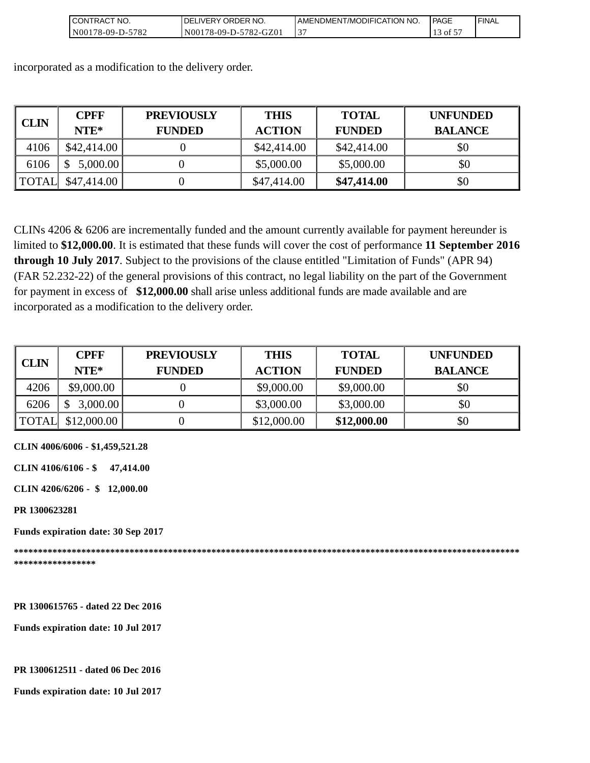| I CONTRACT NO.   | DELIVERY ORDER NO.    | AMENDMENT/MODIFICATION NO. | l PAGE                  | ' FINAL |
|------------------|-----------------------|----------------------------|-------------------------|---------|
| N00178-09-D-5782 | N00178-09-D-5782-GZ01 |                            | $\rightarrow$ of $\sim$ |         |

incorporated as a modification to the delivery order.

| <b>CLIN</b>  | <b>CPFF</b> | <b>PREVIOUSLY</b> | <b>THIS</b>   | <b>TOTAL</b>  | <b>UNFUNDED</b> |
|--------------|-------------|-------------------|---------------|---------------|-----------------|
|              | $NTE*$      | <b>FUNDED</b>     | <b>ACTION</b> | <b>FUNDED</b> | <b>BALANCE</b>  |
| 4106         | \$42,414.00 |                   | \$42,414.00   | \$42,414.00   | \$0             |
| 6106         | 5,000.00    |                   | \$5,000.00    | \$5,000.00    | \$0             |
| <b>TOTAL</b> | \$47,414.00 |                   | \$47,414.00   | \$47,414.00   | \$0             |

CLINs 4206 & 6206 are incrementally funded and the amount currently available for payment hereunder is limited to **\$12,000.00**. It is estimated that these funds will cover the cost of performance **11 September 2016 through 10 July 2017**. Subject to the provisions of the clause entitled "Limitation of Funds" (APR 94) (FAR 52.232-22) of the general provisions of this contract, no legal liability on the part of the Government for payment in excess of **\$12,000.00** shall arise unless additional funds are made available and are incorporated as a modification to the delivery order.

| <b>CLIN</b>  | <b>CPFF</b> | <b>PREVIOUSLY</b> | <b>THIS</b>   | <b>TOTAL</b>  | <b>UNFUNDED</b> |
|--------------|-------------|-------------------|---------------|---------------|-----------------|
|              | $NTE*$      | <b>FUNDED</b>     | <b>ACTION</b> | <b>FUNDED</b> | <b>BALANCE</b>  |
| 4206         | \$9,000.00  |                   | \$9,000.00    | \$9,000.00    | \$0             |
| 6206         | 3,000.00    |                   | \$3,000.00    | \$3,000.00    | \$0             |
| <b>TOTAL</b> | \$12,000.00 |                   | \$12,000.00   | \$12,000.00   | \$0             |

**CLIN 4006/6006 - \$1,459,521.28**

**CLIN 4106/6106 - \$ 47,414.00**

**CLIN 4206/6206 - \$ 12,000.00** 

**PR 1300623281**

**Funds expiration date: 30 Sep 2017** 

**\*\*\*\*\*\*\*\*\*\*\*\*\*\*\*\*\*\*\*\*\*\*\*\*\*\*\*\*\*\*\*\*\*\*\*\*\*\*\*\*\*\*\*\*\*\*\*\*\*\*\*\*\*\*\*\*\*\*\*\*\*\*\*\*\*\*\*\*\*\*\*\*\*\*\*\*\*\*\*\*\*\*\*\*\*\*\*\*\*\*\*\*\*\*\*\*\*\*\*\*\*\*\*\*\* \*\*\*\*\*\*\*\*\*\*\*\*\*\*\*\*\***

**PR 1300615765 - dated 22 Dec 2016** 

**Funds expiration date: 10 Jul 2017**

#### **PR 1300612511 - dated 06 Dec 2016**

**Funds expiration date: 10 Jul 2017**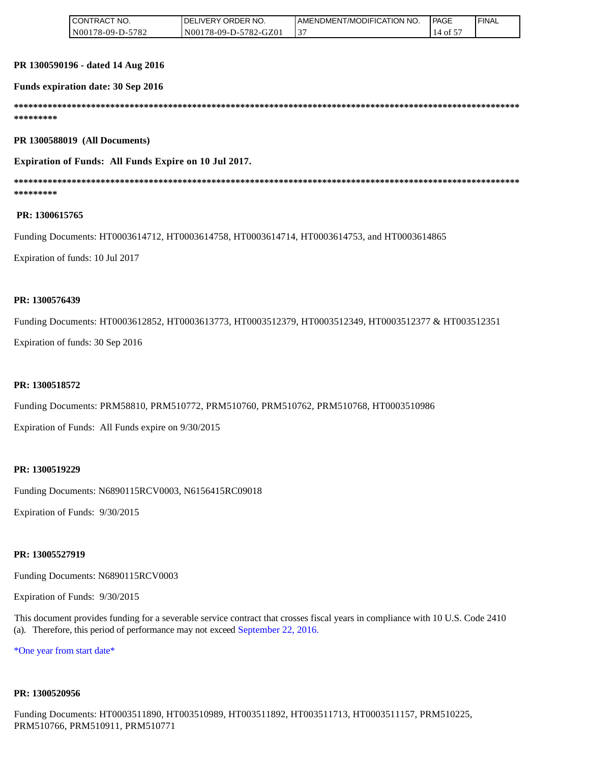| . ſRACT<br>" NO.<br><b>ICONT</b> | ORDER NO.<br>DELIVERY C    | <b>I AMENDMENT/MODIFICATION NO.</b> | <b>PAGE</b> | 'FINAL |
|----------------------------------|----------------------------|-------------------------------------|-------------|--------|
| N00178-09-D-5782                 | 178-09-D-5782-GZ01<br>N001 | ◡                                   | ιotΣ        |        |

#### **PR 1300590196 - dated 14 Aug 2016**

#### **Funds expiration date: 30 Sep 2016**

**\*\*\*\*\*\*\*\*\*\*\*\*\*\*\*\*\*\*\*\*\*\*\*\*\*\*\*\*\*\*\*\*\*\*\*\*\*\*\*\*\*\*\*\*\*\*\*\*\*\*\*\*\*\*\*\*\*\*\*\*\*\*\*\*\*\*\*\*\*\*\*\*\*\*\*\*\*\*\*\*\*\*\*\*\*\*\*\*\*\*\*\*\*\*\*\*\*\*\*\*\*\*\*\*\* \*\*\*\*\*\*\*\*\*** 

**PR 1300588019 (All Documents)**

**Expiration of Funds: All Funds Expire on 10 Jul 2017.**

**\*\*\*\*\*\*\*\*\*\*\*\*\*\*\*\*\*\*\*\*\*\*\*\*\*\*\*\*\*\*\*\*\*\*\*\*\*\*\*\*\*\*\*\*\*\*\*\*\*\*\*\*\*\*\*\*\*\*\*\*\*\*\*\*\*\*\*\*\*\*\*\*\*\*\*\*\*\*\*\*\*\*\*\*\*\*\*\*\*\*\*\*\*\*\*\*\*\*\*\*\*\*\*\*\* \*\*\*\*\*\*\*\*\***

#### **PR: 1300615765**

Funding Documents: HT0003614712, HT0003614758, HT0003614714, HT0003614753, and HT0003614865

Expiration of funds: 10 Jul 2017

#### **PR: 1300576439**

Funding Documents: HT0003612852, HT0003613773, HT0003512379, HT0003512349, HT0003512377 & HT003512351

Expiration of funds: 30 Sep 2016

#### **PR: 1300518572**

Funding Documents: PRM58810, PRM510772, PRM510760, PRM510762, PRM510768, HT0003510986

Expiration of Funds: All Funds expire on 9/30/2015

#### **PR: 1300519229**

Funding Documents: N6890115RCV0003, N6156415RC09018

Expiration of Funds: 9/30/2015

#### **PR: 13005527919**

Funding Documents: N6890115RCV0003

Expiration of Funds: 9/30/2015

This document provides funding for a severable service contract that crosses fiscal years in compliance with 10 U.S. Code 2410 (a). Therefore, this period of performance may not exceed September 22, 2016.

\*One year from start date\*

#### **PR: 1300520956**

Funding Documents: HT0003511890, HT003510989, HT003511892, HT003511713, HT0003511157, PRM510225, PRM510766, PRM510911, PRM510771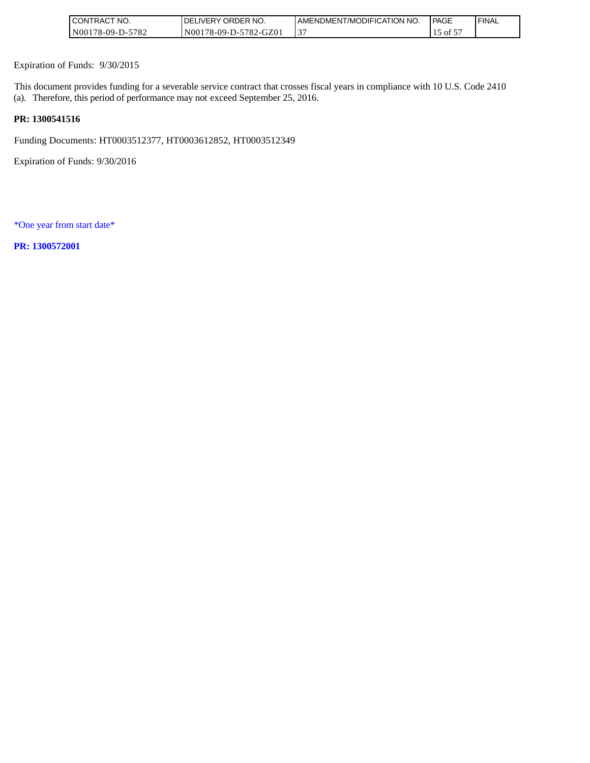| <b>I CONTRACT NO.</b> | <b>IDELIVERY ORDER NO.</b> | <b>I AMENDMENT/MODIFICATION NO.</b> | l PAGE           | ' FINAL |
|-----------------------|----------------------------|-------------------------------------|------------------|---------|
| N00178-09-D-5782      | N00178-09-D-5782-GZ01      |                                     | $\sim$ of $\sim$ |         |

Expiration of Funds: 9/30/2015

This document provides funding for a severable service contract that crosses fiscal years in compliance with 10 U.S. Code 2410 (a). Therefore, this period of performance may not exceed September 25, 2016.

# **PR: 1300541516**

Funding Documents: HT0003512377, HT0003612852, HT0003512349

Expiration of Funds: 9/30/2016

\*One year from start date\*

**PR: 1300572001**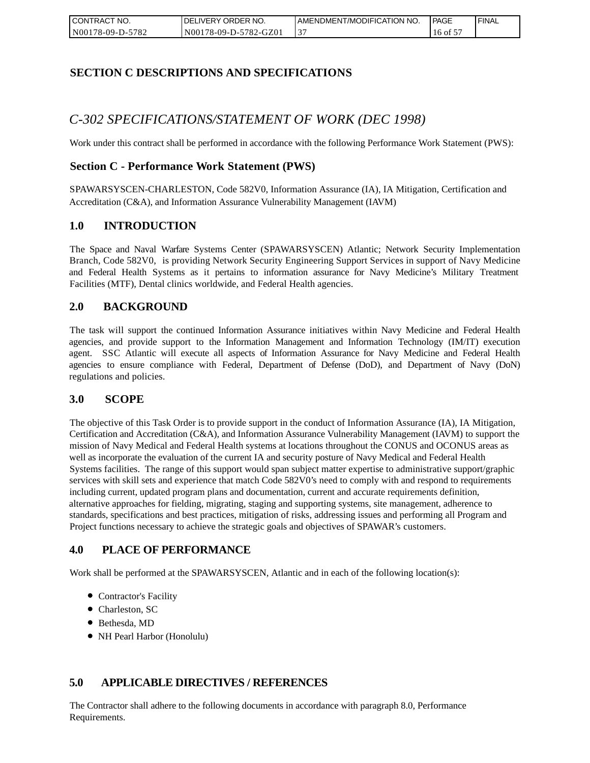| <b>CONTRACT</b><br>" NO. | NO. י<br><b>DELIVERY ORDER</b> | AMENDMENT/MODIFICATION NO. | <b>PAGE</b> | ' FINAL |
|--------------------------|--------------------------------|----------------------------|-------------|---------|
| N00178-09-D-5782         | N00178-09-D-5782-GZ01          |                            | of 5<br>16  |         |

# **SECTION C DESCRIPTIONS AND SPECIFICATIONS**

# *C-302 SPECIFICATIONS/STATEMENT OF WORK (DEC 1998)*

Work under this contract shall be performed in accordance with the following Performance Work Statement (PWS):

# **Section C - Performance Work Statement (PWS)**

SPAWARSYSCEN-CHARLESTON, Code 582V0, Information Assurance (IA), IA Mitigation, Certification and Accreditation (C&A), and Information Assurance Vulnerability Management (IAVM)

## **1.0 INTRODUCTION**

The Space and Naval Warfare Systems Center (SPAWARSYSCEN) Atlantic; Network Security Implementation Branch, Code 582V0, is providing Network Security Engineering Support Services in support of Navy Medicine and Federal Health Systems as it pertains to information assurance for Navy Medicine's Military Treatment Facilities (MTF), Dental clinics worldwide, and Federal Health agencies.

# **2.0 BACKGROUND**

The task will support the continued Information Assurance initiatives within Navy Medicine and Federal Health agencies, and provide support to the Information Management and Information Technology (IM/IT) execution agent. SSC Atlantic will execute all aspects of Information Assurance for Navy Medicine and Federal Health agencies to ensure compliance with Federal, Department of Defense (DoD), and Department of Navy (DoN) regulations and policies.

#### **3.0 SCOPE**

The objective of this Task Order is to provide support in the conduct of Information Assurance (IA), IA Mitigation, Certification and Accreditation (C&A), and Information Assurance Vulnerability Management (IAVM) to support the mission of Navy Medical and Federal Health systems at locations throughout the CONUS and OCONUS areas as well as incorporate the evaluation of the current IA and security posture of Navy Medical and Federal Health Systems facilities. The range of this support would span subject matter expertise to administrative support/graphic services with skill sets and experience that match Code 582V0's need to comply with and respond to requirements including current, updated program plans and documentation, current and accurate requirements definition, alternative approaches for fielding, migrating, staging and supporting systems, site management, adherence to standards, specifications and best practices, mitigation of risks, addressing issues and performing all Program and Project functions necessary to achieve the strategic goals and objectives of SPAWAR's customers.

# **4.0 PLACE OF PERFORMANCE**

Work shall be performed at the SPAWARSYSCEN, Atlantic and in each of the following location(s):

- Contractor's Facility
- Charleston, SC
- Bethesda, MD
- NH Pearl Harbor (Honolulu)

# **5.0 APPLICABLE DIRECTIVES / REFERENCES**

The Contractor shall adhere to the following documents in accordance with paragraph 8.0, Performance Requirements.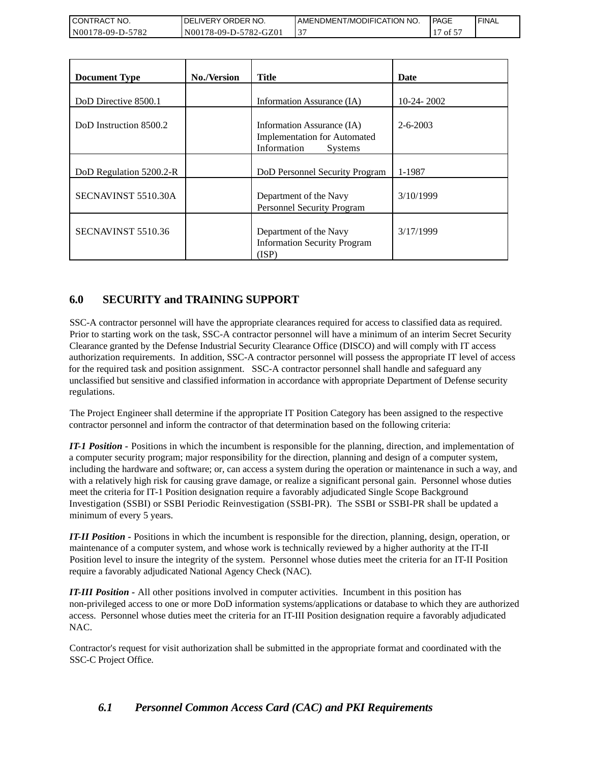| <b>CONTRACT</b><br>T NO. | ' NO.<br>DELIVERY ORDER | I AMENDMENT/MODIFICATION NO. | l PAGE | ' FINAL |
|--------------------------|-------------------------|------------------------------|--------|---------|
| 178-09-D-5782<br>N001    | N00178-09-D-5782-GZ01   | ້                            | ΩŤ     |         |

| CONTRACT NO.<br>N00178-09-D-5782                             | DELIVERY ORDER NO.<br>N00178-09-D-5782-GZ01 | AMENDMENT/MODIFICATION NO.<br>37                                                                                                                                                                                                                                                                                                                                                                                                                                                                                                                                                                                                                                                                                                                                                                                                                                                                                                                                                                                                                             |                | <b>PAGE</b><br>17 of 57 | <b>FINAL</b> |
|--------------------------------------------------------------|---------------------------------------------|--------------------------------------------------------------------------------------------------------------------------------------------------------------------------------------------------------------------------------------------------------------------------------------------------------------------------------------------------------------------------------------------------------------------------------------------------------------------------------------------------------------------------------------------------------------------------------------------------------------------------------------------------------------------------------------------------------------------------------------------------------------------------------------------------------------------------------------------------------------------------------------------------------------------------------------------------------------------------------------------------------------------------------------------------------------|----------------|-------------------------|--------------|
|                                                              |                                             |                                                                                                                                                                                                                                                                                                                                                                                                                                                                                                                                                                                                                                                                                                                                                                                                                                                                                                                                                                                                                                                              |                |                         |              |
| <b>Document Type</b>                                         | No./Version                                 | <b>Title</b>                                                                                                                                                                                                                                                                                                                                                                                                                                                                                                                                                                                                                                                                                                                                                                                                                                                                                                                                                                                                                                                 | <b>Date</b>    |                         |              |
| DoD Directive 8500.1                                         |                                             | Information Assurance (IA)                                                                                                                                                                                                                                                                                                                                                                                                                                                                                                                                                                                                                                                                                                                                                                                                                                                                                                                                                                                                                                   | 10-24-2002     |                         |              |
| DoD Instruction 8500.2                                       |                                             | Information Assurance (IA)<br><b>Implementation for Automated</b><br>Information<br>Systems                                                                                                                                                                                                                                                                                                                                                                                                                                                                                                                                                                                                                                                                                                                                                                                                                                                                                                                                                                  | $2 - 6 - 2003$ |                         |              |
| DoD Regulation 5200.2-R                                      |                                             | DoD Personnel Security Program                                                                                                                                                                                                                                                                                                                                                                                                                                                                                                                                                                                                                                                                                                                                                                                                                                                                                                                                                                                                                               | 1-1987         |                         |              |
| SECNAVINST 5510.30A                                          |                                             | Department of the Navy<br>Personnel Security Program                                                                                                                                                                                                                                                                                                                                                                                                                                                                                                                                                                                                                                                                                                                                                                                                                                                                                                                                                                                                         | 3/10/1999      |                         |              |
| SECNAVINST 5510.36                                           |                                             | Department of the Navy<br><b>Information Security Program</b><br>(ISP)                                                                                                                                                                                                                                                                                                                                                                                                                                                                                                                                                                                                                                                                                                                                                                                                                                                                                                                                                                                       | 3/17/1999      |                         |              |
| regulations.<br>minimum of every 5 years.                    |                                             | unclassified but sensitive and classified information in accordance with appropriate Department of Defense security<br>The Project Engineer shall determine if the appropriate IT Position Category has been assigned to the respective<br>contractor personnel and inform the contractor of that determination based on the following criteria:<br>IT-1 Position - Positions in which the incumbent is responsible for the planning, direction, and implementation of<br>a computer security program; major responsibility for the direction, planning and design of a computer system,<br>including the hardware and software; or, can access a system during the operation or maintenance in such a way, ar<br>with a relatively high risk for causing grave damage, or realize a significant personal gain. Personnel whose duties<br>meet the criteria for IT-1 Position designation require a favorably adjudicated Single Scope Background<br>Investigation (SSBI) or SSBI Periodic Reinvestigation (SSBI-PR). The SSBI or SSBI-PR shall be updated a |                |                         |              |
| require a favorably adjudicated National Agency Check (NAC). |                                             | <b>IT-II Position -</b> Positions in which the incumbent is responsible for the direction, planning, design, operation, or<br>maintenance of a computer system, and whose work is technically reviewed by a higher authority at the IT-II<br>Position level to insure the integrity of the system. Personnel whose duties meet the criteria for an IT-II Position                                                                                                                                                                                                                                                                                                                                                                                                                                                                                                                                                                                                                                                                                            |                |                         |              |
| NAC.                                                         |                                             | <b>IT-III Position -</b> All other positions involved in computer activities. Incumbent in this position has<br>non-privileged access to one or more DoD information systems/applications or database to which they are authorized<br>access. Personnel whose duties meet the criteria for an IT-III Position designation require a favorably adjudicated                                                                                                                                                                                                                                                                                                                                                                                                                                                                                                                                                                                                                                                                                                    |                |                         |              |
| SSC-C Project Office.                                        |                                             | Contractor's request for visit authorization shall be submitted in the appropriate format and coordinated with the                                                                                                                                                                                                                                                                                                                                                                                                                                                                                                                                                                                                                                                                                                                                                                                                                                                                                                                                           |                |                         |              |
| 6.1                                                          |                                             | <b>Personnel Common Access Card (CAC) and PKI Requirements</b>                                                                                                                                                                                                                                                                                                                                                                                                                                                                                                                                                                                                                                                                                                                                                                                                                                                                                                                                                                                               |                |                         |              |

# **6.0 SECURITY and TRAINING SUPPORT**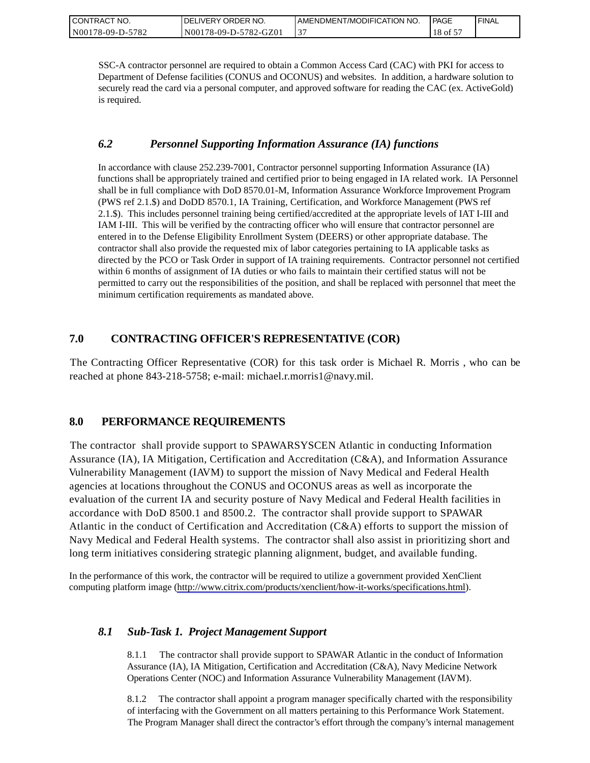| CONTRACT NO.     | I DELIVERY ORDER NO.  | I AMENDMENT/MODIFICATION NO. | <b>I PAGE</b> | ' FINAL |
|------------------|-----------------------|------------------------------|---------------|---------|
| N00178-09-D-5782 | N00178-09-D-5782-GZ01 | ◡                            | 18 of 5       |         |

SSC-A contractor personnel are required to obtain a Common Access Card (CAC) with PKI for access to Department of Defense facilities (CONUS and OCONUS) and websites. In addition, a hardware solution to securely read the card via a personal computer, and approved software for reading the CAC (ex. ActiveGold) is required.

# *6.2 Personnel Supporting Information Assurance (IA) functions*

In accordance with clause 252.239-7001, Contractor personnel supporting Information Assurance (IA) functions shall be appropriately trained and certified prior to being engaged in IA related work. IA Personnel shall be in full compliance with DoD 8570.01-M, Information Assurance Workforce Improvement Program (PWS ref 2.1.\$) and DoDD 8570.1, IA Training, Certification, and Workforce Management (PWS ref 2.1.\$). This includes personnel training being certified/accredited at the appropriate levels of IAT I-III and IAM I-III. This will be verified by the contracting officer who will ensure that contractor personnel are entered in to the Defense Eligibility Enrollment System (DEERS) or other appropriate database. The contractor shall also provide the requested mix of labor categories pertaining to IA applicable tasks as directed by the PCO or Task Order in support of IA training requirements. Contractor personnel not certified within 6 months of assignment of IA duties or who fails to maintain their certified status will not be permitted to carry out the responsibilities of the position, and shall be replaced with personnel that meet the minimum certification requirements as mandated above.

# **7.0 CONTRACTING OFFICER'S REPRESENTATIVE (COR)**

The Contracting Officer Representative (COR) for this task order is Michael R. Morris , who can be reached at phone 843-218-5758; e-mail: michael.r.morris1@navy.mil.

# **8.0 PERFORMANCE REQUIREMENTS**

The contractor shall provide support to SPAWARSYSCEN Atlantic in conducting Information Assurance (IA), IA Mitigation, Certification and Accreditation (C&A), and Information Assurance Vulnerability Management (IAVM) to support the mission of Navy Medical and Federal Health agencies at locations throughout the CONUS and OCONUS areas as well as incorporate the evaluation of the current IA and security posture of Navy Medical and Federal Health facilities in accordance with DoD 8500.1 and 8500.2. The contractor shall provide support to SPAWAR Atlantic in the conduct of Certification and Accreditation (C&A) efforts to support the mission of Navy Medical and Federal Health systems. The contractor shall also assist in prioritizing short and long term initiatives considering strategic planning alignment, budget, and available funding.

In the performance of this work, the contractor will be required to utilize a government provided XenClient computing platform image [\(http://www.citrix.com/products/xenclient/how-it-works/specifications.html\)](http://www.citrix.com/products/xenclient/how-it-works/specifications.html).

# *8.1 Sub-Task 1. Project Management Support*

8.1.1 The contractor shall provide support to SPAWAR Atlantic in the conduct of Information Assurance (IA), IA Mitigation, Certification and Accreditation (C&A), Navy Medicine Network Operations Center (NOC) and Information Assurance Vulnerability Management (IAVM).

8.1.2 The contractor shall appoint a program manager specifically charted with the responsibility of interfacing with the Government on all matters pertaining to this Performance Work Statement. The Program Manager shall direct the contractor's effort through the company's internal management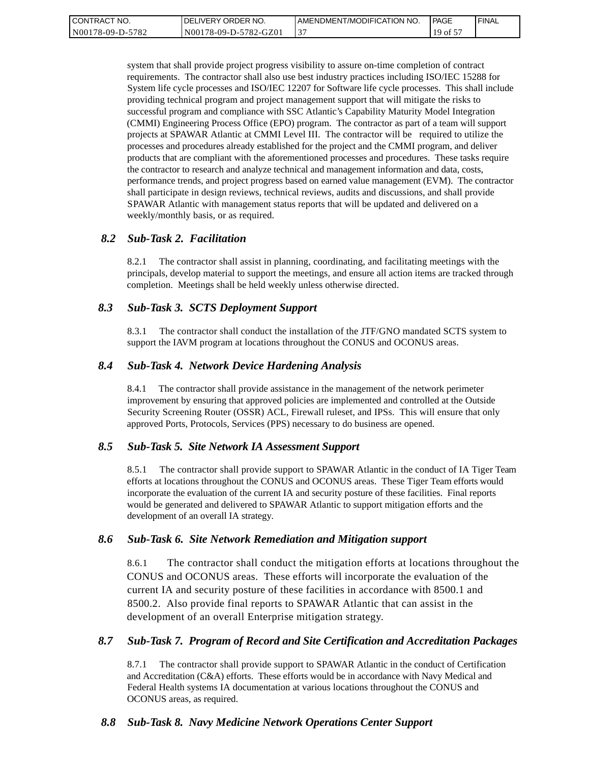| CONTRACT NO.     | I DELIVERY ORDER NO.  | I AMENDMENT/MODIFICATION NO. | <b>IPAGE</b> | ' FINAL |
|------------------|-----------------------|------------------------------|--------------|---------|
| N00178-09-D-5782 | N00178-09-D-5782-GZ01 | ◡                            | 19 of 5      |         |

system that shall provide project progress visibility to assure on-time completion of contract requirements. The contractor shall also use best industry practices including ISO/IEC 15288 for System life cycle processes and ISO/IEC 12207 for Software life cycle processes. This shall include providing technical program and project management support that will mitigate the risks to successful program and compliance with SSC Atlantic's Capability Maturity Model Integration (CMMI) Engineering Process Office (EPO) program. The contractor as part of a team will support projects at SPAWAR Atlantic at CMMI Level III. The contractor will be required to utilize the processes and procedures already established for the project and the CMMI program, and deliver products that are compliant with the aforementioned processes and procedures. These tasks require the contractor to research and analyze technical and management information and data, costs, performance trends, and project progress based on earned value management (EVM). The contractor shall participate in design reviews, technical reviews, audits and discussions, and shall provide SPAWAR Atlantic with management status reports that will be updated and delivered on a weekly/monthly basis, or as required.

#### *8.2 Sub-Task 2. Facilitation*

8.2.1 The contractor shall assist in planning, coordinating, and facilitating meetings with the principals, develop material to support the meetings, and ensure all action items are tracked through completion. Meetings shall be held weekly unless otherwise directed.

#### *8.3 Sub-Task 3. SCTS Deployment Support*

8.3.1 The contractor shall conduct the installation of the JTF/GNO mandated SCTS system to support the IAVM program at locations throughout the CONUS and OCONUS areas.

#### *8.4 Sub-Task 4. Network Device Hardening Analysis*

8.4.1 The contractor shall provide assistance in the management of the network perimeter improvement by ensuring that approved policies are implemented and controlled at the Outside Security Screening Router (OSSR) ACL, Firewall ruleset, and IPSs. This will ensure that only approved Ports, Protocols, Services (PPS) necessary to do business are opened.

#### *8.5 Sub-Task 5. Site Network IA Assessment Support*

8.5.1 The contractor shall provide support to SPAWAR Atlantic in the conduct of IA Tiger Team efforts at locations throughout the CONUS and OCONUS areas. These Tiger Team efforts would incorporate the evaluation of the current IA and security posture of these facilities. Final reports would be generated and delivered to SPAWAR Atlantic to support mitigation efforts and the development of an overall IA strategy.

#### *8.6 Sub-Task 6. Site Network Remediation and Mitigation support*

8.6.1 The contractor shall conduct the mitigation efforts at locations throughout the CONUS and OCONUS areas. These efforts will incorporate the evaluation of the current IA and security posture of these facilities in accordance with 8500.1 and 8500.2. Also provide final reports to SPAWAR Atlantic that can assist in the development of an overall Enterprise mitigation strategy.

#### *8.7 Sub-Task 7. Program of Record and Site Certification and Accreditation Packages*

8.7.1 The contractor shall provide support to SPAWAR Atlantic in the conduct of Certification and Accreditation (C&A) efforts. These efforts would be in accordance with Navy Medical and Federal Health systems IA documentation at various locations throughout the CONUS and OCONUS areas, as required.

## *8.8 Sub-Task 8. Navy Medicine Network Operations Center Support*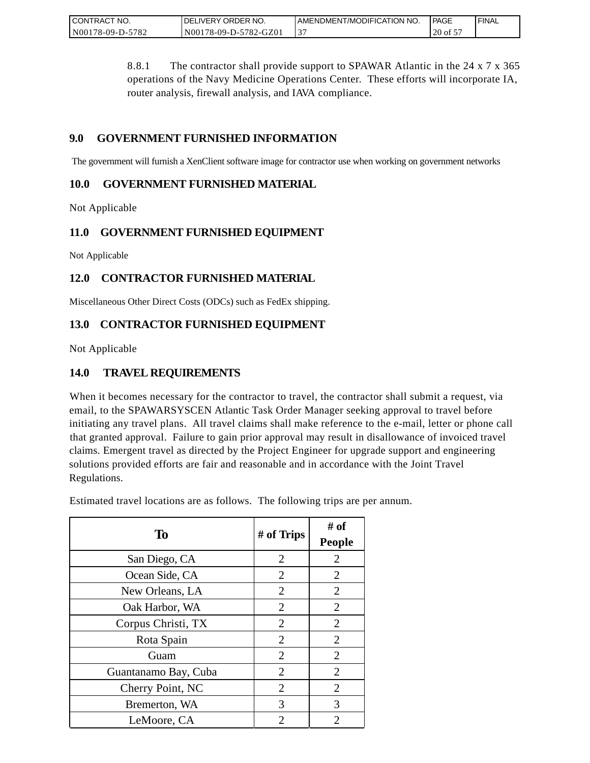| CONTRACT<br>" NO. | ' ORDER NO.<br><b>DELIVERY</b> | AMENDMENT/MODIFICATION NO. | <b>I PAGE</b> | ' FINAL |
|-------------------|--------------------------------|----------------------------|---------------|---------|
| N00178-09-D-5782  | N00178-09-D-5782-GZ01          | ◡                          | $20$ of 5     |         |

8.8.1 The contractor shall provide support to SPAWAR Atlantic in the 24 x 7 x 365 operations of the Navy Medicine Operations Center. These efforts will incorporate IA, router analysis, firewall analysis, and IAVA compliance.

# **9.0 GOVERNMENT FURNISHED INFORMATION**

The government will furnish a XenClient software image for contractor use when working on government networks

# **10.0 GOVERNMENT FURNISHED MATERIAL**

Not Applicable

# **11.0 GOVERNMENT FURNISHED EQUIPMENT**

Not Applicable

# **12.0 CONTRACTOR FURNISHED MATERIAL**

Miscellaneous Other Direct Costs (ODCs) such as FedEx shipping.

# **13.0 CONTRACTOR FURNISHED EQUIPMENT**

Not Applicable

# **14.0 TRAVEL REQUIREMENTS**

When it becomes necessary for the contractor to travel, the contractor shall submit a request, via email, to the SPAWARSYSCEN Atlantic Task Order Manager seeking approval to travel before initiating any travel plans. All travel claims shall make reference to the e-mail, letter or phone call that granted approval. Failure to gain prior approval may result in disallowance of invoiced travel claims. Emergent travel as directed by the Project Engineer for upgrade support and engineering solutions provided efforts are fair and reasonable and in accordance with the Joint Travel Regulations.

Estimated travel locations are as follows. The following trips are per annum.

| To                   | # of Trips                  | # of<br><b>People</b> |
|----------------------|-----------------------------|-----------------------|
| San Diego, CA        | $\overline{2}$              | $\overline{2}$        |
| Ocean Side, CA       | $\overline{2}$              | $\overline{2}$        |
| New Orleans, LA      | $\overline{2}$              | $\overline{2}$        |
| Oak Harbor, WA       | $\overline{2}$              | $\overline{2}$        |
| Corpus Christi, TX   | $\overline{2}$              | $\overline{2}$        |
| Rota Spain           | $\overline{2}$              | $\overline{2}$        |
| Guam                 | $\overline{2}$              | $\overline{2}$        |
| Guantanamo Bay, Cuba | $\overline{2}$              | $\overline{2}$        |
| Cherry Point, NC     | $\overline{2}$              | $\overline{2}$        |
| Bremerton, WA        | 3                           | 3                     |
| LeMoore, CA          | $\mathcal{D}_{\mathcal{A}}$ | 2                     |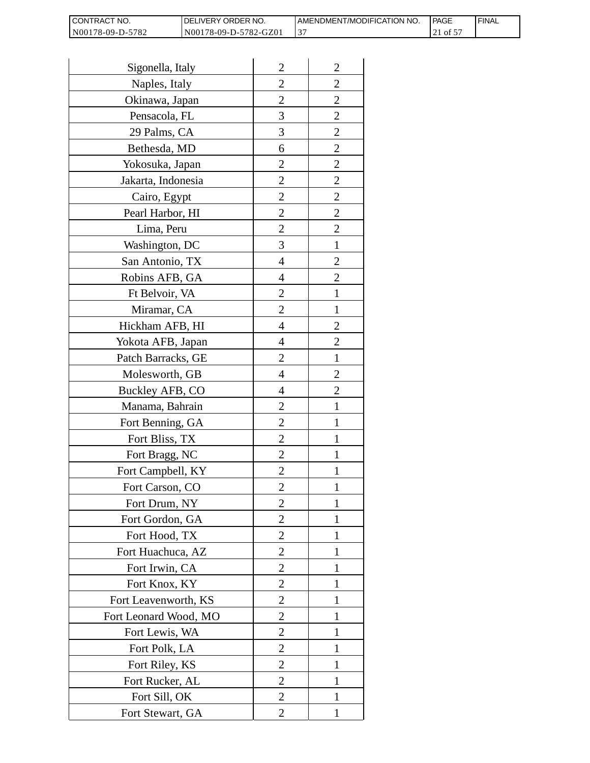| <b>CONTRACT</b><br>T NO. | <b>IDELIVERY ORDER NO.</b> | AMENDMENT/MODIFICATION NO. | <b>IPAGE</b> | ' FINAL |
|--------------------------|----------------------------|----------------------------|--------------|---------|
| N00178-09-D-5782         | N00178-09-D-5782-GZ01      |                            | c fo         |         |

| Sigonella, Italy      | $\overline{2}$ | $\overline{2}$ |
|-----------------------|----------------|----------------|
| Naples, Italy         | $\overline{2}$ | $\overline{2}$ |
| Okinawa, Japan        | $\overline{2}$ | $\overline{2}$ |
| Pensacola, FL         | 3              | $\overline{2}$ |
| 29 Palms, CA          | 3              | $\overline{c}$ |
| Bethesda, MD          | 6              | $\overline{2}$ |
| Yokosuka, Japan       | $\overline{2}$ | $\overline{2}$ |
| Jakarta, Indonesia    | $\overline{2}$ | $\overline{2}$ |
| Cairo, Egypt          | $\overline{2}$ | $\overline{2}$ |
| Pearl Harbor, HI      | $\overline{c}$ | $\overline{c}$ |
| Lima, Peru            | $\overline{2}$ | $\overline{2}$ |
| Washington, DC        | 3              | $\mathbf{1}$   |
| San Antonio, TX       | 4              | $\overline{2}$ |
| Robins AFB, GA        | 4              | 2              |
| Ft Belvoir, VA        | $\overline{c}$ | 1              |
| Miramar, CA           | $\overline{2}$ | $\mathbf{1}$   |
| Hickham AFB, HI       | 4              | $\overline{2}$ |
| Yokota AFB, Japan     | 4              | $\overline{2}$ |
| Patch Barracks, GE    | $\overline{2}$ | 1              |
| Molesworth, GB        | 4              | $\overline{2}$ |
| Buckley AFB, CO       | 4              | $\overline{2}$ |
| Manama, Bahrain       | $\overline{2}$ | 1              |
| Fort Benning, GA      | $\overline{2}$ | 1              |
| Fort Bliss, TX        | $\overline{2}$ | 1              |
| Fort Bragg, NC        | $\overline{2}$ | 1              |
| Fort Campbell, KY     | $\overline{2}$ | 1              |
| Fort Carson, CO       | 2              | 1              |
| Fort Drum, NY         | $\overline{2}$ | 1              |
| Fort Gordon, GA       | 2              | 1              |
| Fort Hood, TX         | $\overline{2}$ | 1              |
| Fort Huachuca, AZ     | $\overline{2}$ | 1              |
| Fort Irwin, CA        | $\overline{2}$ | I              |
| Fort Knox, KY         | $\overline{2}$ | 1              |
| Fort Leavenworth, KS  | 2              | 1              |
| Fort Leonard Wood, MO | $\overline{2}$ | 1              |
| Fort Lewis, WA        | $\overline{2}$ | 1              |
| Fort Polk, LA         | 2              | I              |
| Fort Riley, KS        | 2              | 1              |
| Fort Rucker, AL       | $\overline{2}$ | 1              |
| Fort Sill, OK         | $\overline{2}$ | 1              |
| Fort Stewart, GA      | $\overline{2}$ | 1              |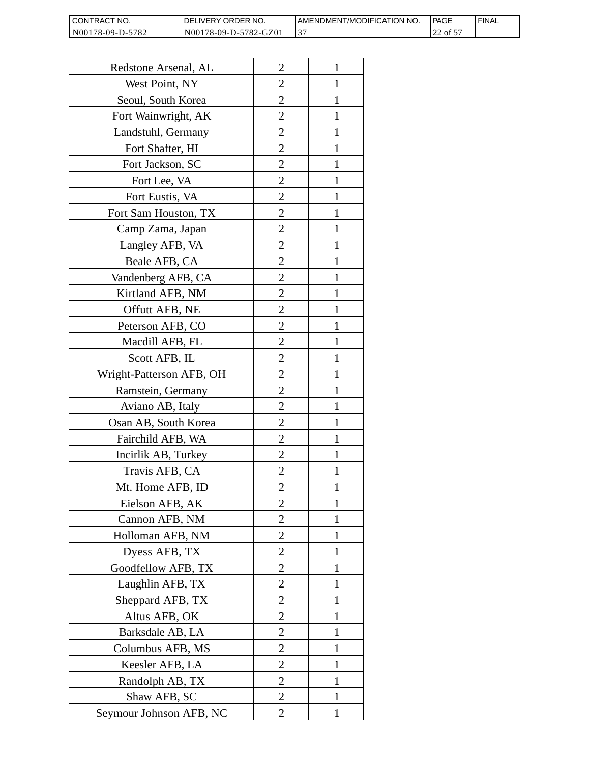| <b>CONTRACT</b><br>™ NO. | <b>IDELIVERY ORDER NO.</b> | AMENDMENT/MODIFICATION NO. | <b>IPAGE</b> | ' FINAL |
|--------------------------|----------------------------|----------------------------|--------------|---------|
| N00178-09-D-5782         | N00178-09-D-5782-GZ01      |                            | ' of 5<br>∠∠ |         |

| Redstone Arsenal, AL     | $\overline{2}$ | 1            |
|--------------------------|----------------|--------------|
| West Point, NY           | $\overline{2}$ | 1            |
| Seoul, South Korea       | 2              |              |
| Fort Wainwright, AK      | 2              | 1            |
| Landstuhl, Germany       | $\overline{2}$ | 1            |
| Fort Shafter, HI         | $\overline{2}$ | 1            |
| Fort Jackson, SC         | 2              | 1            |
| Fort Lee, VA             | $\overline{2}$ | I            |
| Fort Eustis, VA          | $\overline{2}$ | 1            |
| Fort Sam Houston, TX     | $\overline{2}$ | 1            |
| Camp Zama, Japan         | $\overline{2}$ | 1            |
| Langley AFB, VA          | $\overline{2}$ | 1            |
| Beale AFB, CA            | $\overline{2}$ | 1            |
| Vandenberg AFB, CA       | 2              | 1            |
| Kirtland AFB, NM         | $\overline{2}$ | 1            |
| Offutt AFB, NE           | $\overline{c}$ | 1            |
| Peterson AFB, CO         | $\overline{2}$ | 1            |
| Macdill AFB, FL          | $\overline{2}$ | 1            |
| Scott AFB, IL            | $\overline{2}$ |              |
| Wright-Patterson AFB, OH | $\overline{2}$ | 1            |
| Ramstein, Germany        | $\overline{2}$ | 1            |
| Aviano AB, Italy         | 2              |              |
| Osan AB, South Korea     | 2              | 1            |
| Fairchild AFB, WA        | $\overline{2}$ | 1            |
| Incirlik AB, Turkey      | $\overline{2}$ | 1            |
| Travis AFB, CA           | $\overline{2}$ |              |
| Mt. Home AFB, ID         | 2              |              |
| Eielson AFB, AK          | $\overline{2}$ | 1            |
| Cannon AFB, NM           | $\overline{2}$ | $\mathbf{1}$ |
| Holloman AFB, NM         | $\overline{2}$ | 1            |
| Dyess AFB, TX            | 2              | 1            |
| Goodfellow AFB, TX       | $\overline{2}$ | 1            |
| Laughlin AFB, TX         | $\overline{2}$ | 1            |
| Sheppard AFB, TX         | $\overline{2}$ | 1            |
| Altus AFB, OK            | $\overline{2}$ | 1            |
| Barksdale AB, LA         | $\overline{2}$ | 1            |
| Columbus AFB, MS         | $\overline{2}$ | 1            |
| Keesler AFB, LA          | 2              | 1            |
| Randolph AB, TX          | $\overline{2}$ | $\mathbf{1}$ |
| Shaw AFB, SC             | $\overline{2}$ | 1            |
| Seymour Johnson AFB, NC  | $\overline{2}$ | 1            |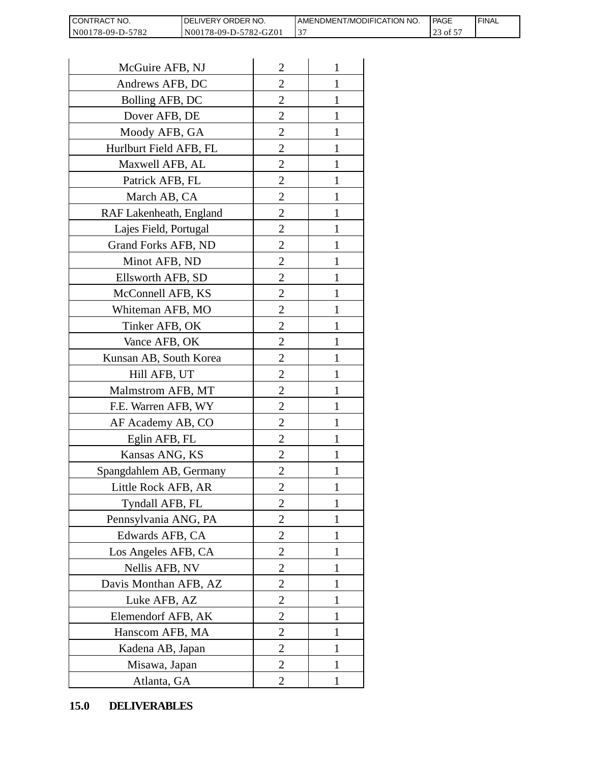| <b>CONTRACT</b><br>™ NO. | <b>IDELIVERY ORDER NO.</b> | AMENDMENT/MODIFICATION NO. | <b>IPAGE</b>  | ' FINAL |
|--------------------------|----------------------------|----------------------------|---------------|---------|
| N00178-09-D-5782         | N00178-09-D-5782-GZ01      |                            | c to '<br>ل ک |         |

| CONTRACT NO.<br>N00178-09-D-5782 | DELIVERY ORDER NO.<br>N00178-09-D-5782-GZ01 |                | AMENDMENT/MOI<br>37 |
|----------------------------------|---------------------------------------------|----------------|---------------------|
|                                  |                                             |                |                     |
| McGuire AFB, NJ                  |                                             | $\overline{2}$ | 1                   |
| Andrews AFB, DC                  |                                             | 2              | 1                   |
| Bolling AFB, DC                  |                                             | 2              | 1                   |
| Dover AFB, DE                    |                                             | $\overline{2}$ | $\mathbf{1}$        |
| Moody AFB, GA                    |                                             | $\overline{2}$ | 1                   |
| Hurlburt Field AFB, FL           |                                             | $\overline{2}$ | 1                   |
| Maxwell AFB, AL                  |                                             | $\overline{2}$ | 1                   |
| Patrick AFB, FL                  |                                             | $\overline{2}$ | 1                   |
| March AB, CA                     |                                             | $\overline{c}$ | 1                   |
| RAF Lakenheath, England          |                                             | $\overline{2}$ | $\mathbf{1}$        |
| Lajes Field, Portugal            |                                             | $\overline{2}$ | 1                   |
| Grand Forks AFB, ND              |                                             | $\overline{c}$ | 1                   |
| Minot AFB, ND                    |                                             | $\overline{2}$ | 1                   |
| Ellsworth AFB, SD                |                                             | $\overline{c}$ | 1                   |
| McConnell AFB, KS                |                                             | $\overline{c}$ | 1                   |
| Whiteman AFB, MO                 |                                             | $\overline{2}$ | 1                   |
| Tinker AFB, OK                   |                                             | $\overline{2}$ | 1                   |
| Vance AFB, OK                    |                                             | $\overline{c}$ | 1                   |
| Kunsan AB, South Korea           |                                             | $\overline{2}$ | 1                   |
| Hill AFB, UT                     |                                             | $\overline{c}$ | 1                   |
| Malmstrom AFB, MT                |                                             | $\overline{2}$ | 1                   |
| F.E. Warren AFB, WY              |                                             | $\overline{2}$ | $\mathbf{1}$        |
| AF Academy AB, CO                |                                             | $\overline{c}$ | 1                   |
| Eglin AFB, FL                    |                                             | $\overline{c}$ | $\mathbf{1}$        |
| Kansas ANG, KS                   |                                             | $\overline{c}$ |                     |
| Spangdahlem AB, Germany          |                                             | $\overline{2}$ | 1                   |
| Little Rock AFB, AR              |                                             | 2              | 1                   |
| Tyndall AFB, FL                  |                                             | $\overline{2}$ | $\mathbf{1}$        |
| Pennsylvania ANG, PA             |                                             | $\overline{2}$ | 1                   |
| Edwards AFB, CA                  |                                             | 2              | 1                   |
| Los Angeles AFB, CA              |                                             | $\overline{2}$ | 1                   |
| Nellis AFB, NV                   |                                             | 2              | 1                   |
| Davis Monthan AFB, AZ            |                                             | $\overline{2}$ | 1                   |
| Luke AFB, AZ                     |                                             | $\overline{2}$ | 1                   |
| Elemendorf AFB, AK               |                                             | $\overline{2}$ | 1                   |
| Hanscom AFB, MA                  |                                             | $\overline{2}$ | 1                   |
| Kadena AB, Japan                 |                                             | 2              | 1                   |
| Misawa, Japan                    |                                             | $\overline{2}$ | 1                   |
| Atlanta, GA                      |                                             | $\overline{2}$ | 1                   |
| 15.0<br><b>DELIVERABLES</b>      |                                             |                |                     |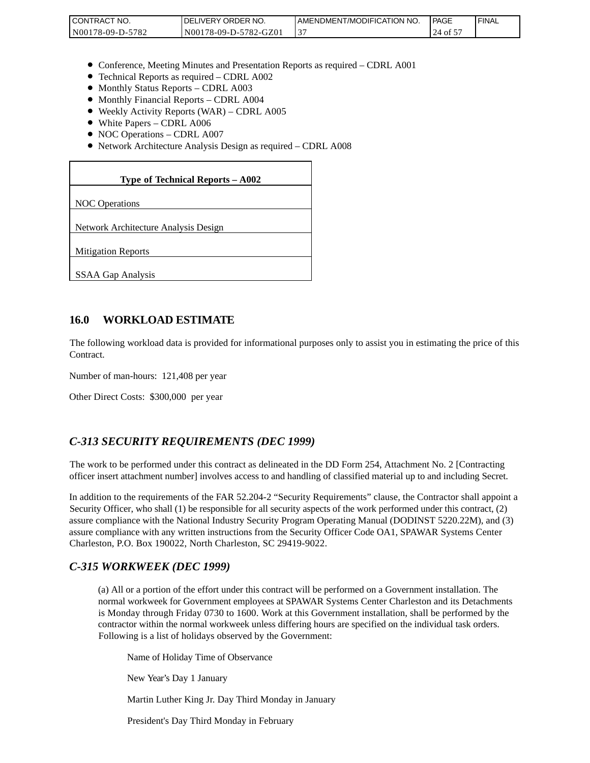| <b>I CONTRACT NO.</b> | `NO.<br>DELIVERY ORDER | AMENDMENT/MODIFICATION NO. | l PAGE     | 'FINAL |
|-----------------------|------------------------|----------------------------|------------|--------|
| N00178-09-D-5782      | N00178-09-D-5782-GZ01  | ້                          | 24<br>of 5 |        |

- Conference, Meeting Minutes and Presentation Reports as required CDRL A001
- Technical Reports as required CDRL A002
- Monthly Status Reports CDRL A003
- $\bullet$  Monthly Financial Reports CDRL A004
- Weekly Activity Reports (WAR) CDRL A005
- White Papers CDRL A006
- NOC Operations CDRL A007
- Network Architecture Analysis Design as required CDRL A008

#### **Type of Technical Reports – A002**

NOC Operations

Network Architecture Analysis Design

Mitigation Reports

SSAA Gap Analysis

#### **16.0 WORKLOAD ESTIMATE**

The following workload data is provided for informational purposes only to assist you in estimating the price of this Contract.

Number of man-hours: 121,408 per year

Other Direct Costs: \$300,000 per year

#### *C-313 SECURITY REQUIREMENTS (DEC 1999)*

The work to be performed under this contract as delineated in the DD Form 254, Attachment No. 2 [Contracting officer insert attachment number] involves access to and handling of classified material up to and including Secret.

In addition to the requirements of the FAR 52.204-2 "Security Requirements" clause, the Contractor shall appoint a Security Officer, who shall (1) be responsible for all security aspects of the work performed under this contract, (2) assure compliance with the National Industry Security Program Operating Manual (DODINST 5220.22M), and (3) assure compliance with any written instructions from the Security Officer Code OA1, SPAWAR Systems Center Charleston, P.O. Box 190022, North Charleston, SC 29419-9022.

#### *C-315 WORKWEEK (DEC 1999)*

(a) All or a portion of the effort under this contract will be performed on a Government installation. The normal workweek for Government employees at SPAWAR Systems Center Charleston and its Detachments is Monday through Friday 0730 to 1600. Work at this Government installation, shall be performed by the contractor within the normal workweek unless differing hours are specified on the individual task orders. Following is a list of holidays observed by the Government:

Name of Holiday Time of Observance

New Year's Day 1 January

Martin Luther King Jr. Day Third Monday in January

President's Day Third Monday in February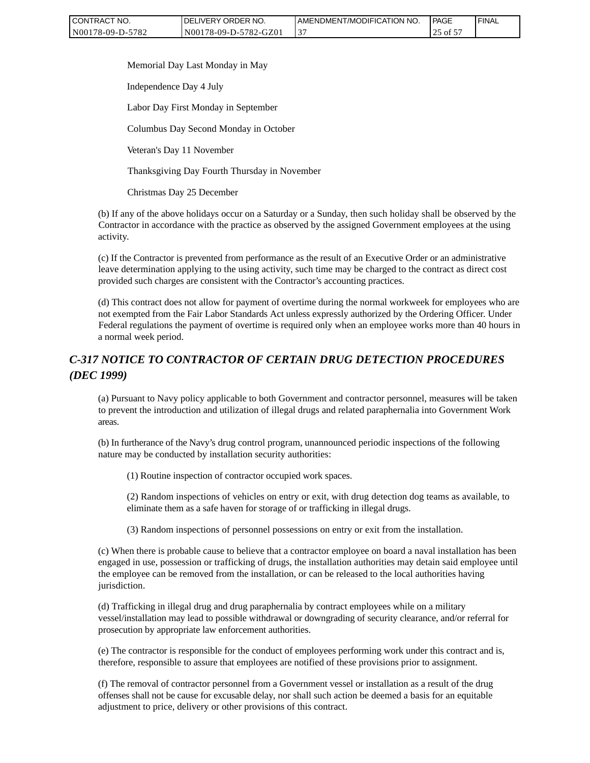| CONTRACT NO.     | <b>IDELIVERY ORDER NO.</b> | <b>I AMENDMENT/MODIFICATION NO.</b> | <b>PAGE</b> | ' FINAL |
|------------------|----------------------------|-------------------------------------|-------------|---------|
| N00178-09-D-5782 | N00178-09-D-5782-GZ01      |                                     | ヽot ゝ       |         |

Memorial Day Last Monday in May

Independence Day 4 July

Labor Day First Monday in September

Columbus Day Second Monday in October

Veteran's Day 11 November

Thanksgiving Day Fourth Thursday in November

Christmas Day 25 December

(b) If any of the above holidays occur on a Saturday or a Sunday, then such holiday shall be observed by the Contractor in accordance with the practice as observed by the assigned Government employees at the using activity.

(c) If the Contractor is prevented from performance as the result of an Executive Order or an administrative leave determination applying to the using activity, such time may be charged to the contract as direct cost provided such charges are consistent with the Contractor's accounting practices.

(d) This contract does not allow for payment of overtime during the normal workweek for employees who are not exempted from the Fair Labor Standards Act unless expressly authorized by the Ordering Officer. Under Federal regulations the payment of overtime is required only when an employee works more than 40 hours in a normal week period.

# *C-317 NOTICE TO CONTRACTOR OF CERTAIN DRUG DETECTION PROCEDURES (DEC 1999)*

(a) Pursuant to Navy policy applicable to both Government and contractor personnel, measures will be taken to prevent the introduction and utilization of illegal drugs and related paraphernalia into Government Work areas.

(b) In furtherance of the Navy's drug control program, unannounced periodic inspections of the following nature may be conducted by installation security authorities:

(1) Routine inspection of contractor occupied work spaces.

(2) Random inspections of vehicles on entry or exit, with drug detection dog teams as available, to eliminate them as a safe haven for storage of or trafficking in illegal drugs.

(3) Random inspections of personnel possessions on entry or exit from the installation.

(c) When there is probable cause to believe that a contractor employee on board a naval installation has been engaged in use, possession or trafficking of drugs, the installation authorities may detain said employee until the employee can be removed from the installation, or can be released to the local authorities having jurisdiction. CONTRACT NO.<br>
Note (Figure Source Note The Source Contract Maximum (Source The Provisions of this contract<br>
Note T3.609-D-5782-CONTRACT May<br>
Memorial Day Last Monday in Nay<br>
Independence Day 4 July<br>
Labor Day First Monday

(d) Trafficking in illegal drug and drug paraphernalia by contract employees while on a military vessel/installation may lead to possible withdrawal or downgrading of security clearance, and/or referral for prosecution by appropriate law enforcement authorities.

(e) The contractor is responsible for the conduct of employees performing work under this contract and is, therefore, responsible to assure that employees are notified of these provisions prior to assignment.

(f) The removal of contractor personnel from a Government vessel or installation as a result of the drug offenses shall not be cause for excusable delay, nor shall such action be deemed a basis for an equitable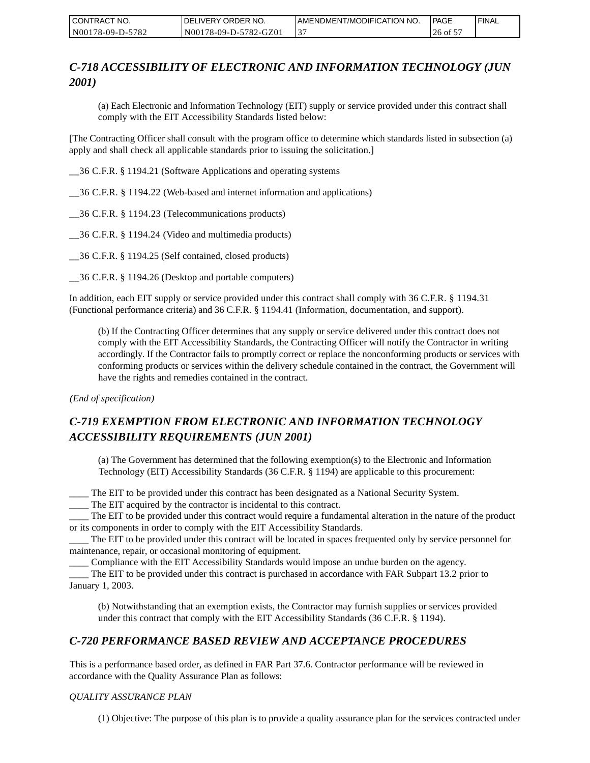| CONTRACT NO.     | DELIVERY ORDER NO.    | AMENDMENT/MODIFICATION NO. | PAGE      | ' FINAL |
|------------------|-----------------------|----------------------------|-----------|---------|
| N00178-09-D-5782 | N00178-09-D-5782-GZ01 |                            | $26$ of 5 |         |

# *C-718 ACCESSIBILITY OF ELECTRONIC AND INFORMATION TECHNOLOGY (JUN 2001)*

(a) Each Electronic and Information Technology (EIT) supply or service provided under this contract shall comply with the EIT Accessibility Standards listed below:

[The Contracting Officer shall consult with the program office to determine which standards listed in subsection (a) apply and shall check all applicable standards prior to issuing the solicitation.]

\_\_36 C.F.R. § 1194.21 (Software Applications and operating systems

\_\_36 C.F.R. § 1194.22 (Web-based and internet information and applications)

\_\_36 C.F.R. § 1194.23 (Telecommunications products)

\_\_36 C.F.R. § 1194.24 (Video and multimedia products)

\_\_36 C.F.R. § 1194.25 (Self contained, closed products)

\_\_36 C.F.R. § 1194.26 (Desktop and portable computers)

In addition, each EIT supply or service provided under this contract shall comply with 36 C.F.R. § 1194.31 (Functional performance criteria) and 36 C.F.R. § 1194.41 (Information, documentation, and support).

(b) If the Contracting Officer determines that any supply or service delivered under this contract does not comply with the EIT Accessibility Standards, the Contracting Officer will notify the Contractor in writing accordingly. If the Contractor fails to promptly correct or replace the nonconforming products or services with conforming products or services within the delivery schedule contained in the contract, the Government will have the rights and remedies contained in the contract.

*(End of specification)*

# *C-719 EXEMPTION FROM ELECTRONIC AND INFORMATION TECHNOLOGY ACCESSIBILITY REQUIREMENTS (JUN 2001)*

(a) The Government has determined that the following exemption(s) to the Electronic and Information Technology (EIT) Accessibility Standards (36 C.F.R. § 1194) are applicable to this procurement:

\_\_\_\_ The EIT to be provided under this contract has been designated as a National Security System.

\_\_\_\_ The EIT acquired by the contractor is incidental to this contract.

\_\_\_\_ The EIT to be provided under this contract would require a fundamental alteration in the nature of the product or its components in order to comply with the EIT Accessibility Standards.

\_\_\_\_ The EIT to be provided under this contract will be located in spaces frequented only by service personnel for maintenance, repair, or occasional monitoring of equipment.

\_\_\_\_ Compliance with the EIT Accessibility Standards would impose an undue burden on the agency.

\_\_\_\_ The EIT to be provided under this contract is purchased in accordance with FAR Subpart 13.2 prior to January 1, 2003.

(b) Notwithstanding that an exemption exists, the Contractor may furnish supplies or services provided under this contract that comply with the EIT Accessibility Standards (36 C.F.R. § 1194).

# *C-720 PERFORMANCE BASED REVIEW AND ACCEPTANCE PROCEDURES*

This is a performance based order, as defined in FAR Part 37.6. Contractor performance will be reviewed in accordance with the Quality Assurance Plan as follows:

#### *QUALITY ASSURANCE PLAN*

(1) Objective: The purpose of this plan is to provide a quality assurance plan for the services contracted under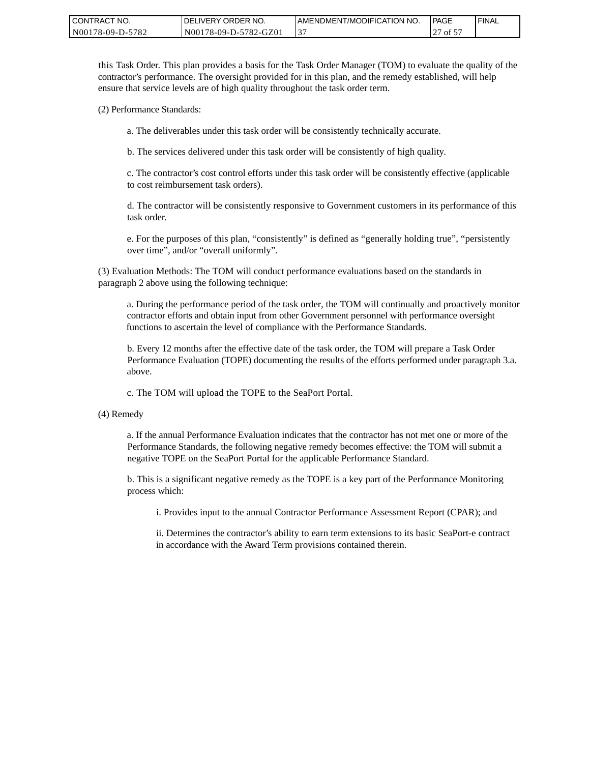| <b>CONTRACT</b><br>T NO. | ' ORDER NO.<br><b>DELIVERY</b> | AMENDMENT/MODIFICATION NO. | PAGE                         | ' FINAL |
|--------------------------|--------------------------------|----------------------------|------------------------------|---------|
| N00178-09-D-5782         | N00178-09-D-5782-GZ01          |                            | $\sim$ $\sim$ $\sim$<br>of 5 |         |

this Task Order. This plan provides a basis for the Task Order Manager (TOM) to evaluate the quality of the contractor's performance. The oversight provided for in this plan, and the remedy established, will help ensure that service levels are of high quality throughout the task order term.

(2) Performance Standards:

a. The deliverables under this task order will be consistently technically accurate.

b. The services delivered under this task order will be consistently of high quality.

c. The contractor's cost control efforts under this task order will be consistently effective (applicable to cost reimbursement task orders).

d. The contractor will be consistently responsive to Government customers in its performance of this task order.

e. For the purposes of this plan, "consistently" is defined as "generally holding true", "persistently over time", and/or "overall uniformly".

(3) Evaluation Methods: The TOM will conduct performance evaluations based on the standards in paragraph 2 above using the following technique:

a. During the performance period of the task order, the TOM will continually and proactively monitor contractor efforts and obtain input from other Government personnel with performance oversight functions to ascertain the level of compliance with the Performance Standards.

b. Every 12 months after the effective date of the task order, the TOM will prepare a Task Order Performance Evaluation (TOPE) documenting the results of the efforts performed under paragraph 3.a. above.

c. The TOM will upload the TOPE to the SeaPort Portal.

(4) Remedy

a. If the annual Performance Evaluation indicates that the contractor has not met one or more of the Performance Standards, the following negative remedy becomes effective: the TOM will submit a negative TOPE on the SeaPort Portal for the applicable Performance Standard.

b. This is a significant negative remedy as the TOPE is a key part of the Performance Monitoring process which:

i. Provides input to the annual Contractor Performance Assessment Report (CPAR); and

ii. Determines the contractor's ability to earn term extensions to its basic SeaPort-e contract in accordance with the Award Term provisions contained therein.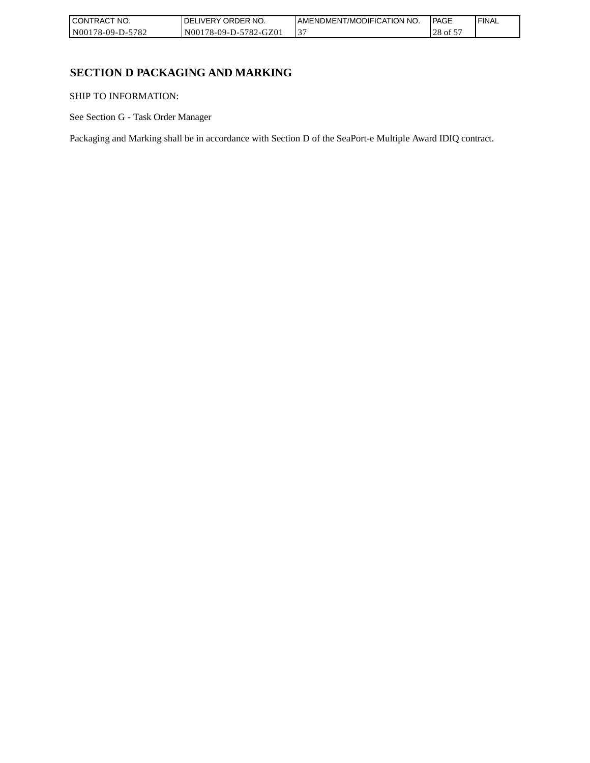| CONTRACT NO.     | `NO.<br><b>DELIVERY ORDER</b> | AMENDMENT/MODIFICATION NO. | <b>PAGE</b> | ' FINAL |
|------------------|-------------------------------|----------------------------|-------------|---------|
| N00178-09-D-5782 | N00178-09-D-5782-GZ01         | ້                          | 28<br>of 5  |         |

# **SECTION D PACKAGING AND MARKING**

SHIP TO INFORMATION:

See Section G - Task Order Manager

Packaging and Marking shall be in accordance with Section D of the SeaPort-e Multiple Award IDIQ contract.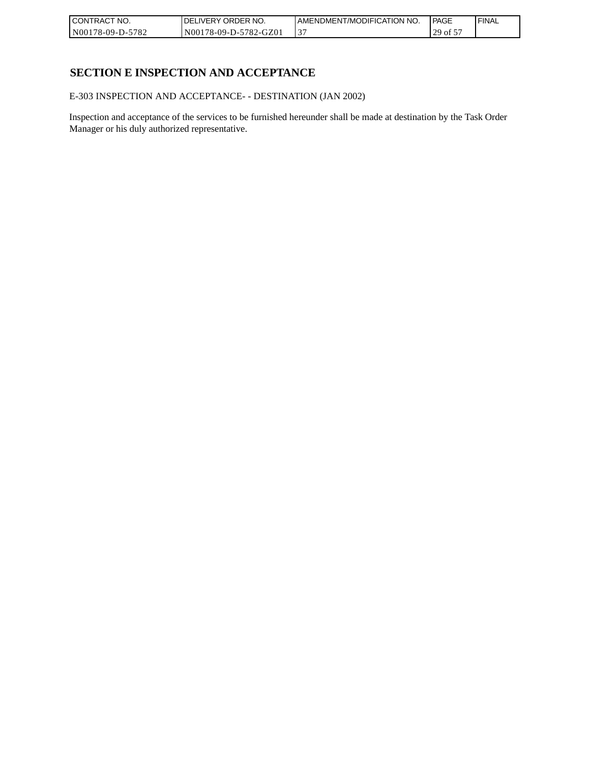| CONTRACT NO.     | DELIVERY ORDER NO.    | I AMENDMENT/MODIFICATION NO. | l PAGE                          | 'FINAL |
|------------------|-----------------------|------------------------------|---------------------------------|--------|
| N00178-09-D-5782 | N00178-09-D-5782-GZ01 | ້                            | 20<br>$\cdot$ of $\cdot$<br>ر ب |        |

# **SECTION E INSPECTION AND ACCEPTANCE**

E-303 INSPECTION AND ACCEPTANCE- - DESTINATION (JAN 2002)

Inspection and acceptance of the services to be furnished hereunder shall be made at destination by the Task Order Manager or his duly authorized representative.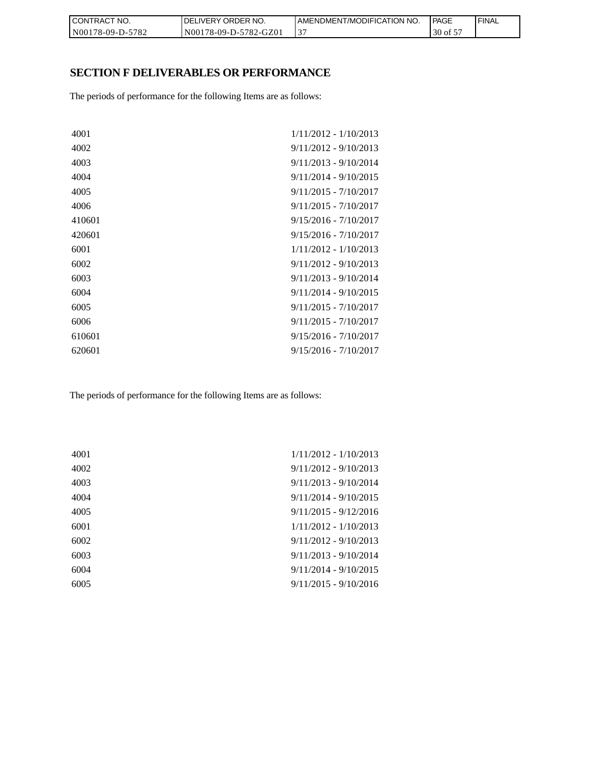| CONTRACT NO.     | <b>IDELIVERY ORDER NO.</b> | I AMENDMENT/MODIFICATION NO. | <b>PAGE</b> | ' FINAL |
|------------------|----------------------------|------------------------------|-------------|---------|
| N00178-09-D-5782 | N00178-09-D-5782-GZ01      |                              | 30 of 5     |         |

# **SECTION F DELIVERABLES OR PERFORMANCE**

The periods of performance for the following Items are as follows:

| 4001   | 1/11/2012 - 1/10/2013   |
|--------|-------------------------|
| 4002   | $9/11/2012 - 9/10/2013$ |
| 4003   | $9/11/2013 - 9/10/2014$ |
| 4004   | $9/11/2014 - 9/10/2015$ |
| 4005   | $9/11/2015 - 7/10/2017$ |
| 4006   | $9/11/2015 - 7/10/2017$ |
| 410601 | $9/15/2016 - 7/10/2017$ |
| 420601 | $9/15/2016 - 7/10/2017$ |
| 6001   | 1/11/2012 - 1/10/2013   |
| 6002   | $9/11/2012 - 9/10/2013$ |
| 6003   | $9/11/2013 - 9/10/2014$ |
| 6004   | $9/11/2014 - 9/10/2015$ |
| 6005   | $9/11/2015 - 7/10/2017$ |
| 6006   | $9/11/2015 - 7/10/2017$ |
| 610601 | $9/15/2016 - 7/10/2017$ |
| 620601 | $9/15/2016 - 7/10/2017$ |

The periods of performance for the following Items are as follows:

| 4001 | $1/11/2012 - 1/10/2013$ |
|------|-------------------------|
| 4002 | $9/11/2012 - 9/10/2013$ |
| 4003 | $9/11/2013 - 9/10/2014$ |
| 4004 | $9/11/2014 - 9/10/2015$ |
| 4005 | $9/11/2015 - 9/12/2016$ |
| 6001 | 1/11/2012 - 1/10/2013   |
| 6002 | $9/11/2012 - 9/10/2013$ |
| 6003 | $9/11/2013 - 9/10/2014$ |
| 6004 | $9/11/2014 - 9/10/2015$ |
| 6005 | $9/11/2015 - 9/10/2016$ |
|      |                         |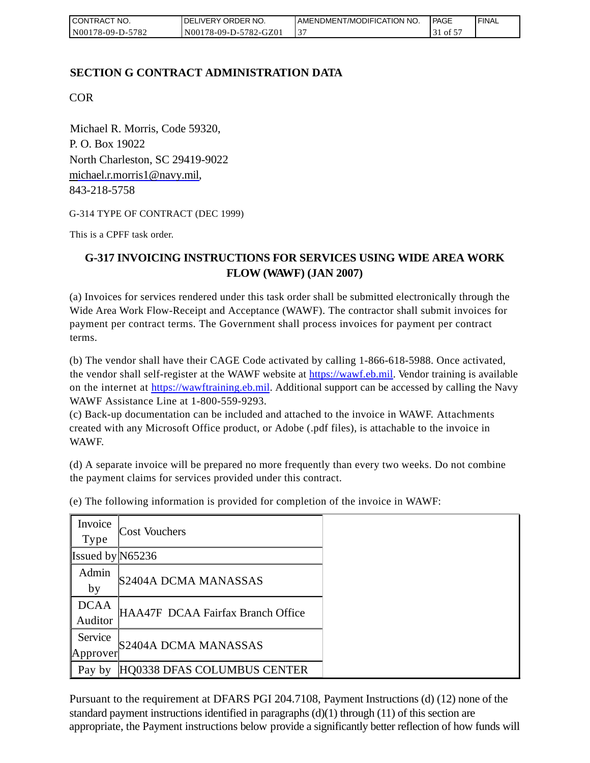| I CONTRACT NO.   | <b>IDELIVERY ORDER NO.</b> | AMENDMENT/MODIFICATION NO. | l PAGE      | ' FINAL |
|------------------|----------------------------|----------------------------|-------------|---------|
| N00178-09-D-5782 | N00178-09-D-5782-GZ01      |                            | $\sim$ to t |         |

# **SECTION G CONTRACT ADMINISTRATION DATA**

COR

Michael R. Morris, Code 59320, P. O. Box 19022 North Charleston, SC 29419-9022 [michael.r.morris1@navy.mil,](mailto:Michael.r.morris1@navy.mil) 843-218-5758

G-314 TYPE OF CONTRACT (DEC 1999)

This is a CPFF task order.

# **G-317 INVOICING INSTRUCTIONS FOR SERVICES USING WIDE AREA WORK FLOW (WAWF) (JAN 2007)**

(a) Invoices for services rendered under this task order shall be submitted electronically through the Wide Area Work Flow-Receipt and Acceptance (WAWF). The contractor shall submit invoices for payment per contract terms. The Government shall process invoices for payment per contract terms.

(b) The vendor shall have their CAGE Code activated by calling 1-866-618-5988. Once activated, the vendor shall self-register at the WAWF website at [https://wawf.eb.mil.](https://wawf.eb.mil/) Vendor training is available on the internet at [https://wawftraining.eb.mil.](https://wawftraining.eb.mil/) Additional support can be accessed by calling the Navy WAWF Assistance Line at 1-800-559-9293.

(c) Back-up documentation can be included and attached to the invoice in WAWF. Attachments created with any Microsoft Office product, or Adobe (.pdf files), is attachable to the invoice in WAWF.

(d) A separate invoice will be prepared no more frequently than every two weeks. Do not combine the payment claims for services provided under this contract.

| Invoice<br>Type        | Cost Vouchers                     |
|------------------------|-----------------------------------|
| Issued by $N65236$     |                                   |
| Admin<br>by            | S2404A DCMA MANASSAS              |
| <b>DCAA</b><br>Auditor | HAA47F DCAA Fairfax Branch Office |
| Service<br>[Approxer]  | S2404A DCMA MANASSAS              |
| Pay by                 | HQ0338 DFAS COLUMBUS CENTER       |

(e) The following information is provided for completion of the invoice in WAWF:

Pursuant to the requirement at DFARS PGI 204.7108, Payment Instructions (d) (12) none of the standard payment instructions identified in paragraphs  $(d)(1)$  through  $(11)$  of this section are appropriate, the Payment instructions below provide a significantly better reflection of how funds will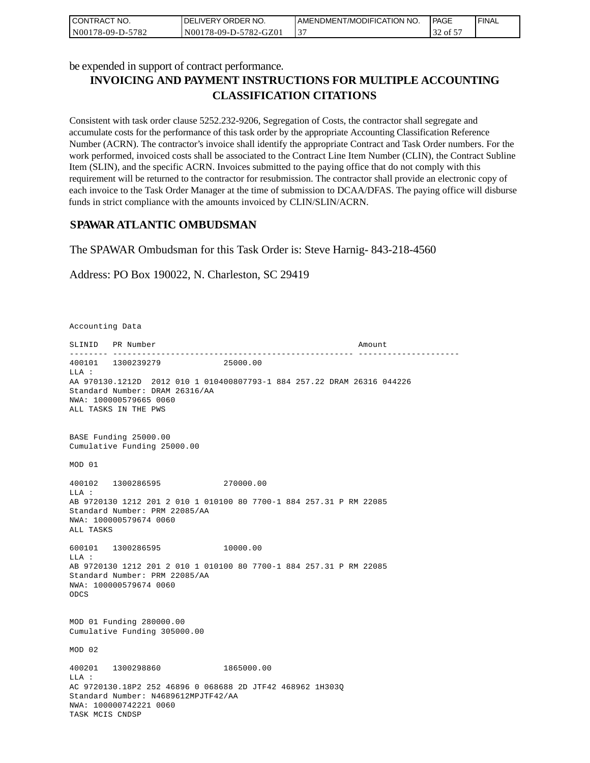| I CONTRACT NO.   | I DELIVERY ORDER NO.  | LAMENDMENT/MODIFICATION NO. | <b>I PAGE</b> | <b>FINAL</b> |
|------------------|-----------------------|-----------------------------|---------------|--------------|
| N00178-09-D-5782 | N00178-09-D-5782-GZ01 |                             | 32 of 5       |              |

be expended in support of contract performance.

# **INVOICING AND PAYMENT INSTRUCTIONS FOR MULTIPLE ACCOUNTING CLASSIFICATION CITATIONS**

Consistent with task order clause 5252.232-9206, Segregation of Costs, the contractor shall segregate and accumulate costs for the performance of this task order by the appropriate Accounting Classification Reference Number (ACRN). The contractor's invoice shall identify the appropriate Contract and Task Order numbers. For the work performed, invoiced costs shall be associated to the Contract Line Item Number (CLIN), the Contract Subline Item (SLIN), and the specific ACRN. Invoices submitted to the paying office that do not comply with this requirement will be returned to the contractor for resubmission. The contractor shall provide an electronic copy of each invoice to the Task Order Manager at the time of submission to DCAA/DFAS. The paying office will disburse funds in strict compliance with the amounts invoiced by CLIN/SLIN/ACRN.

# **SPAWAR ATLANTIC OMBUDSMAN**

The SPAWAR Ombudsman for this Task Order is: Steve Harnig- 843-218-4560

Address: PO Box 190022, N. Charleston, SC 29419

Accounting Data

SLINID PR Number Amount -------- -------------------------------------------------- --------------------- 400101 1300239279 25000.00  $T.T.A$  : AA 970130.1212D 2012 010 1 010400807793-1 884 257.22 DRAM 26316 044226 Standard Number: DRAM 26316/AA NWA: 100000579665 0060 ALL TASKS IN THE PWS BASE Funding 25000.00 Cumulative Funding 25000.00 MOD 01 400102 1300286595 270000.00 LLA : AB 9720130 1212 201 2 010 1 010100 80 7700-1 884 257.31 P RM 22085 Standard Number: PRM 22085/AA NWA: 100000579674 0060 ALL TASKS 600101 1300286595 10000.00 LLA : AB 9720130 1212 201 2 010 1 010100 80 7700-1 884 257.31 P RM 22085 Standard Number: PRM 22085/AA NWA: 100000579674 0060 ODCS MOD 01 Funding 280000.00 Cumulative Funding 305000.00 MOD 02 400201 1300298860 1865000.00  $T.T.A$  : AC 9720130.18P2 252 46896 0 068688 2D JTF42 468962 1H303Q Standard Number: N4689612MPJTF42/AA NWA: 100000742221 0060 TASK MCIS CNDSP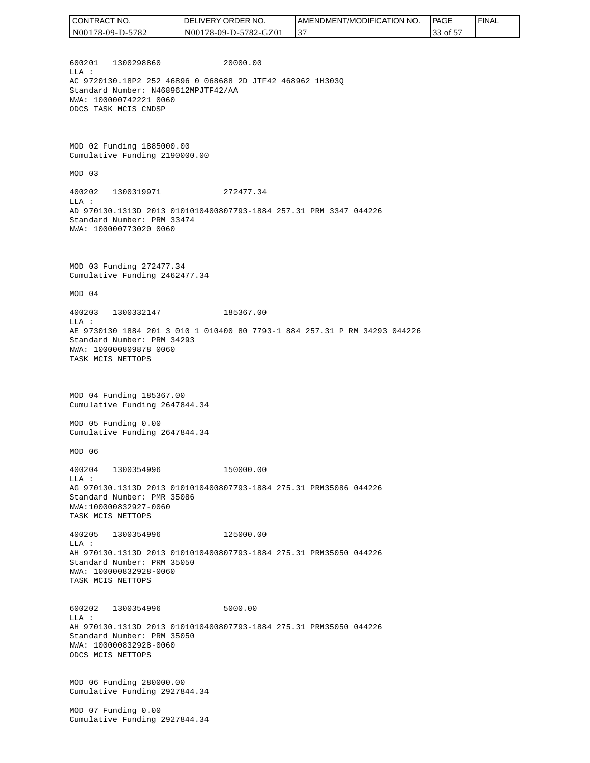600201 1300298860 20000.00  $T.T.A$  : AC 9720130.18P2 252 46896 0 068688 2D JTF42 468962 1H303Q Standard Number: N4689612MPJTF42/AA NWA: 100000742221 0060 ODCS TASK MCIS CNDSP MOD 02 Funding 1885000.00 Cumulative Funding 2190000.00 MOD 03 400202 1300319971 272477.34 LLA : AD 970130.1313D 2013 0101010400807793-1884 257.31 PRM 3347 044226 Standard Number: PRM 33474 NWA: 100000773020 0060 MOD 03 Funding 272477.34 Cumulative Funding 2462477.34 MOD 04 400203 1300332147 185367.00 LLA : AE 9730130 1884 201 3 010 1 010400 80 7793-1 884 257.31 P RM 34293 044226 Standard Number: PRM 34293 NWA: 100000809878 0060 TASK MCIS NETTOPS MOD 04 Funding 185367.00 Cumulative Funding 2647844.34 MOD 05 Funding 0.00 Cumulative Funding 2647844.34 MOD 06 400204 1300354996 150000.00 LLA : AG 970130.1313D 2013 0101010400807793-1884 275.31 PRM35086 044226 Standard Number: PMR 35086 NWA:100000832927-0060 TASK MCIS NETTOPS 400205 1300354996 125000.00 LLA : AH 970130.1313D 2013 0101010400807793-1884 275.31 PRM35050 044226 Standard Number: PRM 35050 NWA: 100000832928-0060 TASK MCIS NETTOPS 600202 1300354996 5000.00 LLA : AH 970130.1313D 2013 0101010400807793-1884 275.31 PRM35050 044226 Standard Number: PRM 35050 NWA: 100000832928-0060 ODCS MCIS NETTOPS MOD 06 Funding 280000.00 Cumulative Funding 2927844.34 MOD 07 Funding 0.00 Cumulative Funding 2927844.34 CONTRACT NO. N00178-09-D-5782 DELIVERY ORDER NO. N00178-09-D-5782-GZ01 AMENDMENT/MODIFICATION NO. 37 **PAGE**  33 of 57 FINAL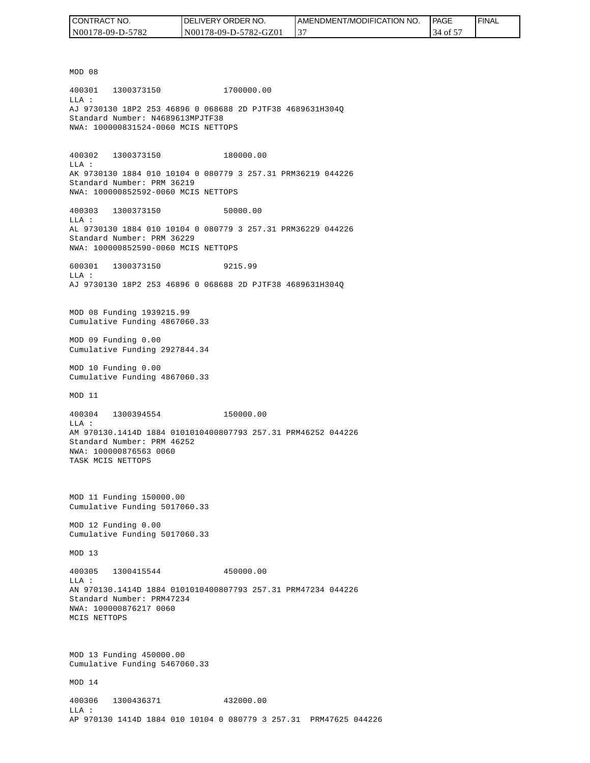| I CONTRACT NO.   | <b>IDELIVERY ORDER NO.</b> | I AMENDMENT/MODIFICATION NO. | <b>PAGE</b> | 'FINAL |
|------------------|----------------------------|------------------------------|-------------|--------|
| N00178-09-D-5782 | N00178-09-D-5782-GZ01      |                              | 34 of 5     |        |

MOD 08 400301 1300373150 1700000.00 LLA : AJ 9730130 18P2 253 46896 0 068688 2D PJTF38 4689631H304Q Standard Number: N4689613MPJTF38 NWA: 100000831524-0060 MCIS NETTOPS 400302 1300373150 180000.00 LLA : AK 9730130 1884 010 10104 0 080779 3 257.31 PRM36219 044226 Standard Number: PRM 36219 NWA: 100000852592-0060 MCIS NETTOPS 400303 1300373150 50000.00 LLA : AL 9730130 1884 010 10104 0 080779 3 257.31 PRM36229 044226 Standard Number: PRM 36229 NWA: 100000852590-0060 MCIS NETTOPS 600301 1300373150 9215.99  $T.T.A$  : AJ 9730130 18P2 253 46896 0 068688 2D PJTF38 4689631H304Q MOD 08 Funding 1939215.99 Cumulative Funding 4867060.33 MOD 09 Funding 0.00 Cumulative Funding 2927844.34 MOD 10 Funding 0.00 Cumulative Funding 4867060.33 MOD 11 400304 1300394554 150000.00 LLA : AM 970130.1414D 1884 0101010400807793 257.31 PRM46252 044226 Standard Number: PRM 46252 NWA: 100000876563 0060 TASK MCIS NETTOPS MOD 11 Funding 150000.00 Cumulative Funding 5017060.33 MOD 12 Funding 0.00 Cumulative Funding 5017060.33 MOD 13 400305 1300415544 450000.00  $L.L.A$  : AN 970130.1414D 1884 0101010400807793 257.31 PRM47234 044226 Standard Number: PRM47234 NWA: 100000876217 0060 MCIS NETTOPS MOD 13 Funding 450000.00 Cumulative Funding 5467060.33 MOD 14 400306 1300436371 432000.00 LLA : AP 970130 1414D 1884 010 10104 0 080779 3 257.31 PRM47625 044226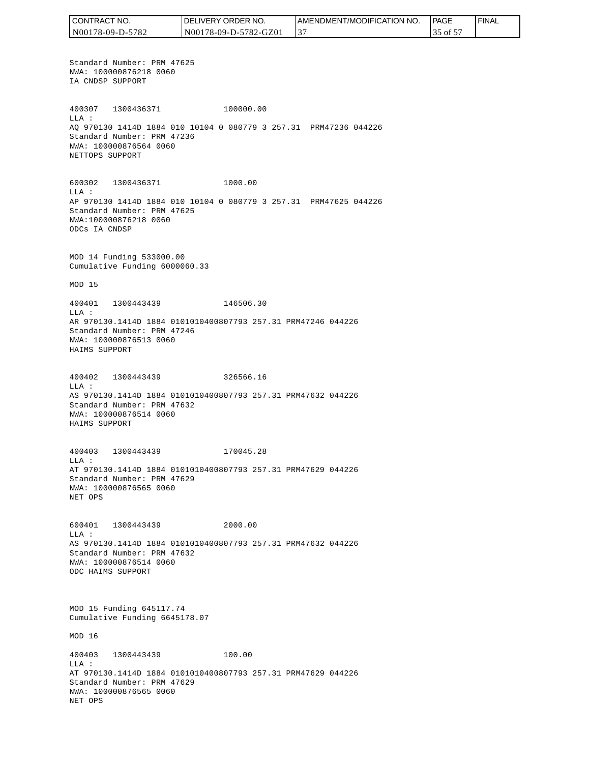CONTRACT NO. DELIVERY ORDER NO. AMENDMENT/MODIFICATION NO. PAGE FINALCONTRACT NO.<br>NO0178-09-D-5<br>Standard Numk<br>NWA: 1000087<br>IA CNDSP SUPP<br>400307 1300<br>400307 1300<br>400307 1300<br>MLA: 2000087<br>NET CNDSP SUPPC<br>600302 1300<br>NET TOPS SUPPC<br>600302 1300<br>LLA: AP 970130 141<br>Standard Numk<br>NWA: 10000087<br>MAD N00178-09-D-5782 N00178-09-D-5782-GZ01 37 35 of 57 Standard Number: PRM 47625 NWA: 100000876218 0060 IA CNDSP SUPPORT 400307 1300436371 100000.00 LLA : AQ 970130 1414D 1884 010 10104 0 080779 3 257.31 PRM47236 044226 Standard Number: PRM 47236 NWA: 100000876564 0060 NETTOPS SUPPORT 600302 1300436371 1000.00 LLA : AP 970130 1414D 1884 010 10104 0 080779 3 257.31 PRM47625 044226 Standard Number: PRM 47625 NWA:100000876218 0060 ODCs IA CNDSP MOD 14 Funding 533000.00 Cumulative Funding 6000060.33 MOD 15 400401 1300443439 146506.30 LLA : AR 970130.1414D 1884 0101010400807793 257.31 PRM47246 044226 Standard Number: PRM 47246 NWA: 100000876513 0060 HAIMS SUPPORT 400402 1300443439 326566.16 LLA : AS 970130.1414D 1884 0101010400807793 257.31 PRM47632 044226 Standard Number: PRM 47632 NWA: 100000876514 0060 HAIMS SUPPORT 400403 1300443439 170045.28 LLA : AT 970130.1414D 1884 0101010400807793 257.31 PRM47629 044226 Standard Number: PRM 47629 NWA: 100000876565 0060 NET OPS 600401 1300443439 2000.00 LLA : AS 970130.1414D 1884 0101010400807793 257.31 PRM47632 044226 Standard Number: PRM 47632 NWA: 100000876514 0060 ODC HAIMS SUPPORT MOD 15 Funding 645117.74 Cumulative Funding 6645178.07 MOD 16 400403 1300443439 100.00 LLA : AT 970130.1414D 1884 0101010400807793 257.31 PRM47629 044226 Standard Number: PRM 47629 NWA: 100000876565 0060 NET OPS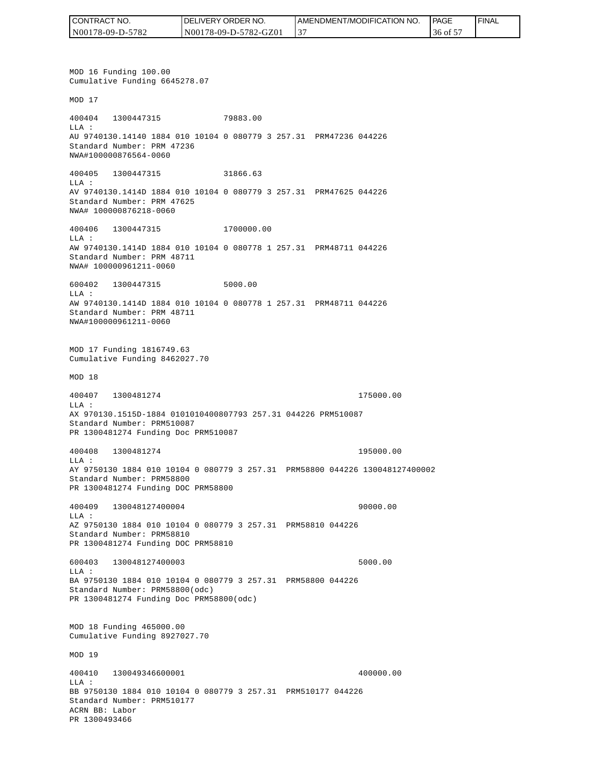| CONTRACT NO.     | <b>IDELIVERY ORDER NO.</b> | AMENDMENT/MODIFICATION NO. | PAGE    | 'FINAL |
|------------------|----------------------------|----------------------------|---------|--------|
| N00178-09-D-5782 | N00178-09-D-5782-GZ01      |                            | 36 of 5 |        |

MOD 16 Funding 100.00 Cumulative Funding 6645278.07 MOD 17 400404 1300447315 79883.00 LLA : AU 9740130.14140 1884 010 10104 0 080779 3 257.31 PRM47236 044226 Standard Number: PRM 47236 NWA#100000876564-0060 400405 1300447315 31866.63 LLA : AV 9740130.1414D 1884 010 10104 0 080779 3 257.31 PRM47625 044226 Standard Number: PRM 47625 NWA# 100000876218-0060 400406 1300447315 1700000.00 LLA : AW 9740130.1414D 1884 010 10104 0 080778 1 257.31 PRM48711 044226 Standard Number: PRM 48711 NWA# 100000961211-0060 600402 1300447315 5000.00 LLA : AW 9740130.1414D 1884 010 10104 0 080778 1 257.31 PRM48711 044226 Standard Number: PRM 48711 NWA#100000961211-0060 MOD 17 Funding 1816749.63 Cumulative Funding 8462027.70 MOD 18 400407 1300481274 175000.00 LLA : AX 970130.1515D-1884 0101010400807793 257.31 044226 PRM510087 Standard Number: PRM510087 PR 1300481274 Funding Doc PRM510087 400408 1300481274 195000.00 LLA : AY 9750130 1884 010 10104 0 080779 3 257.31 PRM58800 044226 130048127400002 Standard Number: PRM58800 PR 1300481274 Funding DOC PRM58800 400409 130048127400004 90000.00 LLA : AZ 9750130 1884 010 10104 0 080779 3 257.31 PRM58810 044226 Standard Number: PRM58810 PR 1300481274 Funding DOC PRM58810 600403 130048127400003 5000.00 LLA : BA 9750130 1884 010 10104 0 080779 3 257.31 PRM58800 044226 Standard Number: PRM58800(odc) PR 1300481274 Funding Doc PRM58800(odc) MOD 18 Funding 465000.00 Cumulative Funding 8927027.70 MOD 19 400410 130049346600001 400000.00  $L.L.A$  : BB 9750130 1884 010 10104 0 080779 3 257.31 PRM510177 044226 Standard Number: PRM510177 ACRN BB: Labor PR 1300493466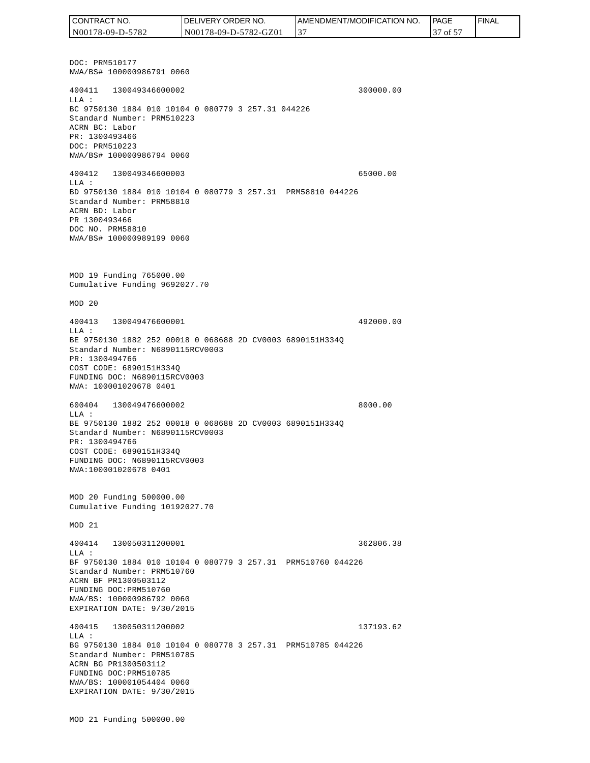DOC: PRM510177 NWA/BS# 100000986791 0060 400411 130049346600002 300000.00 LLA : BC 9750130 1884 010 10104 0 080779 3 257.31 044226 Standard Number: PRM510223 ACRN BC: Labor PR: 1300493466 DOC: PRM510223 NWA/BS# 100000986794 0060 400412 130049346600003 65000.00 LLA : BD 9750130 1884 010 10104 0 080779 3 257.31 PRM58810 044226 Standard Number: PRM58810 ACRN BD: Labor PR 1300493466 DOC NO. PRM58810 NWA/BS# 100000989199 0060 MOD 19 Funding 765000.00 Cumulative Funding 9692027.70 MOD 20 400413 130049476600001 492000.00 LLA : BE 9750130 1882 252 00018 0 068688 2D CV0003 6890151H334Q Standard Number: N6890115RCV0003 PR: 1300494766 COST CODE: 6890151H334Q FUNDING DOC: N6890115RCV0003 NWA: 100001020678 0401 600404 130049476600002 8000.00 LLA : BE 9750130 1882 252 00018 0 068688 2D CV0003 6890151H334Q Standard Number: N6890115RCV0003 PR: 1300494766 COST CODE: 6890151H334Q FUNDING DOC: N6890115RCV0003 NWA:100001020678 0401 MOD 20 Funding 500000.00 Cumulative Funding 10192027.70 MOD 21 400414 130050311200001 362806.38  $T.T.A$  : BF 9750130 1884 010 10104 0 080779 3 257.31 PRM510760 044226 Standard Number: PRM510760 ACRN BF PR1300503112 FUNDING DOC:PRM510760 NWA/BS: 100000986792 0060 EXPIRATION DATE: 9/30/2015 400415 130050311200002 137193.62 LLA : BG 9750130 1884 010 10104 0 080778 3 257.31 PRM510785 044226 Standard Number: PRM510785 ACRN BG PR1300503112 FUNDING DOC:PRM510785 NWA/BS: 100001054404 0060 EXPIRATION DATE: 9/30/2015 CONTRACT NO. N00178-09-D-5782 DELIVERY ORDER NO. N00178-09-D-5782-GZ01 AMENDMENT/MODIFICATION NO. 37 **PAGE**  37 of 57 FINAL

MOD 21 Funding 500000.00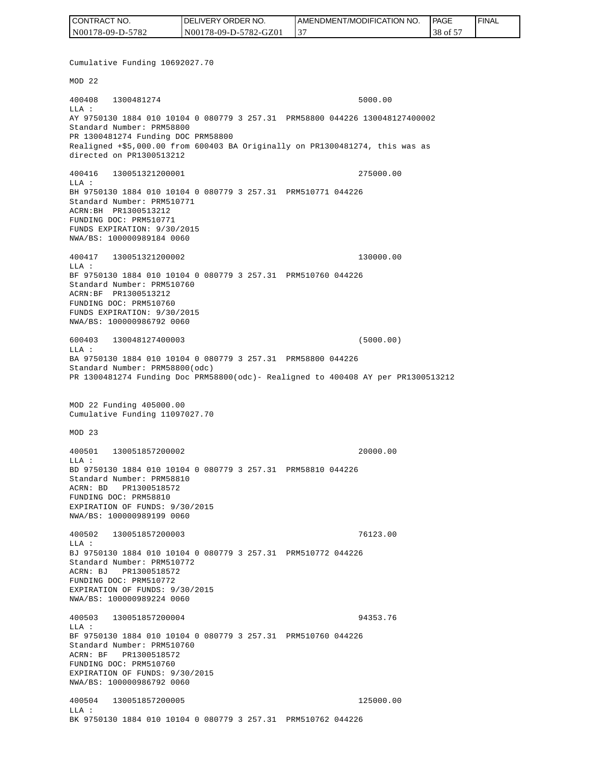| CONTRACT NO.     | <b>IDELIVERY ORDER NO.</b> | AMENDMENT/MODIFICATION NO. | PAGE    | <b>I FINAL</b> |
|------------------|----------------------------|----------------------------|---------|----------------|
| N00178-09-D-5782 | N00178-09-D-5782-GZ01      |                            | 38 of 5 |                |

Cumulative Funding 10692027.70 MOD 22 400408 1300481274 5000.00 LLA : AY 9750130 1884 010 10104 0 080779 3 257.31 PRM58800 044226 130048127400002 Standard Number: PRM58800 PR 1300481274 Funding DOC PRM58800 Realigned +\$5,000.00 from 600403 BA Originally on PR1300481274, this was as directed on PR1300513212 400416 130051321200001 275000.00 LLA : BH 9750130 1884 010 10104 0 080779 3 257.31 PRM510771 044226 Standard Number: PRM510771 ACRN:BH PR1300513212 FUNDING DOC: PRM510771 FUNDS EXPIRATION: 9/30/2015 NWA/BS: 100000989184 0060 400417 130051321200002 130000.00 LLA : BF 9750130 1884 010 10104 0 080779 3 257.31 PRM510760 044226 Standard Number: PRM510760 ACRN:BF PR1300513212 FUNDING DOC: PRM510760 FUNDS EXPIRATION: 9/30/2015 NWA/BS: 100000986792 0060 600403 130048127400003 (5000.00)  $L.L.A$  : BA 9750130 1884 010 10104 0 080779 3 257.31 PRM58800 044226 Standard Number: PRM58800(odc) PR 1300481274 Funding Doc PRM58800(odc)- Realigned to 400408 AY per PR1300513212 MOD 22 Funding 405000.00 Cumulative Funding 11097027.70 MOD 23 400501 130051857200002 20000.00  $L.L.A$  : BD 9750130 1884 010 10104 0 080779 3 257.31 PRM58810 044226 Standard Number: PRM58810 ACRN: BD PR1300518572 FUNDING DOC: PRM58810 EXPIRATION OF FUNDS: 9/30/2015 NWA/BS: 100000989199 0060 400502 130051857200003 76123.00 LLA : BJ 9750130 1884 010 10104 0 080779 3 257.31 PRM510772 044226 Standard Number: PRM510772 ACRN: BJ PR1300518572 FUNDING DOC: PRM510772 EXPIRATION OF FUNDS: 9/30/2015 NWA/BS: 100000989224 0060 400503 130051857200004 94353.76  $T.T.A$  : BF 9750130 1884 010 10104 0 080779 3 257.31 PRM510760 044226 Standard Number: PRM510760 ACRN: BF PR1300518572 FUNDING DOC: PRM510760 EXPIRATION OF FUNDS: 9/30/2015 NWA/BS: 100000986792 0060 400504 130051857200005 125000.00 LLA : BK 9750130 1884 010 10104 0 080779 3 257.31 PRM510762 044226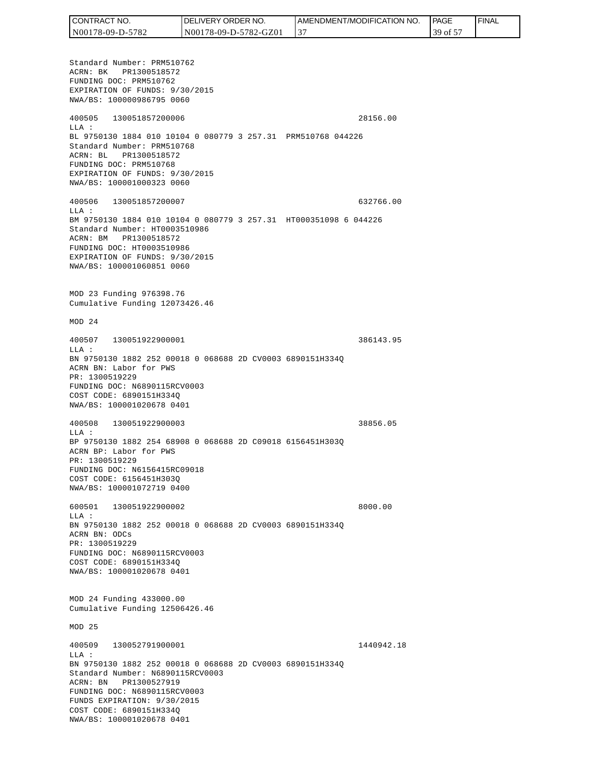| CONTRACT NO.     | <b>IDELIVERY ORDER NO.</b> | AMENDMENT/MODIFICATION NO. | <sup>1</sup> PAGE | ' FINAL |
|------------------|----------------------------|----------------------------|-------------------|---------|
| N00178-09-D-5782 | N00178-09-D-5782-GZ01      |                            | 39 of 5           |         |

Standard Number: PRM510762 ACRN: BK PR1300518572 FUNDING DOC: PRM510762 EXPIRATION OF FUNDS: 9/30/2015 NWA/BS: 100000986795 0060 400505 130051857200006 28156.00 LLA : BL 9750130 1884 010 10104 0 080779 3 257.31 PRM510768 044226 Standard Number: PRM510768 ACRN: BL PR1300518572 FUNDING DOC: PRM510768 EXPIRATION OF FUNDS: 9/30/2015 NWA/BS: 100001000323 0060 400506 130051857200007 632766.00 LLA : BM 9750130 1884 010 10104 0 080779 3 257.31 HT000351098 6 044226 Standard Number: HT0003510986 ACRN: BM PR1300518572 FUNDING DOC: HT0003510986 EXPIRATION OF FUNDS: 9/30/2015 NWA/BS: 100001060851 0060 MOD 23 Funding 976398.76 Cumulative Funding 12073426.46 MOD 24 400507 130051922900001 386143.95  $T.T.A$  : BN 9750130 1882 252 00018 0 068688 2D CV0003 6890151H334Q ACRN BN: Labor for PWS PR: 1300519229 FUNDING DOC: N6890115RCV0003 COST CODE: 6890151H334Q NWA/BS: 100001020678 0401 400508 130051922900003 38856.05 LLA : BP 9750130 1882 254 68908 0 068688 2D C09018 6156451H303Q ACRN BP: Labor for PWS PR: 1300519229 FUNDING DOC: N6156415RC09018 COST CODE: 6156451H303Q NWA/BS: 100001072719 0400 600501 130051922900002 8000.00 LLA : BN 9750130 1882 252 00018 0 068688 2D CV0003 6890151H334Q ACRN BN: ODCs PR: 1300519229 FUNDING DOC: N6890115RCV0003 COST CODE: 6890151H334Q NWA/BS: 100001020678 0401 MOD 24 Funding 433000.00 Cumulative Funding 12506426.46 MOD 25 400509 130052791900001 1440942.18 LLA : BN 9750130 1882 252 00018 0 068688 2D CV0003 6890151H334Q Standard Number: N6890115RCV0003 ACRN: BN PR1300527919 FUNDING DOC: N6890115RCV0003 FUNDS EXPIRATION: 9/30/2015 COST CODE: 6890151H334Q NWA/BS: 100001020678 0401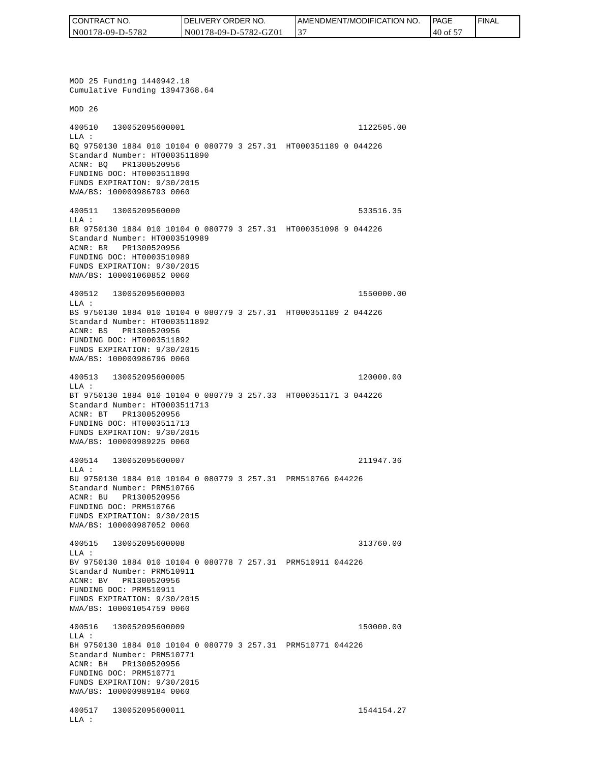| CONTRACT NO.     | <b>IDELIVERY ORDER NO.</b> | <b>I AMENDMENT/MODIFICATION NO.</b> | l PAGE          | <b>FINAL</b> |
|------------------|----------------------------|-------------------------------------|-----------------|--------------|
| N00178-09-D-5782 | N00178-09-D-5782-GZ01      |                                     | $140$ of $\Box$ |              |

MOD 25 Funding 1440942.18 Cumulative Funding 13947368.64 MOD 26 400510 130052095600001 1122505.00 LLA : BQ 9750130 1884 010 10104 0 080779 3 257.31 HT000351189 0 044226 Standard Number: HT0003511890 ACNR: BQ PR1300520956 FUNDING DOC: HT0003511890 FUNDS EXPIRATION: 9/30/2015 NWA/BS: 100000986793 0060 400511 13005209560000 533516.35 LLA : BR 9750130 1884 010 10104 0 080779 3 257.31 HT000351098 9 044226 Standard Number: HT0003510989 ACNR: BR PR1300520956 FUNDING DOC: HT0003510989 FUNDS EXPIRATION: 9/30/2015 NWA/BS: 100001060852 0060 400512 130052095600003 1550000.00 LLA : BS 9750130 1884 010 10104 0 080779 3 257.31 HT000351189 2 044226 Standard Number: HT0003511892 ACNR: BS PR1300520956 FUNDING DOC: HT0003511892 FUNDS EXPIRATION: 9/30/2015 NWA/BS: 100000986796 0060 400513 130052095600005 120000.00 LLA : BT 9750130 1884 010 10104 0 080779 3 257.33 HT000351171 3 044226 Standard Number: HT0003511713 ACNR: BT PR1300520956 FUNDING DOC: HT0003511713 FUNDS EXPIRATION: 9/30/2015 NWA/BS: 100000989225 0060 400514 130052095600007 211947.36 LLA : BU 9750130 1884 010 10104 0 080779 3 257.31 PRM510766 044226 Standard Number: PRM510766 ACNR: BU PR1300520956 FUNDING DOC: PRM510766 FUNDS EXPIRATION: 9/30/2015 NWA/BS: 100000987052 0060 400515 130052095600008 313760.00  $T.T.A$  : BV 9750130 1884 010 10104 0 080778 7 257.31 PRM510911 044226 Standard Number: PRM510911 ACNR: BV PR1300520956 FUNDING DOC: PRM510911 FUNDS EXPIRATION: 9/30/2015 NWA/BS: 100001054759 0060 400516 130052095600009 150000.00 LLA : BH 9750130 1884 010 10104 0 080779 3 257.31 PRM510771 044226 Standard Number: PRM510771 ACNR: BH PR1300520956 FUNDING DOC: PRM510771 FUNDS EXPIRATION: 9/30/2015 NWA/BS: 100000989184 0060 400517 130052095600011 1544154.27 LLA :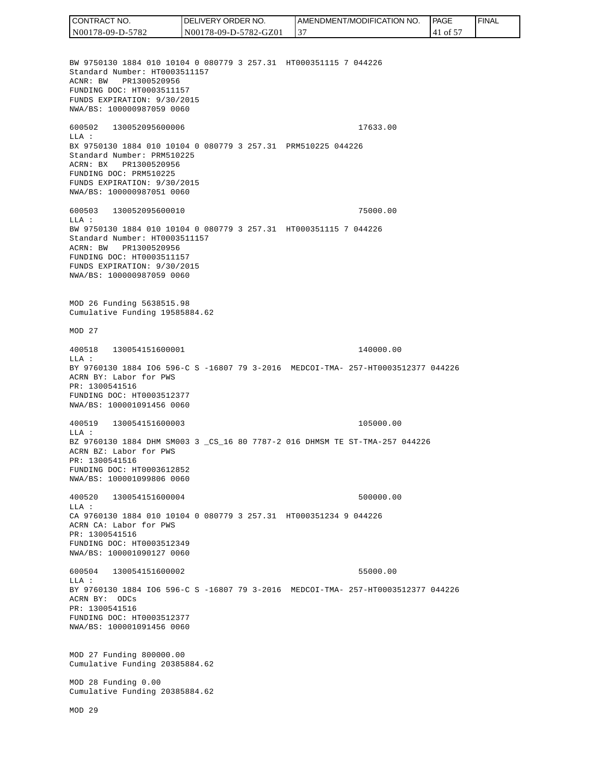CONTRACT NO. DELIVERY ORDER NO. AMENDMENT/MODIFICATION NO. **PAGE**  FINALCONTRACT NO.<br>
NO0178-09-D-5<br>
BW 9750130 18<br>
Standard Numb<br>
Standard Numb<br>
ACNR: BW PR<br>
FUNDING DOC:<br>
FUNDS EXPIRAT<br>
FUNDING DOC:<br>
TEUNDS EXPIRAT<br>
600502 1300<br>
600502 1300<br>
LLA: BX 9750130 18<br>
Standard Numb<br>
ACRR: BW PR<br>
FU N00178-09-D-5782 N00178-09-D-5782-GZ01 37 41 of 57 BW 9750130 1884 010 10104 0 080779 3 257.31 HT000351115 7 044226 Standard Number: HT0003511157 ACNR: BW PR1300520956 FUNDING DOC: HT0003511157 FUNDS EXPIRATION: 9/30/2015 NWA/BS: 100000987059 0060 600502 130052095600006 17633.00 LLA : BX 9750130 1884 010 10104 0 080779 3 257.31 PRM510225 044226 Standard Number: PRM510225 ACRN: BX PR1300520956 FUNDING DOC: PRM510225 FUNDS EXPIRATION: 9/30/2015 NWA/BS: 100000987051 0060 600503 130052095600010 75000.00  $T.T.A$  : BW 9750130 1884 010 10104 0 080779 3 257.31 HT000351115 7 044226 Standard Number: HT0003511157 ACRN: BW PR1300520956 FUNDING DOC: HT0003511157 FUNDS EXPIRATION: 9/30/2015 NWA/BS: 100000987059 0060 MOD 26 Funding 5638515.98 Cumulative Funding 19585884.62 MOD 27 400518 130054151600001 140000.00 LLA : BY 9760130 1884 IO6 596-C S -16807 79 3-2016 MEDCOI-TMA- 257-HT0003512377 044226 ACRN BY: Labor for PWS PR: 1300541516 FUNDING DOC: HT0003512377 NWA/BS: 100001091456 0060 400519 130054151600003 105000.00 LLA : BZ 9760130 1884 DHM SM003 3 \_CS\_16 80 7787-2 016 DHMSM TE ST-TMA-257 044226 ACRN BZ: Labor for PWS PR: 1300541516 FUNDING DOC: HT0003612852 NWA/BS: 100001099806 0060 400520 130054151600004 500000.00  $L.L.A$  : CA 9760130 1884 010 10104 0 080779 3 257.31 HT000351234 9 044226 ACRN CA: Labor for PWS PR: 1300541516 FUNDING DOC: HT0003512349 NWA/BS: 100001090127 0060 600504 130054151600002 55000.00  $T.T.A$  : BY 9760130 1884 IO6 596-C S -16807 79 3-2016 MEDCOI-TMA- 257-HT0003512377 044226 ACRN BY: ODCs PR: 1300541516 FUNDING DOC: HT0003512377 NWA/BS: 100001091456 0060 MOD 27 Funding 800000.00 Cumulative Funding 20385884.62 MOD 28 Funding 0.00 Cumulative Funding 20385884.62 MOD 29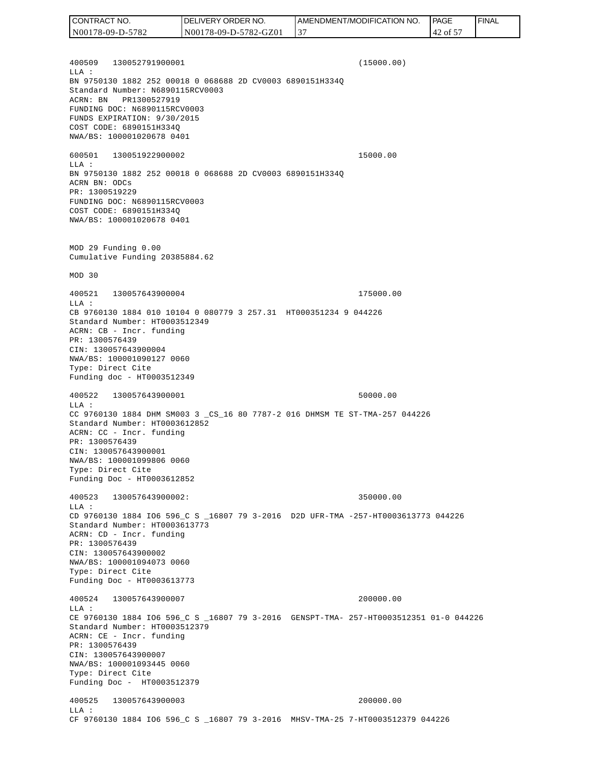400509 130052791900001 (15000.00) LLA : BN 9750130 1882 252 00018 0 068688 2D CV0003 6890151H334Q Standard Number: N6890115RCV0003 ACRN: BN PR1300527919 FUNDING DOC: N6890115RCV0003 FUNDS EXPIRATION: 9/30/2015 COST CODE: 6890151H334Q NWA/BS: 100001020678 0401 600501 130051922900002 15000.00 LLA : BN 9750130 1882 252 00018 0 068688 2D CV0003 6890151H334Q ACRN BN: ODCs PR: 1300519229 FUNDING DOC: N6890115RCV0003 COST CODE: 6890151H334Q NWA/BS: 100001020678 0401 MOD 29 Funding 0.00 Cumulative Funding 20385884.62 MOD 30 400521 130057643900004 175000.00 LLA : CB 9760130 1884 010 10104 0 080779 3 257.31 HT000351234 9 044226 Standard Number: HT0003512349 ACRN: CB - Incr. funding PR: 1300576439 CIN: 130057643900004 NWA/BS: 100001090127 0060 Type: Direct Cite Funding doc - HT0003512349 400522 130057643900001 50000.00 LLA : CC 9760130 1884 DHM SM003 3 \_CS\_16 80 7787-2 016 DHMSM TE ST-TMA-257 044226 Standard Number: HT0003612852 ACRN: CC - Incr. funding PR: 1300576439 CIN: 130057643900001 NWA/BS: 100001099806 0060 Type: Direct Cite Funding Doc - HT0003612852 400523 130057643900002: 350000.00  $L.L.A$  : CD 9760130 1884 IO6 596\_C S \_16807 79 3-2016 D2D UFR-TMA -257-HT0003613773 044226 Standard Number: HT0003613773 ACRN: CD - Incr. funding PR: 1300576439 CIN: 130057643900002 NWA/BS: 100001094073 0060 Type: Direct Cite Funding Doc - HT0003613773 400524 130057643900007 200000.00 LLA : CE 9760130 1884 IO6 596\_C S \_16807 79 3-2016 GENSPT-TMA- 257-HT0003512351 01-0 044226 Standard Number: HT0003512379 ACRN: CE - Incr. funding PR: 1300576439 CIN: 130057643900007 NWA/BS: 100001093445 0060 Type: Direct Cite Funding Doc - HT0003512379 400525 130057643900003 200000.00 LLA : CF 9760130 1884 IO6 596\_C S \_16807 79 3-2016 MHSV-TMA-25 7-HT0003512379 044226 CONTRACT NO. N00178-09-D-5782 DELIVERY ORDER NO. N00178-09-D-5782-GZ01 AMENDMENT/MODIFICATION NO. 37 **PAGE**  42 of 57 FINAL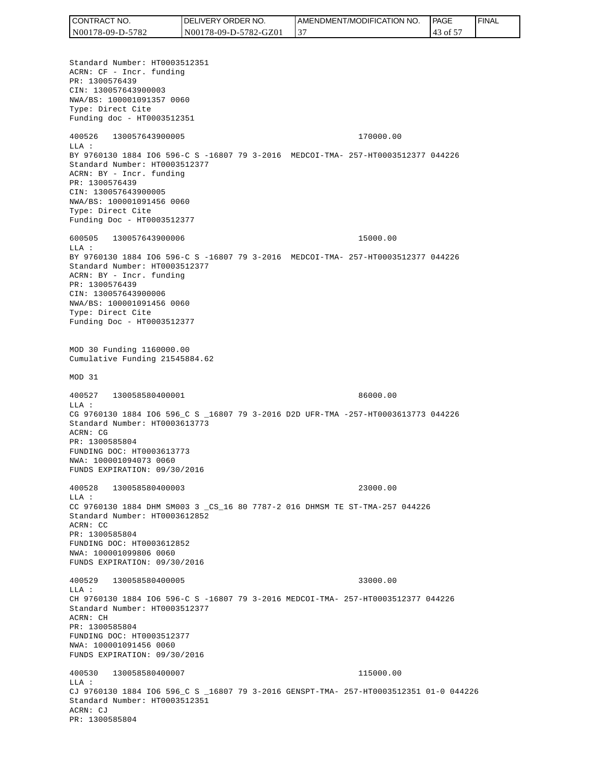| <b>CONTRACT</b><br>TNO. | 'JVERY ORDER NO.<br>DEl | <b>I AMENDMENT/MODIFICATION NO.</b> | <b>PAGE</b> | ' FINAL |
|-------------------------|-------------------------|-------------------------------------|-------------|---------|
| N00178-09-D-5782        | N00178-09-D-5782-GZ01   | $\overline{3}$                      | $43.01 -$   |         |

Standard Number: HT0003512351 ACRN: CF - Incr. funding PR: 1300576439 CIN: 130057643900003 NWA/BS: 100001091357 0060 Type: Direct Cite Funding doc - HT0003512351 400526 130057643900005 170000.00 LLA : BY 9760130 1884 IO6 596-C S -16807 79 3-2016 MEDCOI-TMA- 257-HT0003512377 044226 Standard Number: HT0003512377 ACRN: BY - Incr. funding PR: 1300576439 CIN: 130057643900005 NWA/BS: 100001091456 0060 Type: Direct Cite Funding Doc - HT0003512377 600505 130057643900006 15000.00  $T.T.A$  : BY 9760130 1884 IO6 596-C S -16807 79 3-2016 MEDCOI-TMA- 257-HT0003512377 044226 Standard Number: HT0003512377 ACRN: BY - Incr. funding PR: 1300576439 CIN: 130057643900006 NWA/BS: 100001091456 0060 Type: Direct Cite Funding Doc - HT0003512377 MOD 30 Funding 1160000.00 Cumulative Funding 21545884.62 MOD 31 400527 130058580400001 86000.00 LLA : CG 9760130 1884 IO6 596\_C S \_16807 79 3-2016 D2D UFR-TMA -257-HT0003613773 044226 Standard Number: HT0003613773 ACRN: CG PR: 1300585804 FUNDING DOC: HT0003613773 NWA: 100001094073 0060 FUNDS EXPIRATION: 09/30/2016 400528 130058580400003 23000.00 LLA : CC 9760130 1884 DHM SM003 3 \_CS\_16 80 7787-2 016 DHMSM TE ST-TMA-257 044226 Standard Number: HT0003612852 ACRN: CC PR: 1300585804 FUNDING DOC: HT0003612852 NWA: 100001099806 0060 FUNDS EXPIRATION: 09/30/2016 400529 130058580400005 33000.00 LLA : CH 9760130 1884 IO6 596-C S -16807 79 3-2016 MEDCOI-TMA- 257-HT0003512377 044226 Standard Number: HT0003512377 ACRN: CH PR: 1300585804 FUNDING DOC: HT0003512377 NWA: 100001091456 0060 FUNDS EXPIRATION: 09/30/2016 400530 130058580400007 115000.00  $L.L.A$  : CJ 9760130 1884 IO6 596\_C S \_16807 79 3-2016 GENSPT-TMA- 257-HT0003512351 01-0 044226 Standard Number: HT0003512351 ACRN: CJ PR: 1300585804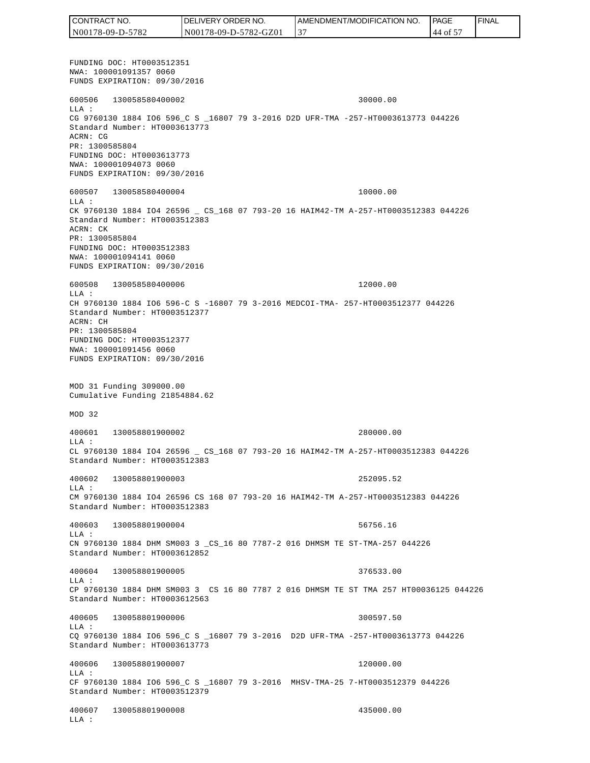FUNDING DOC: HT0003512351 NWA: 100001091357 0060 FUNDS EXPIRATION: 09/30/2016 600506 130058580400002 30000.00 LLA : CG 9760130 1884 IO6 596\_C S \_16807 79 3-2016 D2D UFR-TMA -257-HT0003613773 044226 Standard Number: HT0003613773 ACRN: CG PR: 1300585804 FUNDING DOC: HT0003613773 NWA: 100001094073 0060 FUNDS EXPIRATION: 09/30/2016 600507 130058580400004 10000.00 LLA : CK 9760130 1884 IO4 26596 \_ CS\_168 07 793-20 16 HAIM42-TM A-257-HT0003512383 044226 Standard Number: HT0003512383 ACRN: CK PR: 1300585804 FUNDING DOC: HT0003512383 NWA: 100001094141 0060 FUNDS EXPIRATION: 09/30/2016 600508 130058580400006 12000.00 LLA : CH 9760130 1884 IO6 596-C S -16807 79 3-2016 MEDCOI-TMA- 257-HT0003512377 044226 Standard Number: HT0003512377 ACRN: CH PR: 1300585804 FUNDING DOC: HT0003512377 NWA: 100001091456 0060 FUNDS EXPIRATION: 09/30/2016 MOD 31 Funding 309000.00 Cumulative Funding 21854884.62 MOD 32 400601 130058801900002 280000.00 LLA : CL 9760130 1884 IO4 26596 \_ CS\_168 07 793-20 16 HAIM42-TM A-257-HT0003512383 044226 Standard Number: HT0003512383 400602 130058801900003 252095.52 LLA : CM 9760130 1884 IO4 26596 CS 168 07 793-20 16 HAIM42-TM A-257-HT0003512383 044226 Standard Number: HT0003512383 400603 130058801900004 56756.16 LLA : CN 9760130 1884 DHM SM003 3 \_CS\_16 80 7787-2 016 DHMSM TE ST-TMA-257 044226 Standard Number: HT0003612852 400604 130058801900005 376533.00  $T.T.A$  : CP 9760130 1884 DHM SM003 3 CS 16 80 7787 2 016 DHMSM TE ST TMA 257 HT00036125 044226 Standard Number: HT0003612563 400605 130058801900006 300597.50  $T.T.A$  : CQ 9760130 1884 IO6 596\_C S \_16807 79 3-2016 D2D UFR-TMA -257-HT0003613773 044226 Standard Number: HT0003613773 400606 130058801900007 120000.00 LLA : CF 9760130 1884 IO6 596\_C S \_16807 79 3-2016 MHSV-TMA-25 7-HT0003512379 044226 Standard Number: HT0003512379 400607 130058801900008 435000.00 LLA : CONTRACT NO. N00178-09-D-5782 DELIVERY ORDER NO. N00178-09-D-5782-GZ01 AMENDMENT/MODIFICATION NO. 37 **PAGE**  44 of 57 FINAL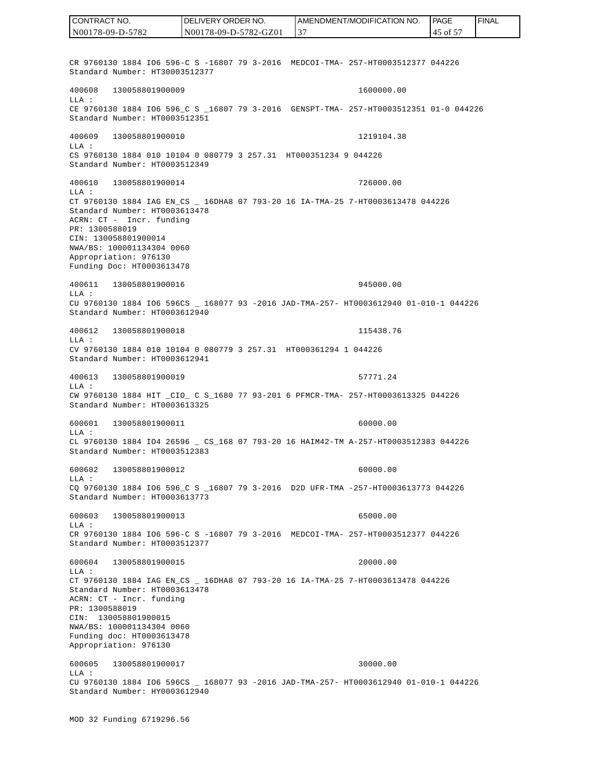CR 9760130 1884 IO6 596-C S -16807 79 3-2016 MEDCOI-TMA- 257-HT0003512377 044226 Standard Number: HT30003512377 400608 130058801900009 1600000.00 LLA : CE 9760130 1884 IO6 596 C S 16807 79 3-2016 GENSPT-TMA- 257-HT0003512351 01-0 044226 Standard Number: HT0003512351 400609 130058801900010 1219104.38 LLA : CS 9760130 1884 010 10104 0 080779 3 257.31 HT000351234 9 044226 Standard Number: HT0003512349 400610 130058801900014 726000.00 LLA : CT 9760130 1884 IAG EN\_CS \_ 16DHA8 07 793-20 16 IA-TMA-25 7-HT0003613478 044226 Standard Number: HT0003613478 ACRN: CT - Incr. funding PR: 1300588019 CIN: 130058801900014 NWA/BS: 100001134304 0060 Appropriation: 976130 Funding Doc: HT0003613478 400611 130058801900016 945000.00 LLA : CU 9760130 1884 IO6 596CS \_ 168077 93 -2016 JAD-TMA-257- HT0003612940 01-010-1 044226 Standard Number: HT0003612940 400612 130058801900018 115438.76 LLA : CV 9760130 1884 010 10104 0 080779 3 257.31 HT000361294 1 044226 Standard Number: HT0003612941 400613 130058801900019 57771.24 LLA : CW 9760130 1884 HIT \_CIO\_ C S\_1680 77 93-201 6 PFMCR-TMA- 257-HT0003613325 044226 Standard Number: HT0003613325 600601 130058801900011 60000.00 LLA : CL 9760130 1884 IO4 26596 \_ CS\_168 07 793-20 16 HAIM42-TM A-257-HT0003512383 044226 Standard Number: HT0003512383 600602 130058801900012 60000.00 LLA : CQ 9760130 1884 IO6 596\_C S \_16807 79 3-2016 D2D UFR-TMA -257-HT0003613773 044226 Standard Number: HT0003613773 600603 130058801900013 65000.00  $T.T.A$  : CR 9760130 1884 IO6 596-C S -16807 79 3-2016 MEDCOI-TMA- 257-HT0003512377 044226 Standard Number: HT0003512377 600604 130058801900015 20000.00 LLA : CT 9760130 1884 IAG EN\_CS \_ 16DHA8 07 793-20 16 IA-TMA-25 7-HT0003613478 044226 Standard Number: HT0003613478 ACRN: CT - Incr. funding PR: 1300588019 CIN: 130058801900015 NWA/BS: 100001134304 0060 Funding doc: HT0003613478 Appropriation: 976130 600605 130058801900017 30000.00 LLA : CU 9760130 1884 IO6 596CS \_ 168077 93 -2016 JAD-TMA-257- HT0003612940 01-010-1 044226 Standard Number: HY0003612940 CONTRACT NO. N00178-09-D-5782 DELIVERY ORDER NO. N00178-09-D-5782-GZ01 AMENDMENT/MODIFICATION NO. 37 **PAGE**  45 of 57 FINAL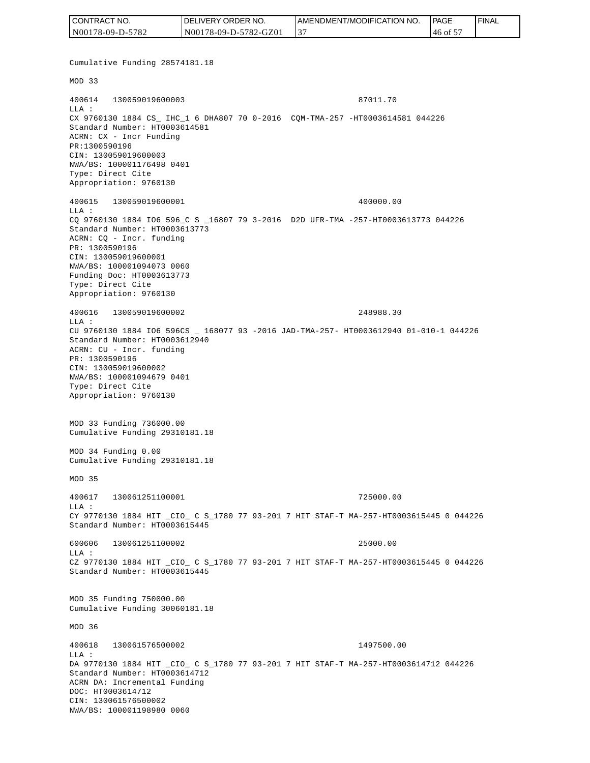| CONTRACT NO.     | DELIVERY ORDER NO.    | I AMENDMENT/MODIFICATION NO. | <b>IPAGE</b>      | ' FINAL |
|------------------|-----------------------|------------------------------|-------------------|---------|
| N00178-09-D-5782 | N00178-09-D-5782-GZ01 |                              | $-146$ of $\circ$ |         |

Cumulative Funding 28574181.18 MOD 33 400614 130059019600003 87011.70 LLA : CX 9760130 1884 CS\_ IHC\_1 6 DHA807 70 0-2016 CQM-TMA-257 -HT0003614581 044226 Standard Number: HT0003614581 ACRN: CX - Incr Funding PR:1300590196 CIN: 130059019600003 NWA/BS: 100001176498 0401 Type: Direct Cite Appropriation: 9760130 400615 130059019600001 400000.00 LLA : CQ 9760130 1884 IO6 596\_C S \_16807 79 3-2016 D2D UFR-TMA -257-HT0003613773 044226 Standard Number: HT0003613773 ACRN: CQ - Incr. funding PR: 1300590196 CIN: 130059019600001 NWA/BS: 100001094073 0060 Funding Doc: HT0003613773 Type: Direct Cite Appropriation: 9760130 400616 130059019600002 248988.30 LLA : CU 9760130 1884 IO6 596CS \_ 168077 93 -2016 JAD-TMA-257- HT0003612940 01-010-1 044226 Standard Number: HT0003612940 ACRN: CU - Incr. funding PR: 1300590196 CIN: 130059019600002 NWA/BS: 100001094679 0401 Type: Direct Cite Appropriation: 9760130 MOD 33 Funding 736000.00 Cumulative Funding 29310181.18 MOD 34 Funding 0.00 Cumulative Funding 29310181.18 MOD 35 400617 130061251100001 725000.00  $L.L.A$  : CY 9770130 1884 HIT \_CIO\_ C S\_1780 77 93-201 7 HIT STAF-T MA-257-HT0003615445 0 044226 Standard Number: HT0003615445 600606 130061251100002 25000.00  $T.T.A$  : CZ 9770130 1884 HIT \_CIO\_ C S\_1780 77 93-201 7 HIT STAF-T MA-257-HT0003615445 0 044226 Standard Number: HT0003615445 MOD 35 Funding 750000.00 Cumulative Funding 30060181.18 MOD 36 400618 130061576500002 1497500.00 LLA : DA 9770130 1884 HIT \_CIO\_ C S\_1780 77 93-201 7 HIT STAF-T MA-257-HT0003614712 044226 Standard Number: HT0003614712 ACRN DA: Incremental Funding DOC: HT0003614712 CIN: 130061576500002<br>NWA/BS: 100001198980 0060 CONTRACT NO. 5000178-09-D-5782<br>
NO00178-09-D-5782<br>
Cumulative Funding 2857418<br>
NOD 33<br>
Cumulative Funding 2857418<br>
NOD 33<br>
LLA:<br>
XX 9760130 1884 CS\_IEC\_1<br>
EXA:<br>
XX 9760130 1884 CS\_IEC\_1<br>
DRR: 130059019600003<br>
DRR: 13005901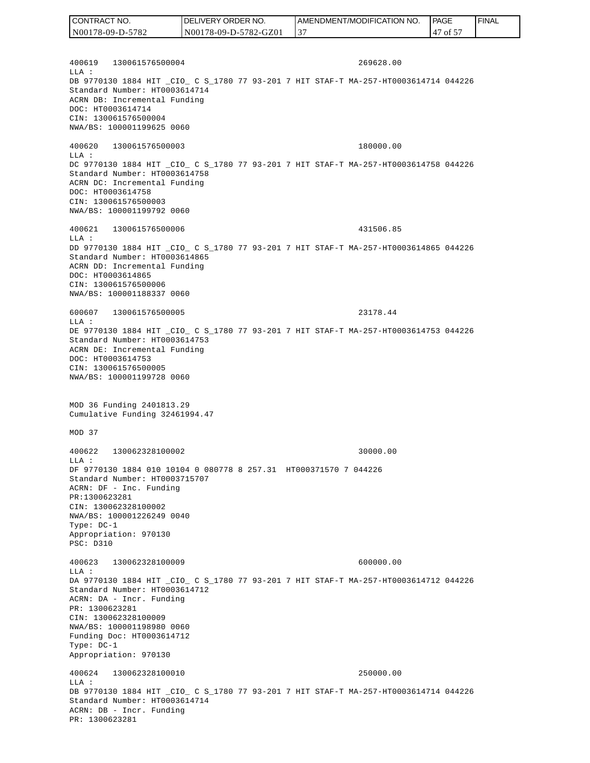400619 130061576500004 269628.00  $T.T.A$  : DB 9770130 1884 HIT \_CIO\_ C S\_1780 77 93-201 7 HIT STAF-T MA-257-HT0003614714 044226 Standard Number: HT0003614714 ACRN DB: Incremental Funding DOC: HT0003614714 CIN: 130061576500004 NWA/BS: 100001199625 0060 400620 130061576500003 180000.00 LLA : DC 9770130 1884 HIT \_CIO\_ C S\_1780 77 93-201 7 HIT STAF-T MA-257-HT0003614758 044226 Standard Number: HT0003614758 ACRN DC: Incremental Funding DOC: HT0003614758 CIN: 130061576500003 NWA/BS: 100001199792 0060 400621 130061576500006 431506.85 LLA : DD 9770130 1884 HIT \_CIO\_ C S\_1780 77 93-201 7 HIT STAF-T MA-257-HT0003614865 044226 Standard Number: HT0003614865 ACRN DD: Incremental Funding DOC: HT0003614865 CIN: 130061576500006 NWA/BS: 100001188337 0060 600607 130061576500005 23178.44  $T.T.A$  : DE 9770130 1884 HIT \_CIO\_ C S\_1780 77 93-201 7 HIT STAF-T MA-257-HT0003614753 044226 Standard Number: HT0003614753 ACRN DE: Incremental Funding DOC: HT0003614753 CIN: 130061576500005 NWA/BS: 100001199728 0060 MOD 36 Funding 2401813.29 Cumulative Funding 32461994.47 MOD 37 400622 130062328100002 30000.00 LLA : DF 9770130 1884 010 10104 0 080778 8 257.31 HT000371570 7 044226 Standard Number: HT0003715707 ACRN: DF - Inc. Funding PR:1300623281 CIN: 130062328100002 NWA/BS: 100001226249 0040 Type: DC-1 Appropriation: 970130 PSC: D310 400623 130062328100009 600000.00 LLA : DA 9770130 1884 HIT \_CIO\_ C S\_1780 77 93-201 7 HIT STAF-T MA-257-HT0003614712 044226 Standard Number: HT0003614712 ACRN: DA - Incr. Funding PR: 1300623281 CIN: 130062328100009 NWA/BS: 100001198980 0060 Funding Doc: HT0003614712 Type: DC-1 Appropriation: 970130 400624 130062328100010 250000.00  $T.T.A$  : DB 9770130 1884 HIT \_CIO\_ C S\_1780 77 93-201 7 HIT STAF-T MA-257-HT0003614714 044226 Standard Number: HT0003614714 ACRN: DB - Incr. Funding PR: 1300623281 CONTRACT NO. N00178-09-D-5782 DELIVERY ORDER NO. N00178-09-D-5782-GZ01 AMENDMENT/MODIFICATION NO. 37 **PAGE**  47 of 57 FINAL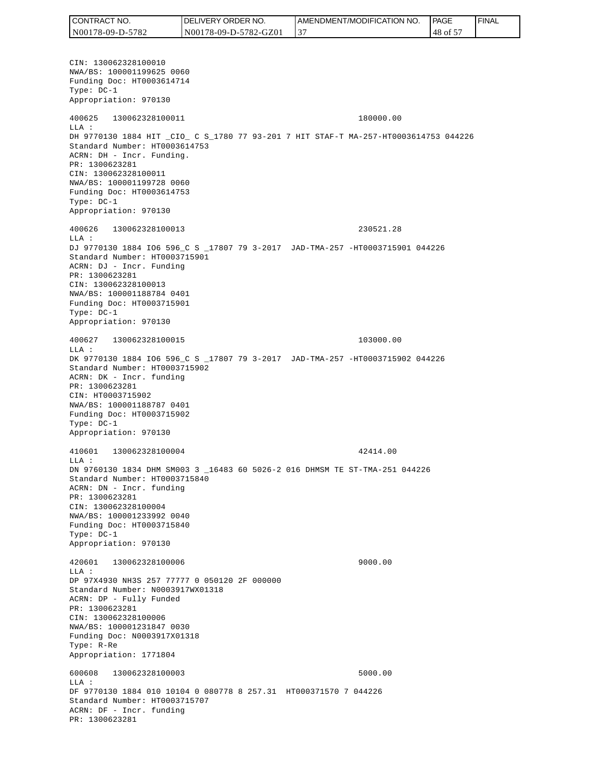CONTRACT NO. N00178-09-D-5782 DELIVERY ORDER NO. N00178-09-D-5782-GZ01 AMENDMENT/MODIFICATION NO. 37 **PAGE**  48 of 57 FINAL

CIN: 130062328100010 NWA/BS: 100001199625 0060 Funding Doc: HT0003614714 Type: DC-1 Appropriation: 970130 400625 130062328100011 180000.00 LLA : DH 9770130 1884 HIT \_CIO\_ C S\_1780 77 93-201 7 HIT STAF-T MA-257-HT0003614753 044226 Standard Number: HT0003614753 ACRN: DH - Incr. Funding. PR: 1300623281 CIN: 130062328100011 NWA/BS: 100001199728 0060 Funding Doc: HT0003614753 Type: DC-1 Appropriation: 970130 400626 130062328100013 230521.28 LLA : DJ 9770130 1884 IO6 596\_C S \_17807 79 3-2017 JAD-TMA-257 -HT0003715901 044226 Standard Number: HT0003715901 ACRN: DJ - Incr. Funding PR: 1300623281 CIN: 130062328100013 NWA/BS: 100001188784 0401 Funding Doc: HT0003715901 Type: DC-1 Appropriation: 970130 400627 130062328100015 103000.00  $T.T.A$  : DK 9770130 1884 IO6 596\_C S \_17807 79 3-2017 JAD-TMA-257 -HT0003715902 044226 Standard Number: HT0003715902 ACRN: DK - Incr. funding PR: 1300623281 CIN: HT0003715902 NWA/BS: 100001188787 0401 Funding Doc: HT0003715902 Type: DC-1 Appropriation: 970130 410601 130062328100004 42414.00  $L.L.A$  : DN 9760130 1834 DHM SM003 3 \_16483 60 5026-2 016 DHMSM TE ST-TMA-251 044226 Standard Number: HT0003715840 ACRN: DN - Incr. funding PR: 1300623281 CIN: 130062328100004 NWA/BS: 100001233992 0040 Funding Doc: HT0003715840 Type: DC-1 Appropriation: 970130 420601 130062328100006 9000.00 LLA : DP 97X4930 NH3S 257 77777 0 050120 2F 000000 Standard Number: N0003917WX01318 ACRN: DP - Fully Funded PR: 1300623281 CIN: 130062328100006 NWA/BS: 100001231847 0030 Funding Doc: N0003917X01318 Type: R-Re Appropriation: 1771804 600608 130062328100003 5000.00  $L.L.A$  : DF 9770130 1884 010 10104 0 080778 8 257.31 HT000371570 7 044226 Standard Number: HT0003715707 ACRN: DF - Incr. funding PR: 1300623281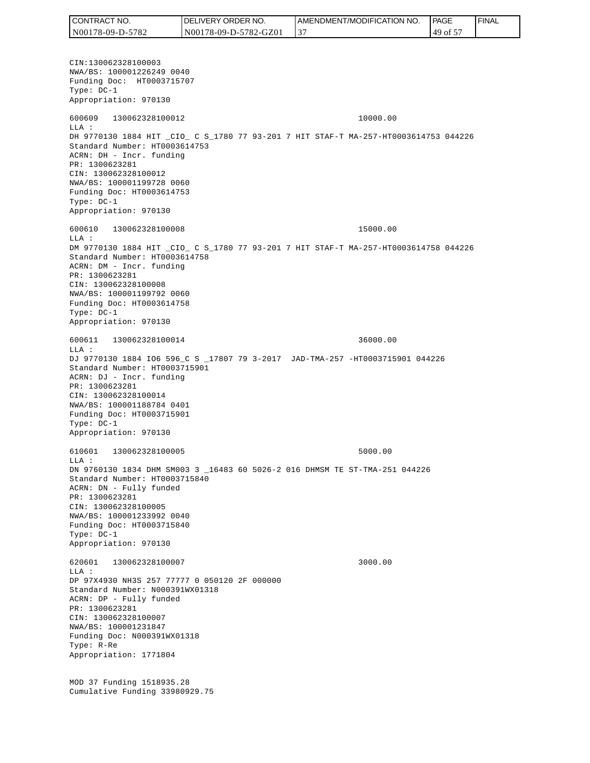CONTRACT NO. N00178-09-D-5782 DELIVERY ORDER NO. N00178-09-D-5782-GZ01 AMENDMENT/MODIFICATION NO. 37 **PAGE**  49 of 57 FINAL

CIN:130062328100003 NWA/BS: 100001226249 0040 Funding Doc: HT0003715707 Type: DC-1 Appropriation: 970130 600609 130062328100012 10000.00 LLA : DH 9770130 1884 HIT \_CIO\_ C S\_1780 77 93-201 7 HIT STAF-T MA-257-HT0003614753 044226 Standard Number: HT0003614753 ACRN: DH - Incr. funding PR: 1300623281 CIN: 130062328100012 NWA/BS: 100001199728 0060 Funding Doc: HT0003614753 Type: DC-1 Appropriation: 970130 600610 130062328100008 15000.00 LLA : DM 9770130 1884 HIT \_CIO\_ C S\_1780 77 93-201 7 HIT STAF-T MA-257-HT0003614758 044226 Standard Number: HT0003614758 ACRN: DM - Incr. funding PR: 1300623281 CIN: 130062328100008 NWA/BS: 100001199792 0060 Funding Doc: HT0003614758 Type: DC-1 Appropriation: 970130 600611 130062328100014 36000.00  $T.T.A$  : DJ 9770130 1884 IO6 596\_C S \_17807 79 3-2017 JAD-TMA-257 -HT0003715901 044226 Standard Number: HT0003715901 ACRN: DJ - Incr. funding PR: 1300623281 CIN: 130062328100014 NWA/BS: 100001188784 0401 Funding Doc: HT0003715901 Type: DC-1 Appropriation: 970130 610601 130062328100005 5000.00  $L.L.A$  : DN 9760130 1834 DHM SM003 3 \_16483 60 5026-2 016 DHMSM TE ST-TMA-251 044226 Standard Number: HT0003715840 ACRN: DN - Fully funded PR: 1300623281 CIN: 130062328100005 NWA/BS: 100001233992 0040 Funding Doc: HT0003715840 Type: DC-1 Appropriation: 970130 620601 130062328100007 3000.00 LLA : DP 97X4930 NH3S 257 77777 0 050120 2F 000000 Standard Number: N000391WX01318 ACRN: DP - Fully funded PR: 1300623281 CIN: 130062328100007 NWA/BS: 100001231847 Funding Doc: N000391WX01318 Type: R-Re Appropriation: 1771804 MOD 37 Funding 1518935.28 Cumulative Funding 33980929.75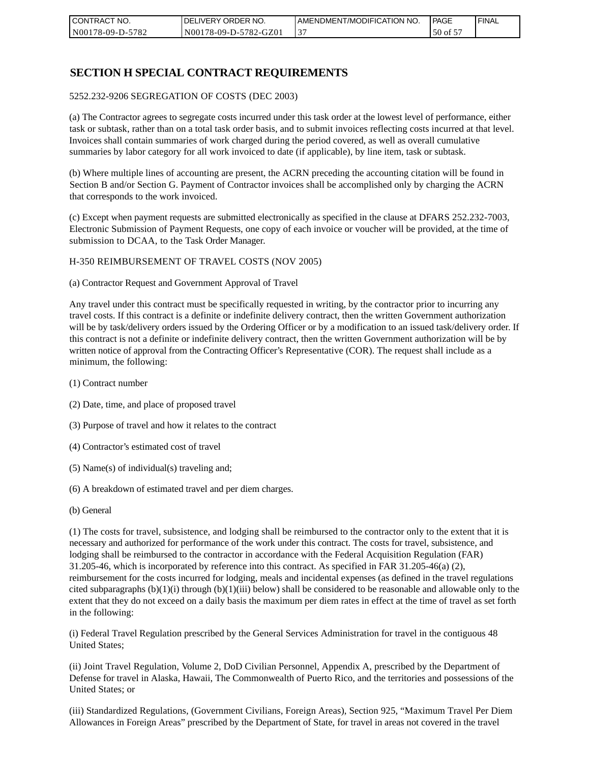| <b>CONTRACT</b><br>" NO. | `NO.<br>DELIVERY ORDER | AMENDMENT/MODIFICATION NO. | <b>PAGE</b> | ' FINAL |
|--------------------------|------------------------|----------------------------|-------------|---------|
| N00178-09-D-5782         | N00178-09-D-5782-GZ01  |                            | $50$ of $5$ |         |

# **SECTION H SPECIAL CONTRACT REQUIREMENTS**

#### 5252.232-9206 SEGREGATION OF COSTS (DEC 2003)

(a) The Contractor agrees to segregate costs incurred under this task order at the lowest level of performance, either task or subtask, rather than on a total task order basis, and to submit invoices reflecting costs incurred at that level. Invoices shall contain summaries of work charged during the period covered, as well as overall cumulative summaries by labor category for all work invoiced to date (if applicable), by line item, task or subtask.

(b) Where multiple lines of accounting are present, the ACRN preceding the accounting citation will be found in Section B and/or Section G. Payment of Contractor invoices shall be accomplished only by charging the ACRN that corresponds to the work invoiced.

(c) Except when payment requests are submitted electronically as specified in the clause at DFARS 252.232-7003, Electronic Submission of Payment Requests, one copy of each invoice or voucher will be provided, at the time of submission to DCAA, to the Task Order Manager.

#### H-350 REIMBURSEMENT OF TRAVEL COSTS (NOV 2005)

(a) Contractor Request and Government Approval of Travel

Any travel under this contract must be specifically requested in writing, by the contractor prior to incurring any travel costs. If this contract is a definite or indefinite delivery contract, then the written Government authorization will be by task/delivery orders issued by the Ordering Officer or by a modification to an issued task/delivery order. If this contract is not a definite or indefinite delivery contract, then the written Government authorization will be by written notice of approval from the Contracting Officer's Representative (COR). The request shall include as a minimum, the following:

- (1) Contract number
- (2) Date, time, and place of proposed travel
- (3) Purpose of travel and how it relates to the contract
- (4) Contractor's estimated cost of travel
- (5) Name(s) of individual(s) traveling and;
- (6) A breakdown of estimated travel and per diem charges.
- (b) General

(1) The costs for travel, subsistence, and lodging shall be reimbursed to the contractor only to the extent that it is necessary and authorized for performance of the work under this contract. The costs for travel, subsistence, and lodging shall be reimbursed to the contractor in accordance with the Federal Acquisition Regulation (FAR) 31.205-46, which is incorporated by reference into this contract. As specified in FAR 31.205-46(a) (2), reimbursement for the costs incurred for lodging, meals and incidental expenses (as defined in the travel regulations cited subparagraphs  $(b)(1)(i)$  through  $(b)(1)(iii)$  below) shall be considered to be reasonable and allowable only to the extent that they do not exceed on a daily basis the maximum per diem rates in effect at the time of travel as set forth in the following:

(i) Federal Travel Regulation prescribed by the General Services Administration for travel in the contiguous 48 United States;

(ii) Joint Travel Regulation, Volume 2, DoD Civilian Personnel, Appendix A, prescribed by the Department of Defense for travel in Alaska, Hawaii, The Commonwealth of Puerto Rico, and the territories and possessions of the United States; or

(iii) Standardized Regulations, (Government Civilians, Foreign Areas), Section 925, "Maximum Travel Per Diem Allowances in Foreign Areas" prescribed by the Department of State, for travel in areas not covered in the travel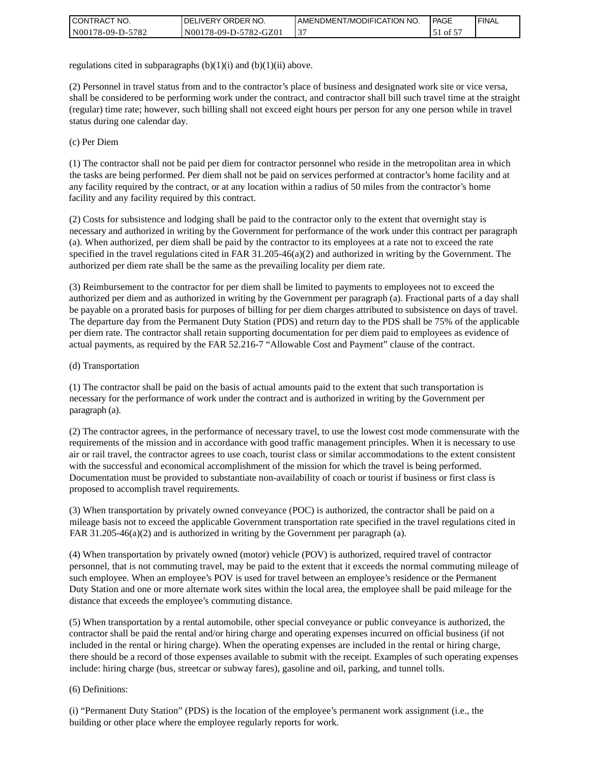| CONTRACT NO.     | <b>IDELIVERY ORDER NO.</b> | I AMENDMENT/MODIFICATION NO. | <b>PAGE</b>                                          | <b>I FINAL</b> |
|------------------|----------------------------|------------------------------|------------------------------------------------------|----------------|
| N00178-09-D-5782 | N00178-09-D-5782-GZ01      | ◡                            | $\overline{\phantom{0}}$ of $\overline{\phantom{0}}$ |                |

regulations cited in subparagraphs  $(b)(1)(i)$  and  $(b)(1)(ii)$  above.

(2) Personnel in travel status from and to the contractor's place of business and designated work site or vice versa, shall be considered to be performing work under the contract, and contractor shall bill such travel time at the straight (regular) time rate; however, such billing shall not exceed eight hours per person for any one person while in travel status during one calendar day.

(c) Per Diem

(1) The contractor shall not be paid per diem for contractor personnel who reside in the metropolitan area in which the tasks are being performed. Per diem shall not be paid on services performed at contractor's home facility and at any facility required by the contract, or at any location within a radius of 50 miles from the contractor's home facility and any facility required by this contract.

(2) Costs for subsistence and lodging shall be paid to the contractor only to the extent that overnight stay is necessary and authorized in writing by the Government for performance of the work under this contract per paragraph (a). When authorized, per diem shall be paid by the contractor to its employees at a rate not to exceed the rate specified in the travel regulations cited in FAR 31.205-46(a)(2) and authorized in writing by the Government. The authorized per diem rate shall be the same as the prevailing locality per diem rate.

(3) Reimbursement to the contractor for per diem shall be limited to payments to employees not to exceed the authorized per diem and as authorized in writing by the Government per paragraph (a). Fractional parts of a day shall be payable on a prorated basis for purposes of billing for per diem charges attributed to subsistence on days of travel. The departure day from the Permanent Duty Station (PDS) and return day to the PDS shall be 75% of the applicable per diem rate. The contractor shall retain supporting documentation for per diem paid to employees as evidence of actual payments, as required by the FAR 52.216-7 "Allowable Cost and Payment" clause of the contract.

#### (d) Transportation

(1) The contractor shall be paid on the basis of actual amounts paid to the extent that such transportation is necessary for the performance of work under the contract and is authorized in writing by the Government per paragraph (a).

(2) The contractor agrees, in the performance of necessary travel, to use the lowest cost mode commensurate with the requirements of the mission and in accordance with good traffic management principles. When it is necessary to use air or rail travel, the contractor agrees to use coach, tourist class or similar accommodations to the extent consistent with the successful and economical accomplishment of the mission for which the travel is being performed. Documentation must be provided to substantiate non-availability of coach or tourist if business or first class is proposed to accomplish travel requirements.

(3) When transportation by privately owned conveyance (POC) is authorized, the contractor shall be paid on a mileage basis not to exceed the applicable Government transportation rate specified in the travel regulations cited in FAR 31.205-46(a)(2) and is authorized in writing by the Government per paragraph (a).

(4) When transportation by privately owned (motor) vehicle (POV) is authorized, required travel of contractor personnel, that is not commuting travel, may be paid to the extent that it exceeds the normal commuting mileage of such employee. When an employee's POV is used for travel between an employee's residence or the Permanent Duty Station and one or more alternate work sites within the local area, the employee shall be paid mileage for the distance that exceeds the employee's commuting distance.

(5) When transportation by a rental automobile, other special conveyance or public conveyance is authorized, the contractor shall be paid the rental and/or hiring charge and operating expenses incurred on official business (if not included in the rental or hiring charge). When the operating expenses are included in the rental or hiring charge, there should be a record of those expenses available to submit with the receipt. Examples of such operating expenses include: hiring charge (bus, streetcar or subway fares), gasoline and oil, parking, and tunnel tolls.

#### (6) Definitions:

(i) "Permanent Duty Station" (PDS) is the location of the employee's permanent work assignment (i.e., the building or other place where the employee regularly reports for work.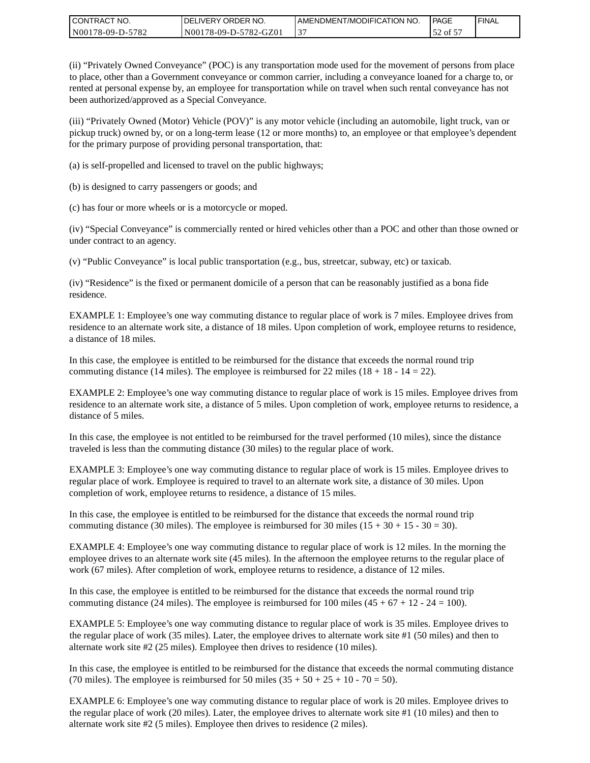| I CONTRACT NO.   | DELIVERY ORDER NO.    | <b>LAMENDMENT/MODIFICATION NO.</b> | PAGE    | l FINAL |
|------------------|-----------------------|------------------------------------|---------|---------|
| N00178-09-D-5782 | N00178-09-D-5782-GZ01 |                                    | . of 57 |         |

(ii) "Privately Owned Conveyance" (POC) is any transportation mode used for the movement of persons from place to place, other than a Government conveyance or common carrier, including a conveyance loaned for a charge to, or rented at personal expense by, an employee for transportation while on travel when such rental conveyance has not been authorized/approved as a Special Conveyance.

(iii) "Privately Owned (Motor) Vehicle (POV)" is any motor vehicle (including an automobile, light truck, van or pickup truck) owned by, or on a long-term lease (12 or more months) to, an employee or that employee's dependent for the primary purpose of providing personal transportation, that:

(a) is self-propelled and licensed to travel on the public highways;

(b) is designed to carry passengers or goods; and

(c) has four or more wheels or is a motorcycle or moped.

(iv) "Special Conveyance" is commercially rented or hired vehicles other than a POC and other than those owned or under contract to an agency.

(v) "Public Conveyance" is local public transportation (e.g., bus, streetcar, subway, etc) or taxicab.

(iv) "Residence" is the fixed or permanent domicile of a person that can be reasonably justified as a bona fide residence.

EXAMPLE 1: Employee's one way commuting distance to regular place of work is 7 miles. Employee drives from residence to an alternate work site, a distance of 18 miles. Upon completion of work, employee returns to residence, a distance of 18 miles.

In this case, the employee is entitled to be reimbursed for the distance that exceeds the normal round trip commuting distance (14 miles). The employee is reimbursed for 22 miles (18 + 18 - 14 = 22).

EXAMPLE 2: Employee's one way commuting distance to regular place of work is 15 miles. Employee drives from residence to an alternate work site, a distance of 5 miles. Upon completion of work, employee returns to residence, a distance of 5 miles.

In this case, the employee is not entitled to be reimbursed for the travel performed (10 miles), since the distance traveled is less than the commuting distance (30 miles) to the regular place of work.

EXAMPLE 3: Employee's one way commuting distance to regular place of work is 15 miles. Employee drives to regular place of work. Employee is required to travel to an alternate work site, a distance of 30 miles. Upon completion of work, employee returns to residence, a distance of 15 miles.

In this case, the employee is entitled to be reimbursed for the distance that exceeds the normal round trip commuting distance (30 miles). The employee is reimbursed for 30 miles  $(15 + 30 + 15 - 30 = 30)$ .

EXAMPLE 4: Employee's one way commuting distance to regular place of work is 12 miles. In the morning the employee drives to an alternate work site (45 miles). In the afternoon the employee returns to the regular place of work (67 miles). After completion of work, employee returns to residence, a distance of 12 miles.

In this case, the employee is entitled to be reimbursed for the distance that exceeds the normal round trip commuting distance (24 miles). The employee is reimbursed for 100 miles  $(45 + 67 + 12 - 24 = 100)$ .

EXAMPLE 5: Employee's one way commuting distance to regular place of work is 35 miles. Employee drives to the regular place of work (35 miles). Later, the employee drives to alternate work site #1 (50 miles) and then to alternate work site #2 (25 miles). Employee then drives to residence (10 miles).

In this case, the employee is entitled to be reimbursed for the distance that exceeds the normal commuting distance (70 miles). The employee is reimbursed for 50 miles  $(35 + 50 + 25 + 10 - 70 = 50)$ .

EXAMPLE 6: Employee's one way commuting distance to regular place of work is 20 miles. Employee drives to the regular place of work (20 miles). Later, the employee drives to alternate work site #1 (10 miles) and then to alternate work site #2 (5 miles). Employee then drives to residence (2 miles).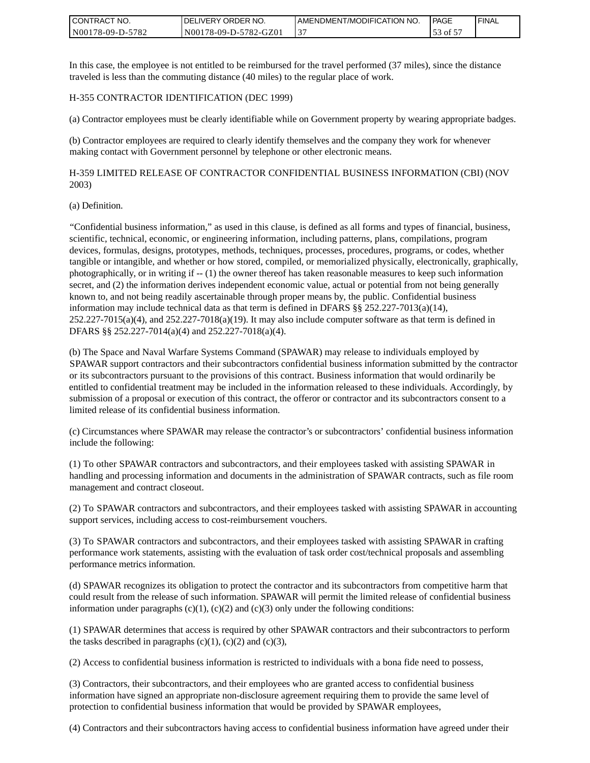| I CONTRACT NO.   | DELIVERY ORDER NO.    | I AMENDMENT/MODIFICATION NO. | PAGE    | ' FINAL |
|------------------|-----------------------|------------------------------|---------|---------|
| N00178-09-D-5782 | N00178-09-D-5782-GZ01 |                              | 53 of 5 |         |

In this case, the employee is not entitled to be reimbursed for the travel performed (37 miles), since the distance traveled is less than the commuting distance (40 miles) to the regular place of work.

H-355 CONTRACTOR IDENTIFICATION (DEC 1999)

(a) Contractor employees must be clearly identifiable while on Government property by wearing appropriate badges.

(b) Contractor employees are required to clearly identify themselves and the company they work for whenever making contact with Government personnel by telephone or other electronic means.

H-359 LIMITED RELEASE OF CONTRACTOR CONFIDENTIAL BUSINESS INFORMATION (CBI) (NOV 2003)

#### (a) Definition.

"Confidential business information," as used in this clause, is defined as all forms and types of financial, business, scientific, technical, economic, or engineering information, including patterns, plans, compilations, program devices, formulas, designs, prototypes, methods, techniques, processes, procedures, programs, or codes, whether tangible or intangible, and whether or how stored, compiled, or memorialized physically, electronically, graphically, photographically, or in writing if -- (1) the owner thereof has taken reasonable measures to keep such information secret, and (2) the information derives independent economic value, actual or potential from not being generally known to, and not being readily ascertainable through proper means by, the public. Confidential business information may include technical data as that term is defined in DFARS  $\S$ § 252.227-7013(a)(14),  $252.227-7015(a)(4)$ , and  $252.227-7018(a)(19)$ . It may also include computer software as that term is defined in DFARS §§ 252.227-7014(a)(4) and 252.227-7018(a)(4).

(b) The Space and Naval Warfare Systems Command (SPAWAR) may release to individuals employed by SPAWAR support contractors and their subcontractors confidential business information submitted by the contractor or its subcontractors pursuant to the provisions of this contract. Business information that would ordinarily be entitled to confidential treatment may be included in the information released to these individuals. Accordingly, by submission of a proposal or execution of this contract, the offeror or contractor and its subcontractors consent to a limited release of its confidential business information.

(c) Circumstances where SPAWAR may release the contractor's or subcontractors' confidential business information include the following:

(1) To other SPAWAR contractors and subcontractors, and their employees tasked with assisting SPAWAR in handling and processing information and documents in the administration of SPAWAR contracts, such as file room management and contract closeout.

(2) To SPAWAR contractors and subcontractors, and their employees tasked with assisting SPAWAR in accounting support services, including access to cost-reimbursement vouchers.

(3) To SPAWAR contractors and subcontractors, and their employees tasked with assisting SPAWAR in crafting performance work statements, assisting with the evaluation of task order cost/technical proposals and assembling performance metrics information.

(d) SPAWAR recognizes its obligation to protect the contractor and its subcontractors from competitive harm that could result from the release of such information. SPAWAR will permit the limited release of confidential business information under paragraphs  $(c)(1)$ ,  $(c)(2)$  and  $(c)(3)$  only under the following conditions:

(1) SPAWAR determines that access is required by other SPAWAR contractors and their subcontractors to perform the tasks described in paragraphs  $(c)(1)$ ,  $(c)(2)$  and  $(c)(3)$ ,

(2) Access to confidential business information is restricted to individuals with a bona fide need to possess,

(3) Contractors, their subcontractors, and their employees who are granted access to confidential business information have signed an appropriate non-disclosure agreement requiring them to provide the same level of protection to confidential business information that would be provided by SPAWAR employees,

(4) Contractors and their subcontractors having access to confidential business information have agreed under their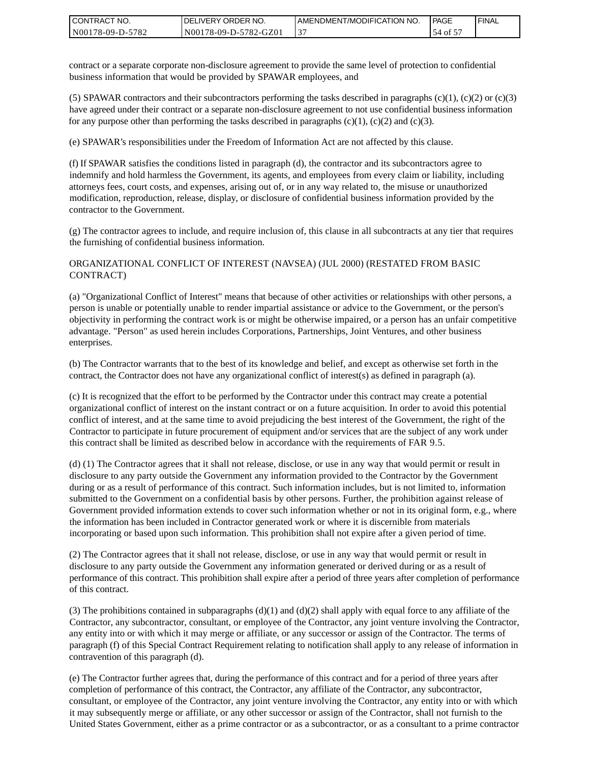| I CONTRACT NO.   | NO. י<br>DELIVERY ORDER | AMENDMENT/MODIFICATION NO. | PAGE       | 'FINAL |
|------------------|-------------------------|----------------------------|------------|--------|
| N00178-09-D-5782 | N00178-09-D-5782-GZ01   | ້                          | of 5<br>54 |        |

contract or a separate corporate non-disclosure agreement to provide the same level of protection to confidential business information that would be provided by SPAWAR employees, and

(5) SPAWAR contractors and their subcontractors performing the tasks described in paragraphs  $(c)(1)$ ,  $(c)(2)$  or  $(c)(3)$ have agreed under their contract or a separate non-disclosure agreement to not use confidential business information for any purpose other than performing the tasks described in paragraphs  $(c)(1)$ ,  $(c)(2)$  and  $(c)(3)$ .

(e) SPAWAR's responsibilities under the Freedom of Information Act are not affected by this clause.

(f) If SPAWAR satisfies the conditions listed in paragraph (d), the contractor and its subcontractors agree to indemnify and hold harmless the Government, its agents, and employees from every claim or liability, including attorneys fees, court costs, and expenses, arising out of, or in any way related to, the misuse or unauthorized modification, reproduction, release, display, or disclosure of confidential business information provided by the contractor to the Government.

(g) The contractor agrees to include, and require inclusion of, this clause in all subcontracts at any tier that requires the furnishing of confidential business information.

#### ORGANIZATIONAL CONFLICT OF INTEREST (NAVSEA) (JUL 2000) (RESTATED FROM BASIC CONTRACT)

(a) "Organizational Conflict of Interest" means that because of other activities or relationships with other persons, a person is unable or potentially unable to render impartial assistance or advice to the Government, or the person's objectivity in performing the contract work is or might be otherwise impaired, or a person has an unfair competitive advantage. "Person" as used herein includes Corporations, Partnerships, Joint Ventures, and other business enterprises.

(b) The Contractor warrants that to the best of its knowledge and belief, and except as otherwise set forth in the contract, the Contractor does not have any organizational conflict of interest(s) as defined in paragraph (a).

(c) It is recognized that the effort to be performed by the Contractor under this contract may create a potential organizational conflict of interest on the instant contract or on a future acquisition. In order to avoid this potential conflict of interest, and at the same time to avoid prejudicing the best interest of the Government, the right of the Contractor to participate in future procurement of equipment and/or services that are the subject of any work under this contract shall be limited as described below in accordance with the requirements of FAR 9.5.

(d) (1) The Contractor agrees that it shall not release, disclose, or use in any way that would permit or result in disclosure to any party outside the Government any information provided to the Contractor by the Government during or as a result of performance of this contract. Such information includes, but is not limited to, information submitted to the Government on a confidential basis by other persons. Further, the prohibition against release of Government provided information extends to cover such information whether or not in its original form, e.g., where the information has been included in Contractor generated work or where it is discernible from materials incorporating or based upon such information. This prohibition shall not expire after a given period of time.

(2) The Contractor agrees that it shall not release, disclose, or use in any way that would permit or result in disclosure to any party outside the Government any information generated or derived during or as a result of performance of this contract. This prohibition shall expire after a period of three years after completion of performance of this contract.

(3) The prohibitions contained in subparagraphs  $(d)(1)$  and  $(d)(2)$  shall apply with equal force to any affiliate of the Contractor, any subcontractor, consultant, or employee of the Contractor, any joint venture involving the Contractor, any entity into or with which it may merge or affiliate, or any successor or assign of the Contractor. The terms of paragraph (f) of this Special Contract Requirement relating to notification shall apply to any release of information in contravention of this paragraph (d).

(e) The Contractor further agrees that, during the performance of this contract and for a period of three years after completion of performance of this contract, the Contractor, any affiliate of the Contractor, any subcontractor, consultant, or employee of the Contractor, any joint venture involving the Contractor, any entity into or with which it may subsequently merge or affiliate, or any other successor or assign of the Contractor, shall not furnish to the United States Government, either as a prime contractor or as a subcontractor, or as a consultant to a prime contractor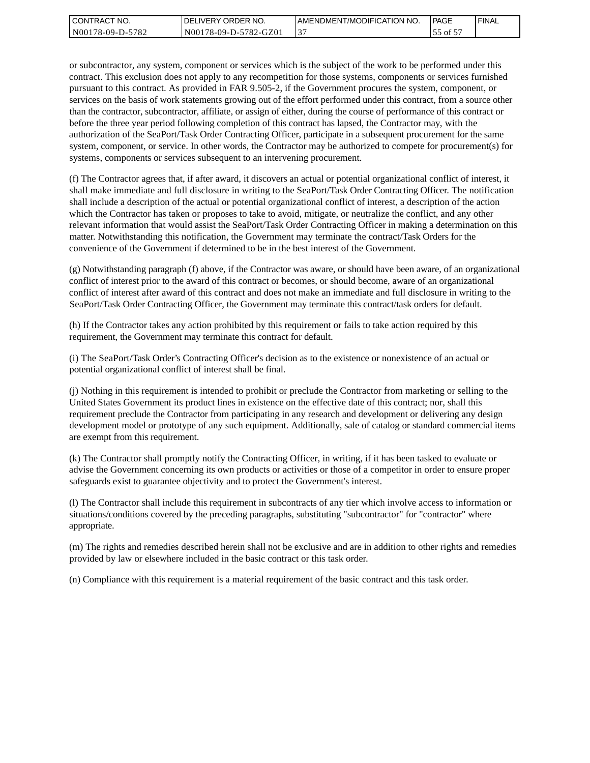| CONTRACT<br>" NO. | `NO.<br>DELIVERY ORDER | AMENDMENT/MODIFICATION NO. | <b>PAGE</b>      | ' FINAL |
|-------------------|------------------------|----------------------------|------------------|---------|
| N00178-09-D-5782  | N00178-09-D-5782-GZ01  |                            | $\sim$ of $\sim$ |         |

or subcontractor, any system, component or services which is the subject of the work to be performed under this contract. This exclusion does not apply to any recompetition for those systems, components or services furnished pursuant to this contract. As provided in FAR 9.505-2, if the Government procures the system, component, or services on the basis of work statements growing out of the effort performed under this contract, from a source other than the contractor, subcontractor, affiliate, or assign of either, during the course of performance of this contract or before the three year period following completion of this contract has lapsed, the Contractor may, with the authorization of the SeaPort/Task Order Contracting Officer, participate in a subsequent procurement for the same system, component, or service. In other words, the Contractor may be authorized to compete for procurement(s) for systems, components or services subsequent to an intervening procurement.

(f) The Contractor agrees that, if after award, it discovers an actual or potential organizational conflict of interest, it shall make immediate and full disclosure in writing to the SeaPort/Task Order Contracting Officer. The notification shall include a description of the actual or potential organizational conflict of interest, a description of the action which the Contractor has taken or proposes to take to avoid, mitigate, or neutralize the conflict, and any other relevant information that would assist the SeaPort/Task Order Contracting Officer in making a determination on this matter. Notwithstanding this notification, the Government may terminate the contract/Task Orders for the convenience of the Government if determined to be in the best interest of the Government.

(g) Notwithstanding paragraph (f) above, if the Contractor was aware, or should have been aware, of an organizational conflict of interest prior to the award of this contract or becomes, or should become, aware of an organizational conflict of interest after award of this contract and does not make an immediate and full disclosure in writing to the SeaPort/Task Order Contracting Officer, the Government may terminate this contract/task orders for default.

(h) If the Contractor takes any action prohibited by this requirement or fails to take action required by this requirement, the Government may terminate this contract for default.

(i) The SeaPort/Task Order's Contracting Officer's decision as to the existence or nonexistence of an actual or potential organizational conflict of interest shall be final.

(j) Nothing in this requirement is intended to prohibit or preclude the Contractor from marketing or selling to the United States Government its product lines in existence on the effective date of this contract; nor, shall this requirement preclude the Contractor from participating in any research and development or delivering any design development model or prototype of any such equipment. Additionally, sale of catalog or standard commercial items are exempt from this requirement.

(k) The Contractor shall promptly notify the Contracting Officer, in writing, if it has been tasked to evaluate or advise the Government concerning its own products or activities or those of a competitor in order to ensure proper safeguards exist to guarantee objectivity and to protect the Government's interest.

(l) The Contractor shall include this requirement in subcontracts of any tier which involve access to information or situations/conditions covered by the preceding paragraphs, substituting "subcontractor" for "contractor" where appropriate.

(m) The rights and remedies described herein shall not be exclusive and are in addition to other rights and remedies provided by law or elsewhere included in the basic contract or this task order.

(n) Compliance with this requirement is a material requirement of the basic contract and this task order.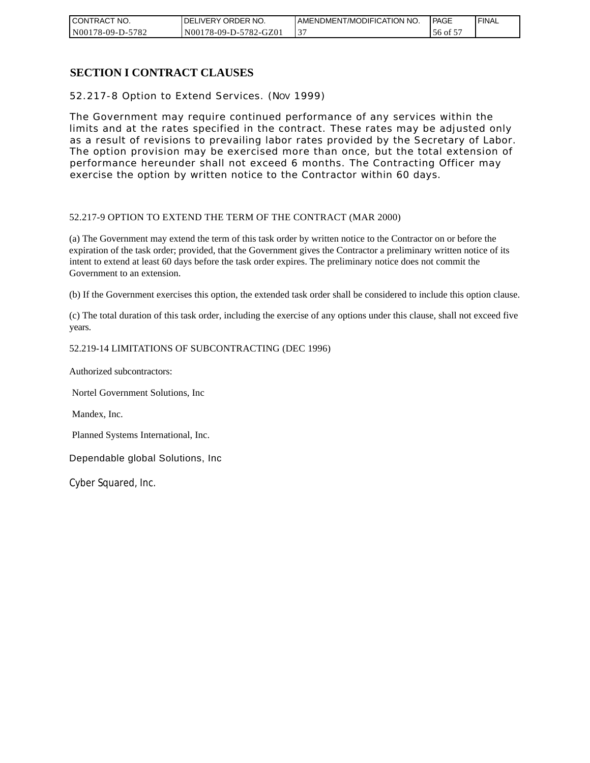| " NO.<br><b>CONTRACT</b> | DELIVERY ORDER NO.    | I AMENDMENT/MODIFICATION NO. | <b>PAGE</b> | ' FINAL |
|--------------------------|-----------------------|------------------------------|-------------|---------|
| N00178-09-D-5782         | N00178-09-D-5782-GZ01 | ◡                            | 56 of       |         |

# **SECTION I CONTRACT CLAUSES**

52.217-8 Option to Extend Services. (NOV 1999)

The Government may require continued performance of any services within the limits and at the rates specified in the contract. These rates may be adjusted only as a result of revisions to prevailing labor rates provided by the Secretary of Labor. The option provision may be exercised more than once, but the total extension of performance hereunder shall not exceed 6 months. The Contracting Officer may exercise the option by written notice to the Contractor within 60 days.

#### 52.217-9 OPTION TO EXTEND THE TERM OF THE CONTRACT (MAR 2000)

(a) The Government may extend the term of this task order by written notice to the Contractor on or before the expiration of the task order; provided, that the Government gives the Contractor a preliminary written notice of its intent to extend at least 60 days before the task order expires. The preliminary notice does not commit the Government to an extension.

(b) If the Government exercises this option, the extended task order shall be considered to include this option clause.

(c) The total duration of this task order, including the exercise of any options under this clause, shall not exceed five years.

#### 52.219-14 LIMITATIONS OF SUBCONTRACTING (DEC 1996)

Authorized subcontractors:

Nortel Government Solutions, Inc

Mandex, Inc.

Planned Systems International, Inc.

Dependable global Solutions, Inc

Cyber Squared, Inc.